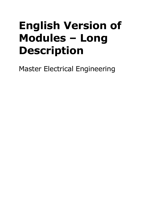## **English Version of Modules – Long Description**

Master Electrical Engineering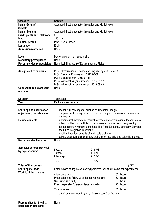| Category                            | <b>Content</b>                                       |
|-------------------------------------|------------------------------------------------------|
| Name (German)                       | Advanced Electromagnetic Simulation and Multiphysics |
| <b>Subtitle</b>                     |                                                      |
| Name (English)                      | Advanced Electromagnetic Simulation and Multiphysics |
| <b>Credit points and total work</b> | 6                                                    |
| load                                | 180 hours                                            |
| <b>Contact person</b>               | Prof. U. van Rienen                                  |
| Language                            | English                                              |
| <b>Admission restriction</b>        | None                                                 |

| Level                          | Master programme – specialising                |
|--------------------------------|------------------------------------------------|
| <b>Mandatory prerequisites</b> | None                                           |
| Recommended prerequisites      | Numerical Simulation of Electromagnetic Fields |

| <b>Assignment to curricula</b>  | M.Sc. Computational Science and Engineering - 2015-04-13<br>M.Sc. Electrical Engineering - 2015-03-09 |
|---------------------------------|-------------------------------------------------------------------------------------------------------|
|                                 | M.Sc. Elektrotechnik - 2013-07-31                                                                     |
|                                 | M.Sc. Wirtschaftsingenieurwesen - 2015-05-12                                                          |
|                                 | M.Sc. Wirtschaftsingenieurwesen - 2013-09-09                                                          |
| <b>Connection to subsequent</b> | None                                                                                                  |
| modules                         |                                                                                                       |

| -<br>--------   | $\sim$ comostor<br>nester<br>ישכ                |
|-----------------|-------------------------------------------------|
| orm<br>51 I I I | nester<br>sen<br>sur<br>nmer<br>יי<br>.au<br>-- |

| Learning and qualification<br>objectives (competences) | deepening knowledge for science and industrial design<br>$\sim$<br>competence to analyze and to solve complex problems in science and<br>engineering                                                                                                                                                                                                                                                                       |
|--------------------------------------------------------|----------------------------------------------------------------------------------------------------------------------------------------------------------------------------------------------------------------------------------------------------------------------------------------------------------------------------------------------------------------------------------------------------------------------------|
| <b>Course contents</b>                                 | - mathematical methods, numerical methods and computational techniques for<br>solving problems of multidisciplinary character in science and engineering<br>deeper insight in numerical methods like Finite Elements, Boundary Elements<br>and Finite Integration Technique<br>- touching important aspects of multiscale problems<br>- solving practical multidisciplinary problems of industrial and scientific interest |
| <b>Recommended literature</b>                          | None                                                                                                                                                                                                                                                                                                                                                                                                                       |

| Semester periods per week<br>by type of course | Lecture<br><b>Tutorial</b><br>Internship                                                                                                                                                                                             | 2 SWS<br><b>SWS</b><br>2 SWS                                                   |
|------------------------------------------------|--------------------------------------------------------------------------------------------------------------------------------------------------------------------------------------------------------------------------------------|--------------------------------------------------------------------------------|
|                                                | Total                                                                                                                                                                                                                                | 5 SWS                                                                          |
| Titles of the courses                          |                                                                                                                                                                                                                                      | (LSF)                                                                          |
| Learning methods                               |                                                                                                                                                                                                                                      | Listening and taking notes, solving problems, self-study, computer experiments |
| <b>Work load for students</b>                  | Attendance time<br>Preparation and follow up of the attendance time<br>Structured self-study<br>Exam preparation/prerequisites/examination<br>Total work load<br>* If no further information is given, please account for the notes. | hours<br>60.<br>50 hours<br>50 hours<br>20 hours<br>180 hours                  |

| Prerequisites for the final | None |
|-----------------------------|------|
| examination (type and       |      |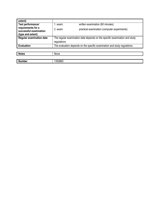| extent)                                                           |                                                                                           |                                              |
|-------------------------------------------------------------------|-------------------------------------------------------------------------------------------|----------------------------------------------|
| Test performance/                                                 | l. exam:                                                                                  | written examination (60 minutes)             |
| requirements for a<br>successful examination<br>(type and extent) | 2. exam:                                                                                  | practical examination (computer experiments) |
| <b>Regular examination date</b>                                   | The regular examination date depends on the specific examination and study<br>regulations |                                              |
| <b>Evaluation</b>                                                 | The evaluation depends on the specific examination and study regulations                  |                                              |
|                                                                   |                                                                                           |                                              |
| <b>Notes</b>                                                      | None                                                                                      |                                              |

| N<br>- - -<br>number | 508 <sup>o</sup><br>. วิวบิดมิต |
|----------------------|---------------------------------|
|                      |                                 |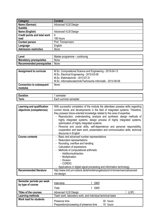| Category                            | <b>Content</b>              |
|-------------------------------------|-----------------------------|
| Name (German)                       | <b>Advanced VLSI Design</b> |
| <b>Subtitle</b>                     |                             |
| Name (English)                      | <b>Advanced VLSI Design</b> |
| <b>Credit points and total work</b> | 6                           |
| load                                | 180 hours                   |
| <b>Contact person</b>               | Prof. Timmermann            |
| Language                            | English                     |
| Admission restriction               | None                        |

| Level                          | Master programme – continuing |
|--------------------------------|-------------------------------|
| <b>Mandatory prerequisites</b> | None                          |
| Recommended prerequisites      | None                          |

| <b>Assignment to curricula</b>  | M.Sc. Computational Science and Engineering - 2015-04-13<br>M.Sc. Electrical Engineering - 2015-03-09<br>M.Sc. Elektrotechnik - 2013-07-31 |
|---------------------------------|--------------------------------------------------------------------------------------------------------------------------------------------|
|                                 | M.Sc. Informationstechnik/Technische Informatik - 2013-09-09                                                                               |
| <b>Connection to subsequent</b> | None                                                                                                                                       |
| modules                         |                                                                                                                                            |

| D<br>atior  | comontor<br>nesie                       |
|-------------|-----------------------------------------|
| <b>Term</b> | -<br>∵semester<br>summer<br>11<br>4 U L |
|             |                                         |

| Learning and qualification<br>objectives (competences) | With successful completion of the module the attendees possess skills regarding<br>current trends and developments in the field of integrated systems. Therefore,<br>they possess future-oriented knowledge related to this area of expertise.<br>Reproduction, understanding, analysis and synthesis: design methods of |  |  |
|--------------------------------------------------------|--------------------------------------------------------------------------------------------------------------------------------------------------------------------------------------------------------------------------------------------------------------------------------------------------------------------------|--|--|
|                                                        | highly integrated systems, design process of highly integrated systems,<br>optimization of highly integrated systems                                                                                                                                                                                                     |  |  |
|                                                        | Personal and social skills, self-dependence and personal responsibility,<br>cooperation and team work, presentation and communication skills, technical<br>discourse in English                                                                                                                                          |  |  |
| <b>Course contents</b>                                 | Basic and advanced number representations                                                                                                                                                                                                                                                                                |  |  |
|                                                        | Redundant representations                                                                                                                                                                                                                                                                                                |  |  |
|                                                        | Rounding, overflow and handling                                                                                                                                                                                                                                                                                          |  |  |
|                                                        | Calculation of expressions<br>$\blacksquare$                                                                                                                                                                                                                                                                             |  |  |
|                                                        | Methods of computational arithmetic<br>$\blacksquare$                                                                                                                                                                                                                                                                    |  |  |
|                                                        | · Addition/subtraction                                                                                                                                                                                                                                                                                                   |  |  |
|                                                        | • Multiplication                                                                                                                                                                                                                                                                                                         |  |  |
|                                                        | • Division                                                                                                                                                                                                                                                                                                               |  |  |
|                                                        | $\cdot$ CORDIC                                                                                                                                                                                                                                                                                                           |  |  |
|                                                        | Applications in digital signal processing and information technology                                                                                                                                                                                                                                                     |  |  |
| <b>Recommended literature</b>                          | http://www.imd.uni-rostock.de/lehre/lehrangebot/prof-d-timmermann/advanced-                                                                                                                                                                                                                                              |  |  |
|                                                        | vlsi-design/                                                                                                                                                                                                                                                                                                             |  |  |

| Semester periods per week<br>by type of course | 1 SWS<br>Internship<br>1 SWS<br>Total                      |                      |
|------------------------------------------------|------------------------------------------------------------|----------------------|
| <b>Titles of the courses</b>                   | <b>Advanced VLSI Design</b>                                | (LSF)                |
| Learning methods                               | Team work, laboratory work, and individual technical tasks |                      |
| <b>Work load for students</b>                  | Presence time<br>Preparation/processing of presence time   | 30 hours<br>15 hours |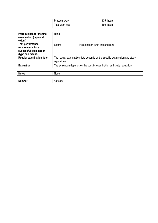| -<br>Practical work    | 135<br>hours |
|------------------------|--------------|
| - -<br>⊺otal work load | 180<br>hours |

| Prerequisites for the final<br>examination (type and<br>extent)                               | None        |                                                                            |
|-----------------------------------------------------------------------------------------------|-------------|----------------------------------------------------------------------------|
| <b>Test performance/</b><br>requirements for a<br>successful examination<br>(type and extent) | Exam:       | Project report (with presentation)                                         |
| <b>Regular examination date</b>                                                               | regulations | The regular examination date depends on the specific examination and study |
| <b>Evaluation</b>                                                                             |             | The evaluation depends on the specific examination and study regulations   |
| <b>Notes</b>                                                                                  | None        |                                                                            |
| <b>Number</b>                                                                                 | 1350870     |                                                                            |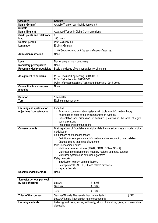| Category                            | <b>Content</b>                                      |
|-------------------------------------|-----------------------------------------------------|
| Name (German)                       | Aktuelle Themen der Nachrichtentechnik              |
| <b>Subtitle</b>                     |                                                     |
| Name (English)                      | Advanced Topics in Digital Communications           |
| <b>Credit points and total work</b> | 6                                                   |
| load                                | 180 hours                                           |
| <b>Contact person</b>               | Prof. Volker Kühn                                   |
| Language                            | English, German                                     |
|                                     | Will be announced until the second week of classes. |
| <b>Admission restriction</b>        | None                                                |

| Level                          | Master programme – continuing                   |
|--------------------------------|-------------------------------------------------|
| <b>Mandatory prerequisites</b> | None                                            |
| Recommended prerequisites      | l Basic knowledge of communications engineering |

| <b>Assignment to curricula</b>             | M.Sc. Electrical Engineering - 2015-03-09<br>M.Sc. Elektrotechnik - 2013-07-31<br>M.Sc. Informationstechnik/Technische Informatik - 2013-09-09 |
|--------------------------------------------|------------------------------------------------------------------------------------------------------------------------------------------------|
| <b>Connection to subsequent</b><br>modules | None                                                                                                                                           |

| -                   | nester                         |
|---------------------|--------------------------------|
| - - -               | $-0.04$                        |
| auon                | SUI                            |
| orm<br><b>ALLII</b> | semester<br>sur<br>acr<br>nmer |

| <b>Learning and qualification</b> | Expertise                                                                           |  |  |
|-----------------------------------|-------------------------------------------------------------------------------------|--|--|
| objectives (competences)          | - Analysis of communication systems with tools from information theory              |  |  |
|                                   | Knowledge of state-of-the-art communication systems                                 |  |  |
|                                   | - Presentation and discussion of scientific questions in the area of digital        |  |  |
|                                   | communications                                                                      |  |  |
|                                   | Presenting and communicating                                                        |  |  |
| <b>Course contents</b>            | Brief repetition of foundations of digital data transmission (system model, digital |  |  |
|                                   | modulation)                                                                         |  |  |
|                                   | Foundations of information theory                                                   |  |  |
|                                   | - Definition of entropy, mutual information and corresponding interpretation        |  |  |
|                                   | - Channel coding theoreme of Shannon                                                |  |  |
|                                   | Multi-user communication                                                            |  |  |
|                                   | - Multiple access techniques (TDMA, FDMA, CDMA, SDMA)                               |  |  |
|                                   | Multi-user infomration theory (capacity regions, sum rate, outage)                  |  |  |
|                                   | Multi-user systems and detection algorithms                                         |  |  |
|                                   | Relay networks                                                                      |  |  |
|                                   | - Introduction to relay communications                                              |  |  |
|                                   | - Relay protocols (AF, DF, CF and related protocols)                                |  |  |
|                                   | capacity bounds                                                                     |  |  |
| <b>Recommended literature</b>     | None                                                                                |  |  |

| Semester periods per week    |                                                |                                                                                     |       |
|------------------------------|------------------------------------------------|-------------------------------------------------------------------------------------|-------|
| by type of course            | Lecture                                        | 3 SWS                                                                               |       |
|                              | Seminar                                        | SWS                                                                                 |       |
|                              | Total                                          | 4 SWS                                                                               |       |
| <b>Titles of the courses</b> | Seminar/Aktuelle Themen der Nachrichtentechnik |                                                                                     | (LSF) |
|                              | Lecture/Aktuelle Themen der Nachrichtentechnik |                                                                                     |       |
| Learning methods             |                                                | Listening and taking notes, self-study, study of literature, giving a presentation, |       |
|                              | discussing                                     |                                                                                     |       |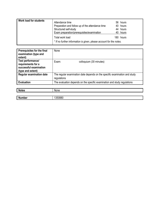| <b>Work load for students</b> | Attendance time<br>Preparation and follow up of the attendance time<br>Structured self-study<br>Exam preparation/prerequisites/examination | 56 hours<br>40 hours<br>44 hours<br>40 hours |
|-------------------------------|--------------------------------------------------------------------------------------------------------------------------------------------|----------------------------------------------|
|                               | Total work load<br>* If no further information is given, please account for the notes.                                                     | 180 hours                                    |

| Prerequisites for the final<br>examination (type and<br>extent)                        | None                                                                                      |
|----------------------------------------------------------------------------------------|-------------------------------------------------------------------------------------------|
| Test performance/<br>requirements for a<br>successful examination<br>(type and extent) | Exam:<br>colloquium (30 minutes)                                                          |
| <b>Regular examination date</b>                                                        | The regular examination date depends on the specific examination and study<br>regulations |
| <b>Evaluation</b>                                                                      | The evaluation depends on the specific examination and study regulations                  |

| <b>Notes</b> | ممسا<br>inone. |
|--------------|----------------|
|              |                |

| n<br>. |  |
|--------|--|
|        |  |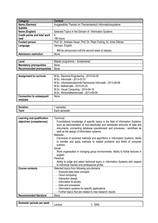| Category                            | <b>Content</b>                                                     |
|-------------------------------------|--------------------------------------------------------------------|
| Name (German)                       | Ausgewählte Themen im Themenbereich Informationssysteme            |
| <b>Subtitle</b>                     |                                                                    |
| Name (English)                      | Selected Topics in the Domain of Information Systems               |
| <b>Credit points and total work</b> | 6                                                                  |
| load                                | 180 hours                                                          |
| <b>Contact person</b>               | Prof. Dr. Andreas Heuer, Prof. Dr. Peter Forbrig, Dr. Anke Dittmar |
| Language                            | German, English                                                    |
|                                     | Will be announced until the second week of classes.                |
| <b>Admission restriction</b>        | None                                                               |

| Level                          | Master programme – fundamental |
|--------------------------------|--------------------------------|
| <b>Mandatory prerequisites</b> | None                           |
| Recommended prerequisites      | None                           |

| <b>Assignment to curricula</b>  | M.Sc. Electrical Engineering - 2015-03-09                    |
|---------------------------------|--------------------------------------------------------------|
|                                 | M.Sc. Informatik - 2013-07-31                                |
|                                 | M.Sc. Informationstechnik/Technische Informatik - 2013-09-09 |
|                                 | M.Sc. Mathematik - 2015-03-20                                |
|                                 | M.Sc. Visual Computing - 2014-04-16                          |
|                                 | M.Sc. Wirtschaftsinformatik - 2013-09-09                     |
| <b>Connection to subsequent</b> | None                                                         |
| modules                         |                                                              |

| $\sim$    | $-$ comostar                          |
|-----------|---------------------------------------|
| --------  | пеэгег                                |
| auor.     | יטט                                   |
| -<br>Term | .<br>⊶or ∼<br>TIESIEI<br>5UI.<br>сачн |

| Learning and qualification    | Technical:                                                                                                                                                                                                                                                                                 |
|-------------------------------|--------------------------------------------------------------------------------------------------------------------------------------------------------------------------------------------------------------------------------------------------------------------------------------------|
| objectives (competences)      | Foundational knowledge of specific topics in the field of Information Systems,<br>such as administration of non-distributed and distributed amounts of data and<br>documents, connecting database operationedn and processes / workflows as<br>welll as the design of information systems. |
|                               | Methods:                                                                                                                                                                                                                                                                                   |
|                               | Command of essential methods and algorithms in Information Systems. Ability<br>to transfer and apply methods to related problems and fields of computer<br>science.                                                                                                                        |
|                               | Social:                                                                                                                                                                                                                                                                                    |
|                               | Work organisation in changing group environments. Ability to follow lectures in<br>english.                                                                                                                                                                                                |
|                               | Personal:                                                                                                                                                                                                                                                                                  |
|                               | Ability to judge and select technical topics in Information Systems with respect<br>to individual interest and professional profile.                                                                                                                                                       |
| <b>Course contents</b>        | Selected topics from following sub-domains                                                                                                                                                                                                                                                 |
|                               | Avanced data base concepts                                                                                                                                                                                                                                                                 |
|                               | Cloud computing                                                                                                                                                                                                                                                                            |
|                               | Interaction design                                                                                                                                                                                                                                                                         |
|                               | Information & society                                                                                                                                                                                                                                                                      |
|                               | Data and processes                                                                                                                                                                                                                                                                         |
|                               | Information systems for specific applications                                                                                                                                                                                                                                              |
|                               | Further topics that are related to new research results                                                                                                                                                                                                                                    |
| <b>Recommended literature</b> | None                                                                                                                                                                                                                                                                                       |

| week<br>per<br>periods<br>ester. | actura<br>1 L L | <b>SWS</b> |
|----------------------------------|-----------------|------------|
|                                  |                 |            |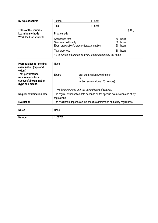| by type of course             | <b>Tutorial</b>                                                                        | SWS                                                                              |  |
|-------------------------------|----------------------------------------------------------------------------------------|----------------------------------------------------------------------------------|--|
|                               | Total                                                                                  | 4 SWS                                                                            |  |
| <b>Titles of the courses</b>  |                                                                                        | (LSF)                                                                            |  |
| Learning methods              | Private study                                                                          |                                                                                  |  |
| <b>Work load for students</b> | Attendance time<br>Structured self-study<br>Exam preparation/prerequisites/examination | 60 hours<br>100 hours<br>20 hours                                                |  |
|                               | Total work load                                                                        | 180 hours<br>* If no further information is given, please account for the notes. |  |

| Prerequisites for the final<br>examination (type and<br>extent)                        | None                                                                                      |  |
|----------------------------------------------------------------------------------------|-------------------------------------------------------------------------------------------|--|
| Test performance/<br>requirements for a<br>successful examination<br>(type and extent) | Exam:<br>oral examination (20 minutes)<br>or<br>written examination (120 minutes)         |  |
|                                                                                        | Will be announced until the second week of classes.                                       |  |
| <b>Regular examination date</b>                                                        | The regular examination date depends on the specific examination and study<br>regulations |  |
| <b>Evaluation</b>                                                                      | The evaluation depends on the specific examination and study regulations                  |  |
|                                                                                        |                                                                                           |  |
| <b>Notes</b>                                                                           | None                                                                                      |  |
|                                                                                        |                                                                                           |  |
| <b>Number</b>                                                                          | 1150780                                                                                   |  |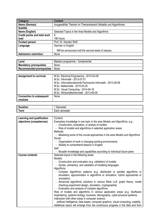| Category                            | <b>Content</b>                                              |
|-------------------------------------|-------------------------------------------------------------|
| Name (German)                       | Ausgewählte Themen im Themenbereich Modelle und Algorithmen |
| <b>Subtitle</b>                     |                                                             |
| Name (English)                      | Selected Topics in the Area Models and Algorithms           |
| <b>Credit points and total work</b> | 6                                                           |
| load                                | 180 hours                                                   |
| <b>Contact person</b>               | Prof. Dr. Karsten Wolf                                      |
| Language                            | German or English                                           |
|                                     | Will be announced until the second week of classes.         |
| Admission restriction               | None                                                        |

| <sup>I</sup> Level             | Masters programme – fundamental |
|--------------------------------|---------------------------------|
| <b>Mandatory prerequisites</b> | None                            |
| Recommended prerequisites      | None                            |

| <b>Assignment to curricula</b>  | M.Sc. Electrical Engineering - 2015-03-09                    |
|---------------------------------|--------------------------------------------------------------|
|                                 | M.Sc. Informatik - 2013-07-31                                |
|                                 | M.Sc. Informationstechnik/Technische Informatik - 2013-09-09 |
|                                 | M.Sc. Mathematik - 2015-03-20                                |
|                                 | M.Sc. Visual Computing - 2014-04-16                          |
|                                 | M.Sc. Wirtschaftsinformatik - 2013-09-09                     |
| <b>Connection to subsequent</b> | None                                                         |
| modules                         |                                                              |

| Ð<br>Dui<br>auvn. | שכאו                                              |
|-------------------|---------------------------------------------------|
| $\sim$<br>erm     | $\overline{\phantom{0}}$<br>.<br>semeste.<br>∟a∪⊔ |

| Learning and qualification | Content:                                                                            |
|----------------------------|-------------------------------------------------------------------------------------|
| objectives (competences)   | Exemplary knowledge in one topic in the area Models and Algorithms, e.g.:           |
|                            | - Construction, evaluation, or analyis of models                                    |
|                            | - Role of models and algorithms in selected application areas                       |
|                            | Methods:                                                                            |
|                            | - Mastering some of the crucial approaches in the area Models and Algorithms        |
|                            | Social:                                                                             |
|                            | - Organisation of work in changing working environments                             |
|                            | - Abaility to comprehend lessons in English                                         |
|                            | Self:                                                                               |
|                            | - Broader knowledge and capabilities according to individual future plans           |
| <b>Course contents</b>     | Selected topics in the following areas:                                             |
|                            | Models:                                                                             |
|                            | - Construction and evaluation (e.g. validation) of models                           |
|                            | - Syntax, semantics, and validation of modeling languages                           |
|                            | Algorithms:                                                                         |
|                            | - Complex algorithmic patterns (e.g. distributed or parallel algorithms or          |
|                            | simulation, approximation in algorithms or simulation, hybrid approaches or         |
|                            | simulation)                                                                         |
|                            | - Advanced algorithmic solutions in various fileds (z.B. graph theory, model        |
|                            | checking experiment design, simulation, cryptographie)                              |
|                            | - Evaluation and analysis of complex algorithms                                     |
|                            | Role of models and algorithms in various application areas (e.g. Ssoftware          |
|                            | engineering, systems biology, business, demography, cyber-physical systems)         |
|                            | Interaction with other areas in computer science:                                   |
|                            | artificial intelligence, data bases, computer graphics, visual computing, usability |
|                            | Additional topics will emerge from the continuous progress in the field and from    |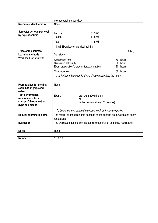|                                  | research perspectives<br>new |
|----------------------------------|------------------------------|
| ---<br>Recommended<br>literature | None                         |

| Semester periods per week<br>by type of course | Lecture<br><b>Tutorial</b>                                                             | SWS<br>SWS                           |
|------------------------------------------------|----------------------------------------------------------------------------------------|--------------------------------------|
|                                                | Total                                                                                  | 4 SWS                                |
|                                                | 1 SWS Exercises or practical training                                                  |                                      |
| <b>Titles of the courses</b>                   |                                                                                        | (LSF)                                |
| Learning methods                               | Self-study                                                                             |                                      |
| Work load for students                         | Attendance time<br>Structured self-study<br>Exam preparation/prerequisites/examination | 60<br>hours<br>100 hours<br>20 hours |
|                                                | Total work load                                                                        | 180 hours                            |
|                                                | * If no further information is given, please account for the notes.                    |                                      |

| Prerequisites for the final<br>examination (type and<br>extent)                               | None                                                                                      |                                                                   |
|-----------------------------------------------------------------------------------------------|-------------------------------------------------------------------------------------------|-------------------------------------------------------------------|
| <b>Test performance/</b><br>requirements for a<br>successful examination<br>(type and extent) | Exam:                                                                                     | oral exam (20 minutes)<br>or<br>written examination (120 minutes) |
|                                                                                               |                                                                                           | To be announced before the second week of the lecture period      |
| <b>Regular examination date</b>                                                               | The regular examination date depends on the specific examination and study<br>regulations |                                                                   |
| <b>Evaluation</b>                                                                             | The evaluation depends on the specific examination and study regulations                  |                                                                   |

| <b>Notes</b>  | None        |
|---------------|-------------|
|               |             |
| <b>Number</b> | 0790<br>150 |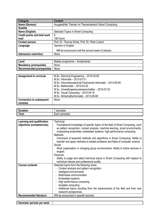| Category                            | <b>Content</b>                                      |
|-------------------------------------|-----------------------------------------------------|
| Name (German)                       | Ausgewählte Themen im Themenbereich Smart Computing |
| <b>Subtitle</b>                     |                                                     |
| Name (English)                      | Selected Topics in Smart Computing                  |
| <b>Credit points and total work</b> | 6                                                   |
| load                                | 180 hours                                           |
| <b>Contact person</b>               | Prof. Dr. Thomas Kirste, Prof. Dr. Peter Luksch     |
| Language                            | German or English                                   |
|                                     | Will be announced until the second week of classes. |
| <b>Admission restriction</b>        | None                                                |

| Level                          | Master programme – fundamental |
|--------------------------------|--------------------------------|
| <b>Mandatory prerequisites</b> | None                           |
| Recommended prerequisites      | None                           |

| <b>Assignment to curricula</b>  | M.Sc. Electrical Engineering - 2015-03-09                    |
|---------------------------------|--------------------------------------------------------------|
|                                 | M.Sc. Informatik - 2013-07-31                                |
|                                 | M.Sc. Informationstechnik/Technische Informatik - 2013-09-09 |
|                                 | M.Sc. Mathematik - 2015-03-20                                |
|                                 | M.Sc. Umweltingenieurwissenschaften - 2015-07-03             |
|                                 | M.Sc. Visual Computing - 2014-04-16                          |
|                                 | M.Sc. Wirtschaftsinformatik - 2013-09-09                     |
| <b>Connection to subsequent</b> | None                                                         |
| modules                         |                                                              |

| n.<br>. <b>.</b><br>nuur.  | ------<br>וסופאו                               |
|----------------------------|------------------------------------------------|
| - -<br><b>ARM</b><br>וווסי | ----<br>n o r<br>nestei<br>сачн<br><b>SCII</b> |

| <b>Learning and qualification</b> | Technical:                                                                                                                                                                                                                                 |  |  |  |
|-----------------------------------|--------------------------------------------------------------------------------------------------------------------------------------------------------------------------------------------------------------------------------------------|--|--|--|
| objectives (competencies)         | Foundational knowledge of specific topics of the field of Smart Computing, such<br>as pattern recognition, context analysis, machine learning, smart environments,<br>cooperating ensembles, embedded systems, high-performance computing. |  |  |  |
|                                   | Methods:                                                                                                                                                                                                                                   |  |  |  |
|                                   | Command of essential methods and algorithms in Smart Computing. Ability to<br>transfer and apply methods to related problems and fields of computer science.                                                                               |  |  |  |
|                                   | Social:                                                                                                                                                                                                                                    |  |  |  |
|                                   | Work organisation in changing group environments. Ability to follow lectures in<br>english.                                                                                                                                                |  |  |  |
|                                   | Personal:                                                                                                                                                                                                                                  |  |  |  |
|                                   | Ability to judge and select technical topics in Smart Computing with respect to<br>individual interest and professional profile.                                                                                                           |  |  |  |
| <b>Course contents</b>            | Selected topics form the following areas:                                                                                                                                                                                                  |  |  |  |
|                                   | Context analysis and pattern recognition                                                                                                                                                                                                   |  |  |  |
|                                   | Intelligent environments                                                                                                                                                                                                                   |  |  |  |
|                                   | Multimedia communication                                                                                                                                                                                                                   |  |  |  |
|                                   | - Embedded systems                                                                                                                                                                                                                         |  |  |  |
|                                   | High performance computing                                                                                                                                                                                                                 |  |  |  |
|                                   | - Scalable computing                                                                                                                                                                                                                       |  |  |  |
|                                   | Additional topics resulting from the advancement of the field and from new<br>research perspectives                                                                                                                                        |  |  |  |
| <b>Recommended literature</b>     | Will be announced in specific lectures                                                                                                                                                                                                     |  |  |  |

**Semester periods per week**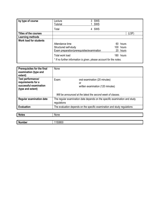| by type of course             | _ecture<br><b>Tutorial</b>                                          | 3 SWS<br>SWS |              |
|-------------------------------|---------------------------------------------------------------------|--------------|--------------|
|                               | Total                                                               | 4 SWS        |              |
| Titles of the courses         |                                                                     |              | (LSF)        |
| Learning methods              |                                                                     |              |              |
| <b>Work load for students</b> |                                                                     |              |              |
|                               | Attendance time                                                     |              | 60.<br>hours |
|                               | Structured self-study                                               |              | 100 hours    |
|                               | Exam preparation/prerequisites/examination                          |              | 20 hours     |
|                               | Total work load                                                     |              | 180 hours    |
|                               | * If no further information is given, please account for the notes. |              |              |

| Prerequisites for the final<br>examination (type and<br>extent)                        | None                                                                                      |  |
|----------------------------------------------------------------------------------------|-------------------------------------------------------------------------------------------|--|
| Test performance/<br>requirements for a<br>successful examination<br>(type and extent) | Exam:<br>oral examination (20 minutes)<br>or<br>written examination (120 minutes)         |  |
|                                                                                        | Will be announced at the latest the second week of classes.                               |  |
| <b>Regular examination date</b>                                                        | The regular examination date depends on the specific examination and study<br>regulations |  |
| <b>Evaluation</b>                                                                      | The evaluation depends on the specific examination and study regulations                  |  |
|                                                                                        |                                                                                           |  |
| <b>Notes</b>                                                                           | None                                                                                      |  |
|                                                                                        |                                                                                           |  |

| $\overline{N}$ |  |
|----------------|--|
|                |  |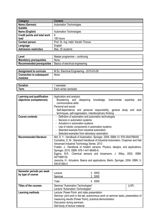| Category                     | <b>Content</b>                       |  |  |
|------------------------------|--------------------------------------|--|--|
| Name (German)                | <b>Automation Technologies</b>       |  |  |
| <b>Subtitle</b>              |                                      |  |  |
| Name (English)               | <b>Automation Technologies</b>       |  |  |
| Credit points and total work | 6                                    |  |  |
| load                         | 180 hours                            |  |  |
| <b>Contact person</b>        | Prof. Dr.-Ing. habil. Kerstin Thurow |  |  |
| Language                     | English                              |  |  |
| <b>Admission restriction</b> | Max. 25 students                     |  |  |

| ∟evel                          | Master programme – continuing    |  |
|--------------------------------|----------------------------------|--|
| <b>Mandatory prerequisites</b> | None                             |  |
| Recommended prerequisites      | Basics of electrical engineering |  |

| Assignment to curricula         | M.Sc. Electrical Engineering - 2015-03-09 |  |  |
|---------------------------------|-------------------------------------------|--|--|
| <b>Connection to subsequent</b> | None                                      |  |  |
| modules                         |                                           |  |  |

| -          | ____                       |
|------------|----------------------------|
| ----       | nester                     |
| auvı.      | 50 I                       |
| ----<br>um | winter<br>semester<br>.acr |

| Learning and qualification    | Application and analysis:                                                         |  |  |  |  |
|-------------------------------|-----------------------------------------------------------------------------------|--|--|--|--|
| objectives (competences)      | Broadening and deepening<br>instrumental<br>knowledge,<br>expertise<br>and        |  |  |  |  |
|                               | communicative skills                                                              |  |  |  |  |
|                               | Personal and social:                                                              |  |  |  |  |
|                               | Self-dependence and personal responsibility, general study and<br>work            |  |  |  |  |
|                               | techniques, self-organisation, interdisciplinary thinking                         |  |  |  |  |
| <b>Course contents</b>        | - Definition of automation and automation technologies                            |  |  |  |  |
|                               | - Sensors in automation systems                                                   |  |  |  |  |
|                               | - Actuators in automation systems                                                 |  |  |  |  |
|                               | - Use of robotic components in automation systems                                 |  |  |  |  |
|                               | - Selected example from industrial automation                                     |  |  |  |  |
|                               | - Selected examples from laboratory automation                                    |  |  |  |  |
| <b>Recommended literature</b> | Nof, S. Y.: Handbook of Automation. Springer, 2009, ISBN-13: 978-3540788300       |  |  |  |  |
|                               | Considine, D. M.: Standard Handbook of Industrial Automation. Chapman and Hall    |  |  |  |  |
|                               | Advanced Industrial Technology Series. 2013                                       |  |  |  |  |
|                               | Fraden, J.: Handbook of modern sensors. Physics, designs, and applications.       |  |  |  |  |
|                               | Springer, 2010, ISBN: 978-1-441-96465-6.                                          |  |  |  |  |
|                               | Eggins, B.R.: Chemical sensors and biosensors. J. Wiley, 2002, ISBN:              |  |  |  |  |
|                               | 0471899135.                                                                       |  |  |  |  |
|                               | Janocha, H.: Actuators. Basics and applications, Berlin, Springer, 2004, ISBN: 3- |  |  |  |  |
|                               | 540-61564-4                                                                       |  |  |  |  |

| Semester periods per week<br>by type of course | Lecture<br>Seminar                                                                | 2 SWS<br>2 SWS |  |
|------------------------------------------------|-----------------------------------------------------------------------------------|----------------|--|
|                                                | Total                                                                             | 4 SWS          |  |
| <b>Titles of the courses</b>                   | Seminar "Automation Technologies"<br>(LSF)                                        |                |  |
|                                                | Lecture "Automation Technologies"                                                 |                |  |
| <b>Learning methods</b>                        | Lecture: Power Point- and video presentation                                      |                |  |
|                                                | Seminar: joint work in the lab; autonomous work on seminar tasks; presentation of |                |  |
|                                                | measuring results (Power Point); practical demonstration                          |                |  |
|                                                | Discussion during seminars                                                        |                |  |
|                                                | Self-study of lecture material                                                    |                |  |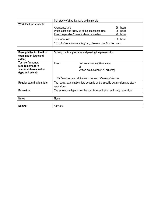|                        | Self-study of cited literature and materials                                                                      |  |                                  |
|------------------------|-------------------------------------------------------------------------------------------------------------------|--|----------------------------------|
| Work load for students | Attendance time<br>Preparation and follow up of the attendance time<br>Exam preparation/prerequisites/examination |  | 56 hours<br>98 hours<br>26 hours |
|                        | Total work load<br>* If no further information is given, please account for the notes.                            |  | 180 hours                        |

| Prerequisites for the final<br>examination (type and<br>extent)                        | Solving practical problems and passing the presentation                                   |  |
|----------------------------------------------------------------------------------------|-------------------------------------------------------------------------------------------|--|
| Test performance/<br>requirements for a<br>successful examination<br>(type and extent) | Exam:<br>oral examination (30 minutes)<br>or<br>written examination (120 minutes)         |  |
|                                                                                        | Will be announced at the latest the second week of classes.                               |  |
| <b>Regular examination date</b>                                                        | The regular examination date depends on the specific examination and study<br>regulations |  |
| <b>Evaluation</b>                                                                      | The evaluation depends on the specific examination and study regulations                  |  |

| <b>Notes</b>  | None   |
|---------------|--------|
|               |        |
| <b>Number</b> | 351360 |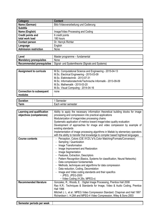| Category                     | <b>Content</b>                        |
|------------------------------|---------------------------------------|
| Name (German)                | Bild-/Videoverarbeitung und Codierung |
| <b>Subtitle</b>              |                                       |
| Name (English)               | Image/Video Processing and Coding     |
| <b>Credit points and</b>     | 6 credit points                       |
| total work load              | 180 hours                             |
| <b>Contact person</b>        | Dr. Henryk Richter                    |
| Language                     | English                               |
| <b>Admission restriction</b> | None                                  |

| Level                            | Master programme – fundamental                  |
|----------------------------------|-------------------------------------------------|
| <b>Mandatory prerequisites</b>   | None                                            |
| <b>Recommended prerequisites</b> | Signal- und Systemtheorie (Signals and Systems) |

| <b>Assignment to curricula</b>  | M.Sc. Computational Science and Engineering - 2015-04-13<br>M.Sc. Electrical Engineering - 2015-03-09 |
|---------------------------------|-------------------------------------------------------------------------------------------------------|
|                                 | M.Sc. Elektrotechnik - 2013-07-31                                                                     |
|                                 | M.Sc. Informationstechnik/Technische Informatik - 2013-09-09                                          |
|                                 | M.Sc. Mathematik - 2015-03-20                                                                         |
|                                 | M.Sc. Visual Computing - 2014-04-16                                                                   |
| <b>Connection to subsequent</b> | none                                                                                                  |
| modules                         |                                                                                                       |
|                                 |                                                                                                       |
| $\sim$                          | $\sim$                                                                                                |

| -<br>. <b>.</b>                  | 16216                       |
|----------------------------------|-----------------------------|
| --<br><b>A MIN</b><br><b>GUU</b> | winter<br>∶semester<br>⊨acn |
|                                  |                             |

| Learning and qualification    | Ability to apply the necessary information theoretical building blocks for image  |  |
|-------------------------------|-----------------------------------------------------------------------------------|--|
| objectives (competences)      | processing and compression into practical applications                            |  |
|                               | Modularization of image/video processing chains                                   |  |
|                               | Systematic application of metrics toward image/video quality evaluation           |  |
|                               | Development of approaches for image and video compession by example of            |  |
|                               | existing standards                                                                |  |
|                               | Implementation of image processing algorithms in Matlab by elementary operators   |  |
|                               | with the ability to transfer that knowledge to compiler based highlevel languages |  |
| <b>Course contents</b>        | Perception, Colors (CIE XYZ/L*a*b,Color Matching/Formats/Conversion)              |  |
|                               | - Sampling / Quantization                                                         |  |
|                               | - Image Transformation                                                            |  |
|                               | - Image Improvement and Restoration                                               |  |
|                               | - Image Segmentation                                                              |  |
|                               | - Features, Extraction, Descriptors                                               |  |
|                               | - Pattern Recognition (Basics, Systems for classification, Neural Networks)       |  |
|                               | - Data compression fundamentals                                                   |  |
|                               | - Methods, techniques and algorithms for data compression                         |  |
|                               | - Data reduction, Coding, Decorrelation                                           |  |
|                               | - Image and Video coding standards and their specifics                            |  |
|                               | · JPEG, JPEG-2000                                                                 |  |
|                               | · Video Coding (H.26x, MPEG-x)                                                    |  |
| <b>Recommended literature</b> | Gonzalez, R.; Woods, E.: Digital Image Processing, Prentice Hall 2008             |  |
|                               | Rao K.R.: Techniques & Standards for Image, Video & Audio Coding, Prentice        |  |
|                               | <b>Hall 1996</b>                                                                  |  |
|                               | Mitchell J. L. et al.: MPEG Video Compression Standard. Chapman and Hall 1997     |  |
|                               | Richardson I.: H.264 and MPEG-4 Video Compression, Wiley & Sons 2003              |  |

| Semester periods per week |  |
|---------------------------|--|
|                           |  |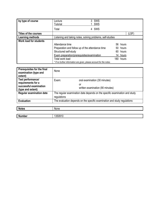| by type of course             | Lecture<br><b>Tutorial</b>                                           | SWS<br>SWS                                                 |      |          |
|-------------------------------|----------------------------------------------------------------------|------------------------------------------------------------|------|----------|
|                               | Total                                                                | 4 SWS                                                      |      |          |
| <b>Titles of the courses</b>  |                                                                      |                                                            |      | (LSF)    |
| Learning methods              |                                                                      | Listening and taking notes, solving problems, self-studies |      |          |
| <b>Work load for students</b> |                                                                      |                                                            |      |          |
|                               | Attendance time                                                      |                                                            |      | 56 hours |
|                               | Preparation and follow up of the attendance time                     |                                                            |      | 50 hours |
|                               | Structured self-study<br>60 hours                                    |                                                            |      |          |
|                               | Exam preparation/prerequisites/examination<br>14 hours               |                                                            |      |          |
|                               | Total work load                                                      |                                                            | 180. | hours    |
|                               | * If no further information are given, please account for the notes. |                                                            |      |          |

| Prerequisites for the final<br>examination (type and<br>extent)                        | None                                                                                      |                                                                         |
|----------------------------------------------------------------------------------------|-------------------------------------------------------------------------------------------|-------------------------------------------------------------------------|
| Test performance/<br>requirements for a<br>successful examination<br>(type and extent) | Exam:                                                                                     | oral examination (30 minutes)<br>or<br>written examination (90 minutes) |
| <b>Regular examination date</b>                                                        | The regular examination date depends on the specific examination and study<br>regulations |                                                                         |
| <b>Evaluation</b>                                                                      | The evaluation depends on the specific examination and study regulations                  |                                                                         |
|                                                                                        |                                                                                           |                                                                         |
| <b>Notes</b>                                                                           | None                                                                                      |                                                                         |

| <b>N</b><br>716 | יי |
|-----------------|----|
|                 |    |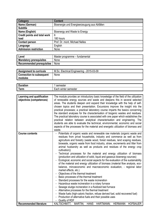| Category                            | <b>Content</b>                               |
|-------------------------------------|----------------------------------------------|
| Name (German)                       | Bioenergie und Energieerzeugung aus Abfällen |
| <b>Subtitle</b>                     |                                              |
| Name (English)                      | Bioenergy and Waste to Energy                |
| <b>Credit points and total work</b> | 6                                            |
| load                                | 180 hours                                    |
| <b>Contact person</b>               | Prof. Dr. mont. Michael Nelles               |
| Language                            | English                                      |
| <b>Admission restriction</b>        | None                                         |

| ∟evel                            | Master programme – fundamental |
|----------------------------------|--------------------------------|
| <b>Mandatory prerequisites</b>   | None                           |
| <b>Recommended prerequisites</b> | None                           |

| Assignment to curricula         | M.Sc. Electrical Engineering - 2015-03-09 |
|---------------------------------|-------------------------------------------|
| <b>Connection to subsequent</b> | None                                      |
| modules                         |                                           |

| -<br>- - - - - -<br>----<br>uon. | $- - - -$<br>mester<br>351 |
|----------------------------------|----------------------------|
| orm<br><u></u>                   | winter<br>semester<br>:acr |

| Learning and qualification<br>objectives (competences) | The module provides an introductory basic knowledge of the field of the utilization<br>of renewable energy sources and waste and deepens this in several selected<br>areas. The students deepen and expand their knowledge with the help of self-                                                                                                                                                                                                                                                                                                                                                                                                                                                                                                                                                                                                                                           |
|--------------------------------------------------------|---------------------------------------------------------------------------------------------------------------------------------------------------------------------------------------------------------------------------------------------------------------------------------------------------------------------------------------------------------------------------------------------------------------------------------------------------------------------------------------------------------------------------------------------------------------------------------------------------------------------------------------------------------------------------------------------------------------------------------------------------------------------------------------------------------------------------------------------------------------------------------------------|
|                                                        | chosen topics and their presentation. Excursions improve the insight into the<br>practical processes; a practical laboratory course imparts the basics concerning                                                                                                                                                                                                                                                                                                                                                                                                                                                                                                                                                                                                                                                                                                                           |
|                                                        | the standard analyses for the characterisation of biogenic wastes and residues.<br>The practical laboratory course is associated with one paper which establishes the<br>practical relation between analytical characterisation and engineering. The                                                                                                                                                                                                                                                                                                                                                                                                                                                                                                                                                                                                                                        |
|                                                        | students are able to evaluate the technical, environmental, economic and social<br>aspects of the processes for the material and energetic utilization of biomass and                                                                                                                                                                                                                                                                                                                                                                                                                                                                                                                                                                                                                                                                                                                       |
|                                                        | waste.                                                                                                                                                                                                                                                                                                                                                                                                                                                                                                                                                                                                                                                                                                                                                                                                                                                                                      |
| <b>Course contents</b>                                 | Potentials of organic waste and renewable raw materials (organic waste and<br>residues from privat households, industry and commerce as well as from<br>agriculture and forestry (waste wood, forest residues, land scaping residues,<br>biowaste, organic waste from food industry, straw, excrements and litter from<br>animal husbandry as well as products and residues of the energy crop<br>cultivation))                                                                                                                                                                                                                                                                                                                                                                                                                                                                             |
|                                                        | Technical processes for the material and energy utilization of biomass<br>(production and utilization of solid, liquid and gaseous bioenergy sources)<br>Ecological, economic and social aspects for the evaluation of the sustainability<br>of the material and energy utilization of biomass (material flow analysis, eco-<br>balance, mircoeconomic and macroeconomic evaluation, - regional labor<br>market effects, etc.)<br>Objectives of the thermal treatment<br>Basic processes of the thermal treatment<br>Standard processes for the waste incineration<br>Hazardous waste incineration in a rotary furnace<br>٠<br>Sewage sludge incineration in a fluidized bed furnace<br>٠<br>Alternative processes for the thermal treatment<br>- Waste fuels (high-caloric fraction, refuse derived fuel, solid recovered fuel)<br>Production of alternative fuels and their possible uses |
| <b>Recommended literature</b>                          | Quality of RDF<br>۰.<br>KALTSCHMITT, MARTIN;<br><b>HANS</b><br>HARTMANN; HERMANN<br><b>HOFBAUER</b>                                                                                                                                                                                                                                                                                                                                                                                                                                                                                                                                                                                                                                                                                                                                                                                         |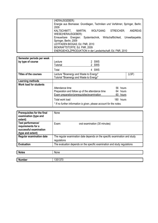| (HERAUSGEBER):                                                               |
|------------------------------------------------------------------------------|
| Energie aus Biomasse: Grundlagen, Techniken und Verfahren; Springer, Berlin; |
| 2009                                                                         |
| KALTSCHMITT,<br><b>WOLFGANG</b><br>ANDREAS<br>STREICHER:<br>MARTIN;          |
| WIESE(HERAUSGEBER):                                                          |
| Erneuerbare Energien: Systemtechnik, Wirtschaftlichkeit, Umweltaspekte;      |
| Springer, Berlin; 2009                                                       |
| LEITFADEN BIOGAS; Ed. FNR, 2010                                              |
| BIOKRAFTSTOFFE; Ed. FNR, 2009                                                |
| ENERGIEHOLZPRODUKTION in der Landwirtschaft; Ed. FNR, 2010                   |

| Semester periods per week<br>by type of course | _ecture<br><b>Tutorial</b>                                                                                        | 2 SWS<br>2 SWS |                               |
|------------------------------------------------|-------------------------------------------------------------------------------------------------------------------|----------------|-------------------------------|
|                                                | Total                                                                                                             | 4 SWS          |                               |
| Titles of the courses                          | Lecture "Bioenergy and Waste to Energy"<br>Tutorial "Bioenergy and Waste to Energy"                               |                | (LSF)                         |
| <b>Learning methods</b>                        |                                                                                                                   |                |                               |
| <b>Work load for students</b>                  | Attendance time<br>Preparation and follow up of the attendance time<br>Exam preparation/prerequisites/examination | 60.            | 56 hours<br>64 hours<br>hours |
|                                                | Total work load<br>* If no further information is given, please account for the notes.                            |                | 180 hours                     |

| Prerequisites for the final<br>examination (type and<br>extent)                        | None                                                                                      |
|----------------------------------------------------------------------------------------|-------------------------------------------------------------------------------------------|
| Test performance/<br>requirements for a<br>successful examination<br>(type and extent) | Exam:<br>oral examination (30 minutes)                                                    |
| <b>Regular examination date</b>                                                        | The regular examination date depends on the specific examination and study<br>regulations |
| <b>Evaluation</b>                                                                      | The evaluation depends on the specific examination and study regulations                  |
|                                                                                        |                                                                                           |
| <b>Notes</b>                                                                           | None                                                                                      |

| Number | 1021070<br>. د.<br>וטוי |
|--------|-------------------------|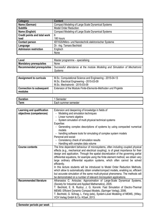| Category                            | <b>Content</b>                                        |
|-------------------------------------|-------------------------------------------------------|
| Name (German)                       | Compact Modeling of Large Scale Dynamical Systems     |
| <b>Subtitle</b>                     | <b>Model Order Reduction</b>                          |
| Name (English)                      | Compact Modeling of Large Scale Dynamical Systems     |
| <b>Credit points and total work</b> | 6                                                     |
| load                                | 180 hours                                             |
| <b>Contact person</b>               | IEF/IGS/Mikro- und Nanotechnik elektronischer Systeme |
| Language                            | Dr. - Ing. Tamara Bechtold                            |
| <b>Admission restriction</b>        | Englisch                                              |
|                                     | None                                                  |

| Level                          | Master programme – specialising                                                                                   |
|--------------------------------|-------------------------------------------------------------------------------------------------------------------|
| <b>Mandatory prerequisites</b> | None                                                                                                              |
|                                | Recommended prerequisites   Successful attendance at the module Modeling and Simulation of Mechatronic<br>Systems |
|                                |                                                                                                                   |

| <b>Assignment to curricula</b>  | M.Sc. Computational Science and Engineering - 2015-04-13      |
|---------------------------------|---------------------------------------------------------------|
|                                 | M.Sc. Electrical Engineering - 2015-03-09                     |
|                                 | M.Sc. Mechatronik - 2015-03-09                                |
| <b>Connection to subsequent</b> | Extension of the Module Finite-Elemente-Methoden und Projekte |
| modules                         |                                                               |

| $\overline{\phantom{a}}$<br>------- | пеэгег                           |
|-------------------------------------|----------------------------------|
| orm<br><b>GIIII</b>                 | semester<br>umer :<br>sur<br>лω. |

| Learning and qualification<br>objectives (competences) | Extension and deepening of knowledge in fields of<br>Modeling and simulation techniques<br>Linear numeric algebra<br>System simulation of multi physical technical systems<br>Expertise:<br>Generating complex descriptions of systems by using compacted numerical<br>models<br>handling software tools for simulating of complex system models<br>Personal and social:                                                                                                                                                                                                                                                                                                                                                                                                         |
|--------------------------------------------------------|----------------------------------------------------------------------------------------------------------------------------------------------------------------------------------------------------------------------------------------------------------------------------------------------------------------------------------------------------------------------------------------------------------------------------------------------------------------------------------------------------------------------------------------------------------------------------------------------------------------------------------------------------------------------------------------------------------------------------------------------------------------------------------|
|                                                        | Consistency check of simulation results                                                                                                                                                                                                                                                                                                                                                                                                                                                                                                                                                                                                                                                                                                                                          |
|                                                        | Handling with complex data volume                                                                                                                                                                                                                                                                                                                                                                                                                                                                                                                                                                                                                                                                                                                                                |
| <b>Course contents</b>                                 | The time dependent behaviour of microsystems, often including coupled physical<br>effects (e.g., mechanical and electrical coupling), is of great importance for their<br>design and application. Through the spatial discretization of the governing partial<br>differential equations, for example using the finite element method, we obtain very<br>large ordinary differential equation systems, which often cannot be solved<br>efficiently.<br>In this lecture students will be introduced to Model Order Reduction Methods,<br>which allow to automatically obtain smaller/compact models, enabling so, efficient<br>but accurate simulation of the same multi-physical phenomena. The methods will<br>be demonstrated on a number of relevant microsystem applications. |
| <b>Recommended literature</b>                          | Athanasios C. Antoulas: Approximation of Large-Scale Dynamical Systems,<br>(Society for Industrial and Applied Mathematics), 2005.<br>T. Bechtold, E. B. Rudnyi, J. G. Korvink: Fast Simulation of Electro-Thermal<br>MEMS: Efficient Dynamic Compact Models, (Springer Verlag), 2006.<br>T. Bechtold, G. Schrag, L. Feng (eds), System-Level Modeling of MEMS, (Wiley-<br>VCH Verlag GmbH & Co. KGaA, 2013.                                                                                                                                                                                                                                                                                                                                                                     |

| Semester periods per week |  |
|---------------------------|--|
|                           |  |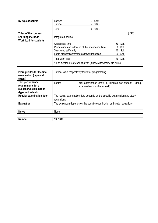| by type of course             | Lecture<br><b>Tutorial</b>                                          | 2 SWS<br>2 SWS |  |
|-------------------------------|---------------------------------------------------------------------|----------------|--|
|                               | Total                                                               | 4 SWS          |  |
| Titles of the courses         |                                                                     | (LSF)          |  |
| Learning methods              | Integrated course                                                   |                |  |
| <b>Work load for students</b> |                                                                     |                |  |
|                               | Attendance time                                                     | 60 Std.        |  |
|                               | Preparation and follow up of the attendance time                    | 60 Std.        |  |
|                               | Structured self-study                                               | 40 Std.        |  |
|                               | Exam preparation/prerequisites/examination                          | 20 Std.        |  |
|                               | Total work load                                                     | 180 Std.       |  |
|                               | * If no further information is given, please account for the notes. |                |  |

| Prerequisites for the final<br>examination (type and<br>extent)                        | Tutorial tasks respectively tasks for programming                                               |  |
|----------------------------------------------------------------------------------------|-------------------------------------------------------------------------------------------------|--|
| Test performance/<br>requirements for a<br>successful examination<br>(type and extent) | oral examination (max. 30 minutes per student - group<br>Exam:<br>examination possible as well) |  |
| <b>Regular examination date</b>                                                        | The regular examination date depends on the specific examination and study<br>regulations       |  |
| <b>Evaluation</b>                                                                      | The evaluation depends on the specific examination and study regulations                        |  |
|                                                                                        |                                                                                                 |  |
| <b>Notes</b>                                                                           | None                                                                                            |  |
|                                                                                        |                                                                                                 |  |
| <b>Number</b>                                                                          | 1351310                                                                                         |  |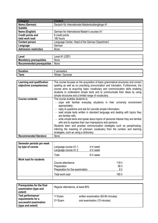| <b>Category</b>          | <b>Content</b>                                   |
|--------------------------|--------------------------------------------------|
| Name (German)            | Deutsch für Internationale Masterstudiengänge A1 |
| <b>Subtitle</b>          |                                                  |
| Name (English)           | German for international Master's courses A1     |
| <b>Credit points and</b> | 6 credit points                                  |
| total work load          | 180 hours                                        |
| <b>Contact person</b>    | Language Center, Head of the German Department   |
| Language                 | German                                           |
| Admission restriction    | None                                             |

| Level                          | (CEF)<br>Level A1 |
|--------------------------------|-------------------|
| <b>Mandatory prerequisites</b> | None              |
| Recommended prerequisites      | None              |

| -<br>- - - - - -<br>.<br>auon | ----<br>nesters<br><br>351                 |
|-------------------------------|--------------------------------------------|
| -<br>orm<br>1 <b>CLIII</b>    | ۱۸ľ<br>.<br>nmer<br>nei<br>Juli"<br>Ш<br>. |

| Learning and qualification<br>objectives (competences) | The course focuses on the acquisition of basic grammatical structures and correct<br>spelling as well as on practising pronunciation and intonation. Furthermore, the<br>course aims at acquiring basic vocabulary and communication skills enabling<br>students to understand simple texts and to communicate their ideas by using<br>simple structures and a limited range of vocabulary.                                                                                                                                                                                                                                                              |
|--------------------------------------------------------|----------------------------------------------------------------------------------------------------------------------------------------------------------------------------------------------------------------------------------------------------------------------------------------------------------------------------------------------------------------------------------------------------------------------------------------------------------------------------------------------------------------------------------------------------------------------------------------------------------------------------------------------------------|
| <b>Course contents</b>                                 | The course enables students to<br>cope with familiar everyday situations in their university environment<br>appropriately;<br>reply to questions and ask for/ provide simple information;<br>- read simple texts written in standard language and dealing with topics they<br>are familiar with:<br>- write simple texts and speak about topics of personal interest they are familiar<br>with and to express their own impressions and opinions.<br>Students learn and practise communication strategies such as paraphrasing,<br>inferring the meaning of unknown vocabulary from the context, and learning<br>strategies, such as using a dictionary. |
| <b>Recommended literature</b>                          | None                                                                                                                                                                                                                                                                                                                                                                                                                                                                                                                                                                                                                                                     |

| Semester periods per week<br>by type of course | Language course A1.1.<br>Language course A1.2 | 4 h/ week<br>4 h/ week |       |
|------------------------------------------------|-----------------------------------------------|------------------------|-------|
|                                                | Total                                         | 8 h/ week              |       |
| Work load for students                         |                                               |                        |       |
|                                                | Course attendance                             |                        | 118h  |
|                                                | Preparation                                   |                        | 56 h  |
|                                                | Preparation for the examination               |                        | 6 h   |
|                                                | Total work load                               |                        | 180 h |
|                                                |                                               |                        |       |

| Prerequisites for the final<br>examination (type and | Regular attendance, at least 80% |                                     |
|------------------------------------------------------|----------------------------------|-------------------------------------|
| extent)                                              |                                  |                                     |
| Test performance/                                    | 1 <sup>st</sup> Exam:            | written examination (60-90 minutes) |
| requirements for a<br>successful examination         | 2 <sup>nd</sup> Exam:            | oral examination (15 minutes)       |
| (type and extent)                                    |                                  |                                     |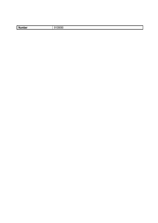| . .<br>.nber<br>N<br>. | '09090<br>. . |
|------------------------|---------------|
|                        |               |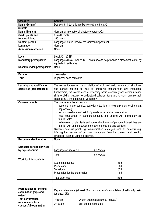| <b>Category</b>          | <b>Content</b>                                     |
|--------------------------|----------------------------------------------------|
| Name (German)            | Deutsch für Internationale Masterstudiengänge A2.1 |
| <b>Subtitle</b>          |                                                    |
| Name (English)           | German for international Master's courses A2.1     |
| <b>Credit points and</b> | 6 credit points                                    |
| total work load          | 180 hours                                          |
| <b>Contact person</b>    | Language Center, Head of the German Department     |
| Language                 | German                                             |
| Admission restriction    | None                                               |

| Level                            | Level A2.1 (CEF)                                                                  |
|----------------------------------|-----------------------------------------------------------------------------------|
| <b>Mandatory prerequisites</b>   | Language skills at level A1 CEF which have to be proven in a placement test or by |
|                                  | equivalent certificates                                                           |
| <b>Recommended prerequisites</b> | None                                                                              |
|                                  |                                                                                   |

| R<br><br>.     | ווהאו                                                      |
|----------------|------------------------------------------------------------|
| $\sim$<br>Term | max<br>comoctor<br>each<br>ın<br>semester<br>וחו<br>וה והו |

| Learning and qualification<br>objectives (competences) | The course focuses on the acquisition of additional basic grammatical structures<br>and correct spelling as well as practising pronunciation and intonation.<br>Furthermore, the course aims at extending basic vocabulary and communication<br>skills enabling students to understand coherent texts and to communicate their                                                                                                                                                                                                                                                                                                                                                                                  |  |  |  |
|--------------------------------------------------------|-----------------------------------------------------------------------------------------------------------------------------------------------------------------------------------------------------------------------------------------------------------------------------------------------------------------------------------------------------------------------------------------------------------------------------------------------------------------------------------------------------------------------------------------------------------------------------------------------------------------------------------------------------------------------------------------------------------------|--|--|--|
| <b>Course contents</b>                                 | ideas using a limited range of vocabulary.<br>The course enables students to<br>cope with more complex everyday situations in their university environment<br>appropriately;<br>reply to questions and ask for/ provide more detailed information;<br>- read texts written in standard language and dealing with topics they are<br>familiar with;<br>write more complex texts and speak about topics of personal interest they are<br>familiar with and to express their own impressions and opinions.<br>Students continue practising communication strategies such as paraphrasing,<br>inferring the meaning of unknown vocabulary from the context, and learning<br>strategies, such as using a dictionary. |  |  |  |
| <b>Recommended literature</b>                          | None                                                                                                                                                                                                                                                                                                                                                                                                                                                                                                                                                                                                                                                                                                            |  |  |  |

| Semester periods per week     | Language course A 2.1.                                                                               | 4 h / week                          |
|-------------------------------|------------------------------------------------------------------------------------------------------|-------------------------------------|
| by type of course             | Total                                                                                                | 4 h / week                          |
| <b>Work load for students</b> | Course attendance<br>Preparation<br>Self-study<br>Preparation for the examination<br>Total work load | 56 h<br>56 h<br>62h<br>6 h<br>180 h |

| <b>Prerequisites for the final</b><br>examination (type and<br>extent) | (at least $80\%$ )                             | Regular attendance (at least 80%) and successful completion of self-study tasks |
|------------------------------------------------------------------------|------------------------------------------------|---------------------------------------------------------------------------------|
| Test performance/<br>requirements for a<br>successful examination      | 1 <sup>st</sup> Exam:<br>2 <sup>nd</sup> Exam: | written examination (60-90 minutes)<br>oral exam (15 minutes)                   |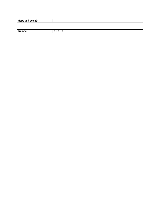| (type and extent) |  |
|-------------------|--|
|                   |  |

| --<br>- - - -<br>N. | ъ<br>v<br>. . |
|---------------------|---------------|
| mpe                 | u             |
|                     |               |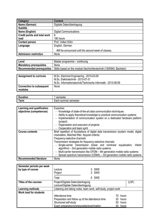| Category                            | <b>Content</b>                                      |
|-------------------------------------|-----------------------------------------------------|
| Name (German)                       | Digitale Datenübertragung                           |
| <b>Subtitle</b>                     |                                                     |
| Name (English)                      | <b>Digital Communications</b>                       |
| <b>Credit points and total work</b> | 6                                                   |
| load                                | 180 hours                                           |
| <b>Contact person</b>               | Prof. Volker Kühn                                   |
| Language                            | English, German                                     |
|                                     | Will be announced until the second week of classes. |
| Admission restriction               | None                                                |

| Level                            | Master programme – continuing                                     |
|----------------------------------|-------------------------------------------------------------------|
| <b>Mandatory prerequisites</b>   | None                                                              |
| <b>Recommended prerequisites</b> | Skills based on the module Nachrichtentechnik (1300940, Bachelor) |

| <b>Assignment to curricula</b>             | M.Sc. Electrical Engineering - 2015-03-09<br>M.Sc. Elektrotechnik - 2013-07-31<br>M.Sc. Informationstechnik/Technische Informatik - 2013-09-09 |
|--------------------------------------------|------------------------------------------------------------------------------------------------------------------------------------------------|
| <b>Connection to subsequent</b><br>modules | None                                                                                                                                           |

| -                   | nester                         |
|---------------------|--------------------------------|
| - - -               | $ -$                           |
| auon                | SUI                            |
| orm<br><b>ALLII</b> | semester<br>acr<br>sur<br>nmer |

| Learning and qualification<br>objectives (competences) | Expertise:<br>Knowledge of state-of-the-art data communication techniques<br>$\sim$<br>Ability to apply theoretical knowledge to practical communication systems<br>Implementation of communication system on a dedicated hardware platform |  |  |
|--------------------------------------------------------|---------------------------------------------------------------------------------------------------------------------------------------------------------------------------------------------------------------------------------------------|--|--|
|                                                        | (project)<br>Organisation and execution of projects                                                                                                                                                                                         |  |  |
|                                                        | Cooperation and team spirit                                                                                                                                                                                                                 |  |  |
| <b>Course contents</b>                                 | Brief repetition of foundations of digital data transmission (system model, digital                                                                                                                                                         |  |  |
|                                                        | modulation, Matched filter, Nyquist criteria)                                                                                                                                                                                               |  |  |
|                                                        | Frequency-selective channels                                                                                                                                                                                                                |  |  |
|                                                        | Transmission strategies for frequency-selective channels                                                                                                                                                                                    |  |  |
|                                                        | - Single-carrier transmission (linear and nonlinear equalization,<br>Viterbi                                                                                                                                                                |  |  |
|                                                        | algorithm) – 2nd generation mobile radio systems                                                                                                                                                                                            |  |  |
|                                                        | Multi-carrier transmission like OFDM - 4th generation mobile radio systems                                                                                                                                                                  |  |  |
|                                                        | Spread spectrum transmission (CDMA) - 3rd generation mobile radio systems                                                                                                                                                                   |  |  |
| <b>Recommended literature</b>                          | None                                                                                                                                                                                                                                        |  |  |

| Semester periods per week     |                                                                  |              |  |
|-------------------------------|------------------------------------------------------------------|--------------|--|
| by type of course             | _ecture                                                          | 3 SWS        |  |
|                               | Project                                                          | 2 SWS        |  |
|                               | Total                                                            | 5 SWS        |  |
| Titles of the courses         | Project/Digitale Datenübertragung<br>(LSF)                       |              |  |
|                               | Lecture/Digitale Datenübertragung                                |              |  |
| <b>Learning methods</b>       | Listening and taking notes, team work, self-study, project work  |              |  |
| <b>Work load for students</b> |                                                                  |              |  |
|                               | Attendance time                                                  | hours<br>70. |  |
|                               | Preparation and follow up of the attendance time<br>hours<br>20. |              |  |
|                               | Structured self-study                                            | 50<br>hours  |  |
|                               | Exam preparation/prerequisites/examination                       | 40 hours     |  |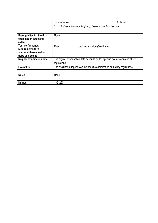| Total work load                                                                | 180 hours |
|--------------------------------------------------------------------------------|-----------|
| <sup>*</sup> If no further information is given, please account for the notes. |           |

| Prerequisites for the final<br>examination (type and<br>extent)                        | None                                                                                      |
|----------------------------------------------------------------------------------------|-------------------------------------------------------------------------------------------|
| Test performance/<br>requirements for a<br>successful examination<br>(type and extent) | Exam:<br>oral examination (30 minutes)                                                    |
| <b>Regular examination date</b>                                                        | The regular examination date depends on the specific examination and study<br>regulations |
| <b>Evaluation</b>                                                                      | The evaluation depends on the specific examination and study regulations                  |
|                                                                                        |                                                                                           |
| <b>Notes</b>                                                                           | None                                                                                      |
|                                                                                        |                                                                                           |
| <b>Number</b>                                                                          | 1351290                                                                                   |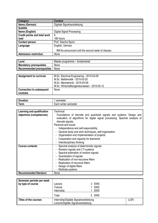| Category                            | <b>Content</b>                                      |
|-------------------------------------|-----------------------------------------------------|
| Name (German)                       | Digitale Signalverarbeitung                         |
| <b>Subtitle</b>                     |                                                     |
| Name (English)                      | <b>Digital Signal Processing</b>                    |
| <b>Credit points and total work</b> | 6                                                   |
| load                                | 180 hours                                           |
| <b>Contact person</b>               | Prof. Sascha Spors                                  |
| Language                            | English, German                                     |
|                                     | Will be announced until the second week of classes. |
| <b>Admission restriction</b>        | None                                                |

| Level                          | Master programme – fundamental |
|--------------------------------|--------------------------------|
| <b>Mandatory prerequisites</b> | None                           |
| Recommended prerequisites      | None                           |

| <b>Assignment to curricula</b>  | M.Sc. Electrical Engineering - 2015-03-09    |
|---------------------------------|----------------------------------------------|
|                                 | M.Sc. Mathematik - 2015-03-20                |
|                                 | M.Sc. Mechatronik - 2015-03-09               |
|                                 | M.Sc. Wirtschaftsingenieurwesen - 2015-05-12 |
| <b>Connection to subsequent</b> | None                                         |
| modules                         |                                              |

| -<br>------<br>---- | 11                              |
|---------------------|---------------------------------|
| -<br>$  -$<br>ווויט | winter<br>sen<br>acı<br>Tiester |

| Learning and qualification    | Technical:                                                                                                                                                                 |  |
|-------------------------------|----------------------------------------------------------------------------------------------------------------------------------------------------------------------------|--|
| objectives (competences)      | Foundations of discrete and quantized signals and systems. Design and<br>evaluation of algorithms for digital signal processing. Spectral analysis of<br>discrete signals. |  |
|                               | Personal and social:                                                                                                                                                       |  |
|                               | Independence and self-responsibility                                                                                                                                       |  |
|                               | General study and work techniques, self-organisation                                                                                                                       |  |
|                               | Organisation and implementation of projects                                                                                                                                |  |
|                               | Cooperation and capacity for teamwork                                                                                                                                      |  |
|                               | Interdisciplinary thinking                                                                                                                                                 |  |
| <b>Course contents</b>        | Spectral analysis of deterministic signals                                                                                                                                 |  |
|                               | Random signals and LTI systems                                                                                                                                             |  |
|                               | Spectral estimation of random signals                                                                                                                                      |  |
|                               | Quantization of signals                                                                                                                                                    |  |
|                               | Realization of non-recursive filters                                                                                                                                       |  |
|                               | Realization of recursive filters                                                                                                                                           |  |
|                               | Design of digital filters                                                                                                                                                  |  |
|                               | Multirate systems                                                                                                                                                          |  |
| <b>Recommended literature</b> | None                                                                                                                                                                       |  |

| Semester periods per week<br>by type of course | Lecture<br><b>Tutorial</b><br>Internship                                      | 3 SWS<br>1 SWS<br>SWS |       |
|------------------------------------------------|-------------------------------------------------------------------------------|-----------------------|-------|
|                                                | Total                                                                         | 5 SWS                 |       |
| <b>Titles of the courses</b>                   | Internship/Digitale Signalverarbeitung<br>Lecture/Digitale Signalverarbeitung |                       | (LSF) |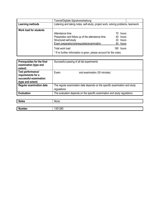|                               | Tutorial/Digitale Signalverarbeitung                                                                                                       |     |                                           |  |
|-------------------------------|--------------------------------------------------------------------------------------------------------------------------------------------|-----|-------------------------------------------|--|
| Learning methods              | Listening and taking notes, self-study, project work, solving problems, teamwork                                                           |     |                                           |  |
| <b>Work load for students</b> | Attendance time<br>Preparation and follow up of the attendance time<br>Structured self-study<br>Exam preparation/prerequisites/examination | 70. | hours<br>40 hours<br>30 hours<br>40 hours |  |
|                               | Total work load<br>* If no further information is given, please account for the notes.                                                     |     | 180 hours                                 |  |

| Prerequisites for the final<br>examination (type and<br>extent)                        | Successful passing of all lab experiments                                                 |  |
|----------------------------------------------------------------------------------------|-------------------------------------------------------------------------------------------|--|
| Test performance/<br>requirements for a<br>successful examination<br>(type and extent) | Exam:<br>oral examination (30 minutes)                                                    |  |
| <b>Regular examination date</b>                                                        | The regular examination date depends on the specific examination and study<br>regulations |  |
| <b>Evaluation</b>                                                                      | The evaluation depends on the specific examination and study regulations                  |  |
|                                                                                        |                                                                                           |  |
| <b>Notes</b>                                                                           | None                                                                                      |  |

| NOTES         | <b>None</b> |
|---------------|-------------|
|               |             |
| <b>Number</b> | 351280      |
|               |             |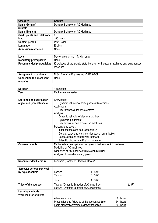| Category                            | <b>Content</b>                  |
|-------------------------------------|---------------------------------|
| Name (German)                       | Dynamic Behavior of AC Machines |
| <b>Subtitle</b>                     |                                 |
| Name (English)                      | Dynamic Behavior of AC Machines |
| <b>Credit points and total work</b> | 6                               |
| load                                | 180 hours                       |
| <b>Contact person</b>               | Prof. Eckel                     |
| Language                            | English                         |
| Admission restriction               | None                            |

| Level                            | Master programme - fundamental                                               |
|----------------------------------|------------------------------------------------------------------------------|
| <b>Mandatory prerequisites</b>   | None                                                                         |
| <b>Recommended prerequisites</b> | Knowledge of the steady-state behavior of induction machines and synchronous |
|                                  | machines                                                                     |
|                                  |                                                                              |
| <b>Assignment to curricula</b>   | M.Sc. Electrical Engineering - 2015-03-09                                    |
| <b>Connection to subsequent</b>  | None                                                                         |
| modules                          |                                                                              |

| $\mathsf{I}$ | ----    |
|--------------|---------|
| L.T.         | winter  |
| Term         | semeste |
| a ka         | acı     |

| Learning and qualification    | Knowledge:                                                                           |  |  |  |  |
|-------------------------------|--------------------------------------------------------------------------------------|--|--|--|--|
|                               |                                                                                      |  |  |  |  |
| objectives (competences)      | Dynamic behavior of three phase AC machines<br>$\blacksquare$                        |  |  |  |  |
|                               | Application:                                                                         |  |  |  |  |
|                               | - Simulation tools for drive systems                                                 |  |  |  |  |
|                               | Analysis:                                                                            |  |  |  |  |
|                               | - Dynamic behavior of electric machines                                              |  |  |  |  |
|                               | - Synthesis, judgement                                                               |  |  |  |  |
|                               | Simulations models for electric machines                                             |  |  |  |  |
|                               | Personal and social:                                                                 |  |  |  |  |
|                               | Independence and self-responsibility                                                 |  |  |  |  |
|                               | General study and work techniques, self-organisation<br>$\qquad \qquad \blacksquare$ |  |  |  |  |
|                               | Cooperation and capacity for teamwork<br>$\overline{\phantom{a}}$                    |  |  |  |  |
|                               | Scientific discourse in English language                                             |  |  |  |  |
| <b>Course contents</b>        | Mathematical description of the dynamic behavior of AC machines                      |  |  |  |  |
|                               | Modelling of AC machines                                                             |  |  |  |  |
|                               | Simulation of AC machines with Matlab/Simulink                                       |  |  |  |  |
|                               | Analysis of special operating points                                                 |  |  |  |  |
|                               |                                                                                      |  |  |  |  |
| <b>Recommended literature</b> | Leonhard "Control of Electrical Drives"                                              |  |  |  |  |

| Semester periods per week<br>by type of course | Lecture<br><b>Tutorial</b>                                                              | <b>SWS</b><br>3 SWS |             |       |
|------------------------------------------------|-----------------------------------------------------------------------------------------|---------------------|-------------|-------|
|                                                | Total                                                                                   | 4 SWS               |             |       |
| <b>Titles of the courses</b>                   | Tutorial "Dynamic Behavior of AC machines"<br>Lecture "Dynamic Behavior of AC machines" |                     |             | (LSF) |
| Learning methods                               |                                                                                         |                     |             |       |
| <b>Work load for students</b>                  |                                                                                         |                     |             |       |
|                                                | Attendance time                                                                         |                     | 56<br>hours |       |
|                                                | Preparation and follow up of the attendance time                                        |                     | 64<br>hours |       |
|                                                | Exam preparation/prerequisites/examination                                              |                     | 60<br>hours |       |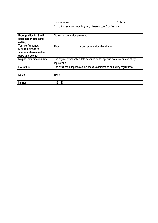| Total work load                                                     | 180 hours |
|---------------------------------------------------------------------|-----------|
| * If no further information is given, please account for the notes. |           |

| <b>Prerequisites for the final</b><br>examination (type and<br>extent)                 | Solving all simulation problems                                                           |  |  |
|----------------------------------------------------------------------------------------|-------------------------------------------------------------------------------------------|--|--|
| Test performance/<br>requirements for a<br>successful examination<br>(type and extent) | Exam:<br>written examination (90 minutes)                                                 |  |  |
| <b>Regular examination date</b>                                                        | The regular examination date depends on the specific examination and study<br>regulations |  |  |
| <b>Evaluation</b>                                                                      | The evaluation depends on the specific examination and study regulations                  |  |  |
|                                                                                        |                                                                                           |  |  |
| <b>Notes</b>                                                                           | None                                                                                      |  |  |
|                                                                                        |                                                                                           |  |  |
| <b>Number</b>                                                                          | 1351380                                                                                   |  |  |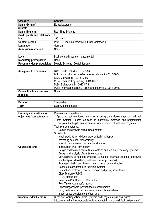| Category                            | <b>Content</b>                                 |
|-------------------------------------|------------------------------------------------|
| Name (German)                       | Echtzeitsysteme                                |
| <b>Subtitle</b>                     |                                                |
| Name (English)                      | Real-Time Systems                              |
| <b>Credit points and total work</b> | 6                                              |
| load                                | 180 hours                                      |
| <b>Contact person</b>               | Prof. Dr. Dirk Timmermann/Dr. Frank Golatowski |
| Language                            | German                                         |
| Admission restriction               | None                                           |

| Level                          | Bachelor study course – fundamental |
|--------------------------------|-------------------------------------|
| <b>Mandatory prerequisites</b> | None                                |
| Recommended prerequisites      | Digitale Systeme / Digital Systems  |

| <b>Assignment to curricula</b>  | B.Sc. Elektrotechnik - 2012-09-24                            |
|---------------------------------|--------------------------------------------------------------|
|                                 | B.Sc. Informationstechnik/Technische Informatik - 2012-09-24 |
|                                 | B.Sc. Mechatronik - 2015-03-09                               |
|                                 | M.Sc. Electrical Engineering - 2015-03-09                    |
|                                 | M.Sc. Elektrotechnik - 2013-07-31                            |
|                                 | M.Sc. Informationstechnik/Technische Informatik - 2013-09-09 |
| <b>Connection to subsequent</b> | None                                                         |
| modules                         |                                                              |

| -             | .                         |
|---------------|---------------------------|
| יוטוי.        | lestel                    |
| ----<br>1 GHT | winter<br>semester<br>acn |

| Learning and qualification    | Professional competence:                                                         |  |  |  |  |
|-------------------------------|----------------------------------------------------------------------------------|--|--|--|--|
| objectives (competences)      | Applicants get introduced into analysis, design, and development of hard real-   |  |  |  |  |
|                               | time systems. Course focusses on algorithms, methods, and programming            |  |  |  |  |
|                               | principles that help to ensure deterministic execution of real-time programs.    |  |  |  |  |
|                               | Technical competence:                                                            |  |  |  |  |
|                               | Design and analysis of real-time systems                                         |  |  |  |  |
|                               | Social skills                                                                    |  |  |  |  |
|                               | teach students to individual work on technical topics                            |  |  |  |  |
|                               | promoting personal responsibility                                                |  |  |  |  |
|                               | ability to cooperate and work in small teams                                     |  |  |  |  |
| <b>Course contents</b>        | Introduction and Terminology                                                     |  |  |  |  |
|                               | Design and features of real-times systems and real-time operating systems        |  |  |  |  |
|                               | Design and analysis of real-time systems                                         |  |  |  |  |
|                               | Development of real-time systems (co-routine, interrupt systems, forground-      |  |  |  |  |
|                               | and background-systems, real-time operating systems)                             |  |  |  |  |
|                               | Processes, tasks, and threads, interprocess communikaction                       |  |  |  |  |
|                               | Resource management in real-time systems                                         |  |  |  |  |
|                               | Semaphore protocols, priority inversion and priority inheritance                 |  |  |  |  |
|                               | <b>Classification of RTOS</b>                                                    |  |  |  |  |
|                               | <b>RTOS</b> extensions                                                           |  |  |  |  |
|                               | - Real-Time POSIX and POSIX profiles                                             |  |  |  |  |
|                               | Real-Time system performance                                                     |  |  |  |  |
|                               | Schedulinganalysis, performance measurements                                     |  |  |  |  |
|                               | Test, Code analysis, worst-case execution time analysis                          |  |  |  |  |
|                               | model-based development of real-time                                             |  |  |  |  |
| <b>Recommended literature</b> | Burns and Wellings "Real-Time Systems and Programming Languages"                 |  |  |  |  |
|                               | http://www.imd.uni-rostock.de/lehre/lehrangebot/dr-f-golatowski/echtzeitsysteme/ |  |  |  |  |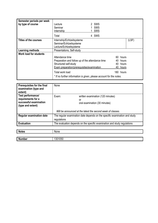| Semester periods per week<br>by type of course | Lecture<br>Seminar<br>Internship                                                                                                           | 2 SWS<br><b>SWS</b><br>SWS                   |       |
|------------------------------------------------|--------------------------------------------------------------------------------------------------------------------------------------------|----------------------------------------------|-------|
|                                                | Total                                                                                                                                      | 4 SWS                                        |       |
| <b>Titles of the courses</b>                   | Internship/Echtzeitsysteme<br>Seminar/Echtzeitsysteme<br>Lecture/Echtzeitsysteme                                                           |                                              | (LSF) |
| <b>Learning methods</b>                        | Presentations, Self-study                                                                                                                  |                                              |       |
| <b>Work load for students</b>                  | Attendance time<br>Preparation and follow up of the attendance time<br>Structured self-study<br>Exam preparation/prerequisites/examination | 60 hours<br>40 hours<br>40 hours<br>40 hours |       |
|                                                | Total work load                                                                                                                            | 180 hours                                    |       |
|                                                | * If no further information is given, please account for the notes.                                                                        |                                              |       |

| Prerequisites for the final<br>examination (type and<br>extent)                        | None                                                                     |                                                                            |
|----------------------------------------------------------------------------------------|--------------------------------------------------------------------------|----------------------------------------------------------------------------|
| Test performance/<br>requirements for a<br>successful examination<br>(type and extent) | Exam:                                                                    | written examination (120 minutes)<br>or<br>oral examination (30 minutes)   |
|                                                                                        |                                                                          | Will be announced at the latest the second week of classes.                |
| <b>Regular examination date</b>                                                        | regulations                                                              | The regular examination date depends on the specific examination and study |
| <b>Evaluation</b>                                                                      | The evaluation depends on the specific examination and study regulations |                                                                            |

| <b>Notes</b>  | None                              |
|---------------|-----------------------------------|
|               |                                   |
| <b>Number</b> | $\mathbf{a} = \mathbf{a}$<br>บะมเ |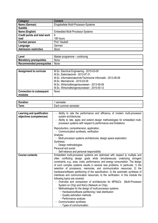| Category                            | <b>Content</b>                          |
|-------------------------------------|-----------------------------------------|
| Name (German)                       | Eingebettete Multi-Prozessor-Systeme    |
| <b>Subtitle</b>                     |                                         |
| Name (English)                      | <b>Embedded Multi-Processor Systems</b> |
| <b>Credit points and total work</b> | 6                                       |
| load                                | 180 hours                               |
| <b>Contact person</b>               | Prof. Haubelt                           |
| Language                            | German                                  |
| Admission restriction               | None                                    |

| Level                          | Master programme – continuing |
|--------------------------------|-------------------------------|
| <b>Mandatory prerequisites</b> | None                          |
| Recommended prerequisites      | None                          |

| <b>Assignment to curricula</b>  | M.Sc. Electrical Engineering - 2015-03-09                    |
|---------------------------------|--------------------------------------------------------------|
|                                 | M.Sc. Elektrotechnik - 2013-07-31                            |
|                                 | M.Sc. Informationstechnik/Technische Informatik - 2013-09-09 |
|                                 | M.Sc. Mechatronik - 2015-03-09                               |
|                                 | M.Sc. Wirtschaftsingenieurwesen - 2013-09-09                 |
|                                 | M.Sc. Wirtschaftsingenieurwesen - 2015-05-12                 |
| <b>Connection to subsequent</b> | None                                                         |
| modules                         |                                                              |

| -<br>.<br>טע<br>auul. | semester                               |
|-----------------------|----------------------------------------|
| 'erm                  | -<br>semester<br>- -<br>summer<br>∟ac⊓ |

| Learning and qualification<br>objectives (competences) | - Ability to rate the performance and efficiency of modern multi-processor<br>system architectures<br>Ability to rate, apply and extend design methodologies for embedded multi-<br>processor systems with respect to performance and limitations                                                                                                                                                                                                                                                                                                                                                                                                                                                                                                                                                                                                                                                                                                                                                                       |
|--------------------------------------------------------|-------------------------------------------------------------------------------------------------------------------------------------------------------------------------------------------------------------------------------------------------------------------------------------------------------------------------------------------------------------------------------------------------------------------------------------------------------------------------------------------------------------------------------------------------------------------------------------------------------------------------------------------------------------------------------------------------------------------------------------------------------------------------------------------------------------------------------------------------------------------------------------------------------------------------------------------------------------------------------------------------------------------------|
|                                                        | Reproduction, comprehension, application:<br>- Communication synthesis, verification<br>Analysis:<br>- Multi-processor systems architectures, design space exploration<br>Synthesis:<br>Design methodologies<br>Personal and social:                                                                                                                                                                                                                                                                                                                                                                                                                                                                                                                                                                                                                                                                                                                                                                                    |
| <b>Course contents</b>                                 | Self-reliance and personal responsibility<br>Embedded multi-processor systems are optimized with respect to multiple and<br>often conflicting design goals while simultaneously underlying stringent<br>constraints, e.g., area, costs, performance, and energy consumption. The design<br>of such complex systems results in several new problems. In particular, 1) the<br>selection of processors, memories, and communication resources; 2) the<br>hardware/software partitioning of the specification; 3) the automatic synthesis of<br>interfaces and communication resources; 4) the verification. In this module the<br>following topics are covered:<br>Overview and comparison of architectures for MPSoCs (Multi-Processor<br>System on Chip) and NoCs (Network on Chip)<br>Methodologies for the design of multi-processor systems<br>· Hardware/software partitioning / task distribution<br>· Quality estimation methods<br>· Performance analysis<br>Communication synthesis<br>• Types of communication |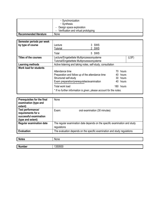|                        | · Synchronization<br>• Synthesis<br>- Design space exploration<br>Verification and virtual prototyping<br>÷. |
|------------------------|--------------------------------------------------------------------------------------------------------------|
| Recommended literature | None                                                                                                         |

| Semester periods per week<br>by type of course | Lecture<br><b>Tutorial</b>                                                                | 3 SWS<br>2 SWS |  |
|------------------------------------------------|-------------------------------------------------------------------------------------------|----------------|--|
|                                                | Total                                                                                     | 5 SWS          |  |
| Titles of the courses                          | Lecture/Eingebettete Multiprozessorsysteme<br>Tutorial/Eingebettete Multiprozessorsysteme | (LSF)          |  |
| Learning methods                               | Active listening and taking notes, self-study, consultation                               |                |  |
| <b>Work load for students</b>                  |                                                                                           |                |  |
|                                                | Attendance time                                                                           | hours<br>70.   |  |
|                                                | Preparation and follow up of the attendance time                                          | 40 hours       |  |
|                                                | Structured self-study                                                                     | 30 hours       |  |
|                                                | Exam preparation/prerequisites/examination                                                | 40<br>hours    |  |
|                                                | Total work load                                                                           | 180 hours      |  |
|                                                | * If no further information is given, please account for the notes.                       |                |  |

| <b>Prerequisites for the final</b><br>examination (type and<br>extent)                 | None                                                                                      |
|----------------------------------------------------------------------------------------|-------------------------------------------------------------------------------------------|
| Test performance/<br>requirements for a<br>successful examination<br>(type and extent) | Exam:<br>oral examination (30 minutes)                                                    |
| <b>Regular examination date</b>                                                        | The regular examination date depends on the specific examination and study<br>regulations |
| <b>Evaluation</b>                                                                      | The evaluation depends on the specific examination and study regulations                  |

| <b>Notes</b>  | None   |
|---------------|--------|
|               |        |
| <b>Number</b> | 350930 |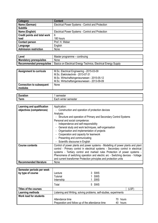| Category                     | <b>Content</b>                                    |
|------------------------------|---------------------------------------------------|
| Name (German)                | Electrical Power Systems - Control and Protection |
| <b>Subtitle</b>              |                                                   |
| Name (English)               | Electrical Power Systems - Control and Protection |
| Credit points and total work | 6                                                 |
| load                         | 180 hours                                         |
| <b>Contact person</b>        | Prof. H. Weber                                    |
| Language                     | English                                           |
| <b>Admission restriction</b> | None                                              |

| Level                            | Master programme – continuing                                  |
|----------------------------------|----------------------------------------------------------------|
| <b>Mandatory prerequisites</b>   | <b>None</b>                                                    |
| <b>Recommended prerequisites</b> | Basics on Electrical Energy Technics, Electrical Energy Supply |

| <b>Assignment to curricula</b>  | M.Sc. Electrical Engineering - 2015-03-09<br>M.Sc. Elektrotechnik - 2013-07-31<br>M.Sc. Wirtschaftsingenieurwesen - 2015-05-12 |
|---------------------------------|--------------------------------------------------------------------------------------------------------------------------------|
|                                 | M.Sc. Wirtschaftsingenieurwesen - 2013-09-09                                                                                   |
| <b>Connection to subsequent</b> | None                                                                                                                           |
| modules                         |                                                                                                                                |

| -                      | ,,,,,,                                         |
|------------------------|------------------------------------------------|
| $\sim$<br>⊺orm<br>'GHI | WII<br>ilei<br>nester<br><br>$\mathbf{u}$<br>. |

| Learning and qualification    | Application:                                                                                                                                                                                                                                                                                                                                                                                               |  |  |  |  |
|-------------------------------|------------------------------------------------------------------------------------------------------------------------------------------------------------------------------------------------------------------------------------------------------------------------------------------------------------------------------------------------------------------------------------------------------------|--|--|--|--|
| objectives (competences)      | Construction and operation of protection devices                                                                                                                                                                                                                                                                                                                                                           |  |  |  |  |
|                               | Analysis:                                                                                                                                                                                                                                                                                                                                                                                                  |  |  |  |  |
|                               | - Structure and operation of Primary and Secondary Control Systems                                                                                                                                                                                                                                                                                                                                         |  |  |  |  |
|                               | Personal and social competence:                                                                                                                                                                                                                                                                                                                                                                            |  |  |  |  |
|                               | Independence and self-responsibility                                                                                                                                                                                                                                                                                                                                                                       |  |  |  |  |
|                               | General study and work techniques, self-organisation                                                                                                                                                                                                                                                                                                                                                       |  |  |  |  |
|                               | Organisation and implementation of projects                                                                                                                                                                                                                                                                                                                                                                |  |  |  |  |
|                               | Cooperation and capacity for teamwork                                                                                                                                                                                                                                                                                                                                                                      |  |  |  |  |
|                               | - Presenting and communicating                                                                                                                                                                                                                                                                                                                                                                             |  |  |  |  |
|                               | - Scientific discourse in English                                                                                                                                                                                                                                                                                                                                                                          |  |  |  |  |
| <b>Course contents</b>        | Control of power plants and power systems - Modelling of power plants and plant<br>control - Primary control in electrical systems - Secondary control in electrical<br>systems - Tertiary control and marked rules Protection of power systems -<br>Phenomena of switching operation and electric arc - Switching devices - Voltage<br>and current transformer Protection principles and protection units |  |  |  |  |
| <b>Recommended literature</b> | None                                                                                                                                                                                                                                                                                                                                                                                                       |  |  |  |  |

| Semester periods per week<br>by type of course | _ecture<br><b>Tutorial</b><br>Internship                           | 3 SWS<br>SWS<br>1 SWS |       |
|------------------------------------------------|--------------------------------------------------------------------|-----------------------|-------|
|                                                | Total                                                              | 5 SWS                 |       |
| Titles of the courses                          |                                                                    |                       | (LSF) |
| Learning methods                               | Listening and Writing, solving problems, self-studies, experiments |                       |       |
| <b>Work load for students</b>                  |                                                                    |                       |       |
|                                                | Attendance time                                                    | hours<br>70.          |       |
|                                                | Preparation and follow up of the attendance time<br>40             |                       | hours |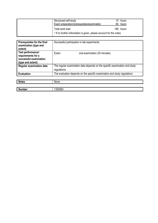| Structured self-study<br>Exam preparation/prerequisites/examination | 10 hours<br>60 hours |
|---------------------------------------------------------------------|----------------------|
| Total work load                                                     | 180 hours            |
| * If no further information is given, please account for the notes. |                      |

| <b>Prerequisites for the final</b><br>examination (type and<br>extent)                 | Successful participation in lab experiments                                               |  |
|----------------------------------------------------------------------------------------|-------------------------------------------------------------------------------------------|--|
| Test performance/<br>requirements for a<br>successful examination<br>(type and extent) | Exam:<br>oral examination (30 minutes)                                                    |  |
| <b>Regular examination date</b>                                                        | The regular examination date depends on the specific examination and study<br>regulations |  |
| <b>Evaluation</b>                                                                      | The evaluation depends on the specific examination and study regulations                  |  |
|                                                                                        |                                                                                           |  |
| <b>Notes</b>                                                                           | None                                                                                      |  |

| $\mathbf{A}$<br>Number | 250050<br>າ ວວບສວບ |
|------------------------|--------------------|
|                        |                    |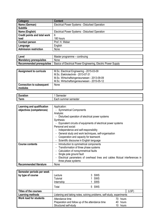| Category                     | <b>Content</b>                                 |
|------------------------------|------------------------------------------------|
| Name (German)                | Electrical Power Systems - Disturbed Operation |
| <b>Subtitle</b>              |                                                |
| Name (English)               | Electrical Power Systems - Disturbed Operation |
| Credit points and total work | 6                                              |
| load                         | 180 hours                                      |
| <b>Contact person</b>        | Prof. H. Weber                                 |
| Language                     | English                                        |
| <b>Admission restriction</b> | None                                           |

| Level                            | Master programme – continuing                                 |
|----------------------------------|---------------------------------------------------------------|
| <b>Mandatory prerequisites</b>   | None                                                          |
| <b>Recommended prerequisites</b> | Basics of Electrical Power Engineering, Electric Power Supply |

| <b>Assignment to curricula</b>             | M.Sc. Electrical Engineering - 2015-03-09<br>M.Sc. Elektrotechnik - 2013-07-31<br>M.Sc. Wirtschaftsingenieurwesen - 2013-09-09<br>M.Sc. Wirtschaftsingenieurwesen - 2015-05-12 |
|--------------------------------------------|--------------------------------------------------------------------------------------------------------------------------------------------------------------------------------|
| <b>Connection to subsequent</b><br>modules | None                                                                                                                                                                           |

| <b>Duration</b>           | - - - - - -                    |
|---------------------------|--------------------------------|
| ration.                   | יייייוסטנטו                    |
| Ш<br>$\mathbf{r}$<br>Term | semester<br>- -<br>summer<br>~ |

| Learning and qualification    | Application:                                                               |  |  |
|-------------------------------|----------------------------------------------------------------------------|--|--|
| objectives (competences)      | - Symmetrical Components                                                   |  |  |
|                               | Analysis:                                                                  |  |  |
|                               | Disturbed operation of electrical power systems                            |  |  |
|                               | Synthesis:                                                                 |  |  |
|                               | Equivalent circuits of equipments of electrical power systems              |  |  |
|                               | Personal and social:                                                       |  |  |
|                               | Independence and self-responsibility<br>٠                                  |  |  |
|                               | General study and work techniques, self-organisation                       |  |  |
|                               | Cooperation and capacity for teamwork                                      |  |  |
|                               | Scientific discourse in English language                                   |  |  |
| <b>Course contents</b>        | Introduction to symmetrical components<br>-                                |  |  |
|                               | Transformation of three phase systems<br>۰                                 |  |  |
|                               | Calculation of nonsymmetrical faults                                       |  |  |
|                               | Single pole ground fault                                                   |  |  |
|                               | Electrical parameters of overhead lines and cables Mutual interferences in |  |  |
|                               | three phase systems                                                        |  |  |
| <b>Recommended literature</b> | None                                                                       |  |  |

| Semester periods per week<br>by type of course | Lecture<br><b>Tutorial</b><br>Internship                                                     | 3 SWS<br>SWS<br>SWS                       |
|------------------------------------------------|----------------------------------------------------------------------------------------------|-------------------------------------------|
|                                                | Total                                                                                        | 5 SWS                                     |
| Titles of the courses                          |                                                                                              | (LSF)                                     |
| Learning methods                               | Listening and taking notes, solving problems, self-study, experiments                        |                                           |
| Work load for students                         | Attendance time<br>Preparation and follow up of the attendance time<br>Structured self-study | 70<br>hours<br>40<br>hours<br>10<br>hours |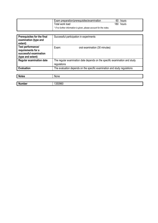| Exam preparation/prerequisites/examination                          | 60  | hours |
|---------------------------------------------------------------------|-----|-------|
| Total work load                                                     | 180 | hours |
| * If no further information is given, please account for the notes. |     |       |

| Prerequisites for the final<br>examination (type and<br>extent)                        | Successful participation in experiments                                                   |  |
|----------------------------------------------------------------------------------------|-------------------------------------------------------------------------------------------|--|
| Test performance/<br>requirements for a<br>successful examination<br>(type and extent) | Exam:<br>oral examination (30 minutes)                                                    |  |
| <b>Regular examination date</b>                                                        | The regular examination date depends on the specific examination and study<br>regulations |  |
| <b>Evaluation</b>                                                                      | The evaluation depends on the specific examination and study regulations                  |  |

| <b>Notes</b>  | None    |
|---------------|---------|
|               |         |
| <b>Number</b> | 1350960 |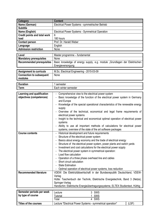| Category                                 | <b>Content</b>                                                                |  |
|------------------------------------------|-------------------------------------------------------------------------------|--|
| Name (German)                            | Electrical Power Systems - symmetrischer Betrieb                              |  |
| <b>Subtitle</b>                          |                                                                               |  |
| Name (English)                           | Electrical Power Systems - Symmetrical Operation                              |  |
| <b>Credit points and total work</b>      | 6                                                                             |  |
| load                                     | 180 hours                                                                     |  |
| <b>Contact person</b>                    | Prof. Dr. Harald Weber                                                        |  |
|                                          | English                                                                       |  |
| Language<br><b>Admission restriction</b> |                                                                               |  |
|                                          | None                                                                          |  |
| Level                                    | Master programme - fundamental                                                |  |
| <b>Mandatory prerequisites</b>           | None                                                                          |  |
| <b>Recommended prerequisites</b>         | Basic knowledge of energy supply, e.g. module "Grundlagen der Elektrischen    |  |
|                                          | Energieversorgung                                                             |  |
|                                          |                                                                               |  |
| <b>Assignment to curricula</b>           | M.Sc. Electrical Engineering - 2015-03-09                                     |  |
| <b>Connection to subsequent</b>          | None                                                                          |  |
| modules                                  |                                                                               |  |
| <b>Duration</b>                          | 1 semester                                                                    |  |
| <b>Term</b>                              | Each winter semester                                                          |  |
|                                          |                                                                               |  |
| Learning and qualification               | Comprehensive view to the electrical power system                             |  |
| objectives (competences)                 | Basic knowledge of the function of the electrical power system in Germany     |  |
|                                          | and Europe                                                                    |  |
|                                          | Knowledge of the special operational characteristics of the renewable energy  |  |
|                                          | supply                                                                        |  |
|                                          | Overview of the technical, economical and legal frame requirements of         |  |
|                                          | electrical power systems                                                      |  |
|                                          | Insight to the technical and economical optimal operation of electrical power |  |
|                                          | systems                                                                       |  |
|                                          | Ability to use all important methods of calculations for electrical power     |  |
|                                          | systems, overview of the state of the art software packages                   |  |
| <b>Course contents</b>                   | Historical development and future requirements                                |  |
|                                          | $Q$ tructure of the electrical nouver outlete                                 |  |

| <b>Course contents</b>        | - Historical development and future requirements                                               |
|-------------------------------|------------------------------------------------------------------------------------------------|
|                               | - Structure of the electrical power system                                                     |
|                               | - Basics about energy economy and the trade of electrical energy                               |
|                               | - Structure of the electrical power system, power plants and switch yards                      |
|                               | Investment and cost calculations for the electrical power supply                               |
|                               | - The electrical power system in symmetrical operation:                                        |
|                               | - Load flow calculation                                                                        |
|                               | - Operation of a three phase overhead line and cables                                          |
|                               | - Short circuit calculation                                                                    |
|                               | - State Estimation                                                                             |
|                               | - Optimal operation of electrical power systems, loss reduction                                |
| <b>Recommended literature</b> | VDEW: Die Elektrizitätswirtschaft in der Bundesrepublik Deutschland, VDEW-<br>Verlag           |
|                               | Hütte: Taschenbuch der Technik, Elektrische Energietechnik, Band 3 (Netze),<br>Springer-Verlag |
|                               | Handschin: Elektrische Energieübertragungssysteme, ELTEX Studientext, Hüthig                   |
| Samastar nariode nar waak     | $1 - 2 = 1 - 1 = 2$<br>$\Omega$ $\Omega$                                                       |

| Semester periods per week<br>by type of course | .ecture<br>utorial<br>Total                                | 3 SWS<br><b>SWS</b><br>4 SWS |       |
|------------------------------------------------|------------------------------------------------------------|------------------------------|-------|
| Titles of the courses                          | Lecture "Electrical Power Systems - symmetrical operation" |                              | (LSF) |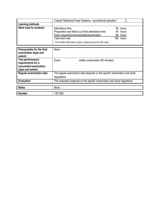|                               | Tutorial "Electrical Power Systems - symmetrical operation"         |  |           |
|-------------------------------|---------------------------------------------------------------------|--|-----------|
| Learning methods              |                                                                     |  |           |
| <b>Work load for students</b> | Attendance time                                                     |  | 56 hours  |
|                               | Preparation and follow up of the attendance time                    |  | 64 hours  |
|                               | Exam preparation/prerequisites/examination                          |  | 60 hours  |
|                               | Total work load                                                     |  | 180 hours |
|                               | * If no further information is given, please account for the notes. |  |           |

| Prerequisites for the final<br>examination (type and<br>extent)                        | None                                                                                      |
|----------------------------------------------------------------------------------------|-------------------------------------------------------------------------------------------|
| Test performance/<br>requirements for a<br>successful examination<br>(type and extent) | Exam:<br>written examination (90 minutes)                                                 |
| <b>Regular examination date</b>                                                        | The regular examination date depends on the specific examination and study<br>regulations |
| <b>Evaluation</b>                                                                      | The evaluation depends on the specific examination and study regulations                  |
| <b>Notes</b>                                                                           | None                                                                                      |
| <b>Number</b>                                                                          | 1351390                                                                                   |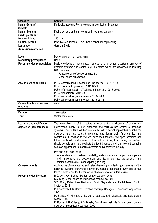| Category                     | <b>Content</b>                                             |
|------------------------------|------------------------------------------------------------|
| Name (German)                | Fehlerdiagnose und Fehlertoleranz in technischen Systemen  |
| <b>Subtitle</b>              |                                                            |
| Name (English)               | Fault diagnosis and fault tolerance in technical systems   |
| <b>Credit points and</b>     | 6                                                          |
| total work load              | 180 hours                                                  |
| <b>Contact person</b>        | Prof. Torsten Jeinsch IEF/IAT/Chair of Control engineering |
| Language                     | German/English                                             |
| <b>Admission restriction</b> |                                                            |

| Level                            | Master programme – continuing                                                                                                                                                                                                                           |
|----------------------------------|---------------------------------------------------------------------------------------------------------------------------------------------------------------------------------------------------------------------------------------------------------|
| <b>Mandatory prerequisites</b>   | None                                                                                                                                                                                                                                                    |
| <b>Recommended prerequisites</b> | Basic knowledge of mathematical representation of dynamic systems, analysis of<br>dynamic systems and control, e.g. the topics which are discussed in following<br>B.Sc. lectures:<br>- Fundamentals of control engineering<br>- Model-based automation |
|                                  |                                                                                                                                                                                                                                                         |

| <b>Assignment to curricula</b>  | M.Sc. Computational Science and Engineering - 2015-04-13<br>M.Sc. Electrical Engineering - 2015-03-09<br>M.Sc. Informationstechnik/Technische Informatik - 2013-09-09<br>M.Sc. Mechatronik - 2015-03-09<br>M.Sc. Wirtschaftsingenieurwesen - 2013-09-09 |  |
|---------------------------------|---------------------------------------------------------------------------------------------------------------------------------------------------------------------------------------------------------------------------------------------------------|--|
|                                 | M.Sc. Wirtschaftsingenieurwesen - 2015-05-12                                                                                                                                                                                                            |  |
| <b>Connection to subsequent</b> | none                                                                                                                                                                                                                                                    |  |
| modules                         |                                                                                                                                                                                                                                                         |  |
|                                 |                                                                                                                                                                                                                                                         |  |
| <b>Duration</b>                 | semester                                                                                                                                                                                                                                                |  |
| <b>Term</b>                     | Winter semesters                                                                                                                                                                                                                                        |  |

| Learning and qualification<br>objectives (competences) | The main objective of this lecture is to cover the applications of control and<br>optimization theory in fault diagnosis and fault-tolerant control of technical<br>systems. The students will become familiar with different approaches to solve the<br>diagnosis and fault-tolerant problems and learn their functionalities and<br>constraints. In addition to the well-developed theories, the open problems and<br>future trends will be discussed in this lecture. During this course, the students<br>should be able apply and evaluate the fault diagnosis and fault-tolerant control in<br>selected applications in maritime systems and automotive industry. |
|--------------------------------------------------------|------------------------------------------------------------------------------------------------------------------------------------------------------------------------------------------------------------------------------------------------------------------------------------------------------------------------------------------------------------------------------------------------------------------------------------------------------------------------------------------------------------------------------------------------------------------------------------------------------------------------------------------------------------------------|
|                                                        | Personal and social skills:                                                                                                                                                                                                                                                                                                                                                                                                                                                                                                                                                                                                                                            |
|                                                        | Independence and self-responsibility, self-organisation, project management                                                                                                                                                                                                                                                                                                                                                                                                                                                                                                                                                                                            |
|                                                        | and implementation, cooperation and team working, presentation and<br>communication skills, interdisciplinary thinking                                                                                                                                                                                                                                                                                                                                                                                                                                                                                                                                                 |
| <b>Course contents</b>                                 | Applications of model-based and data-driven diagnosis techniques, analysis of the                                                                                                                                                                                                                                                                                                                                                                                                                                                                                                                                                                                      |
|                                                        | technical systems, parameter estimation, residual generation, synthesis of fault                                                                                                                                                                                                                                                                                                                                                                                                                                                                                                                                                                                       |
|                                                        | tolerant system are the further topics which are covered in this lecture.                                                                                                                                                                                                                                                                                                                                                                                                                                                                                                                                                                                              |
| <b>Recommended literature</b>                          | R.C. Dorf. R.H. Bishop: Modern control systems, 2005                                                                                                                                                                                                                                                                                                                                                                                                                                                                                                                                                                                                                   |
|                                                        | S.X. Ding, Model-based fault diagnosis techniques, 2013                                                                                                                                                                                                                                                                                                                                                                                                                                                                                                                                                                                                                |
|                                                        | S.X. Ding, Data-driven Design of Fault Diagnosis and Fault-tolerant Control                                                                                                                                                                                                                                                                                                                                                                                                                                                                                                                                                                                            |
|                                                        | Systems, 2014                                                                                                                                                                                                                                                                                                                                                                                                                                                                                                                                                                                                                                                          |
|                                                        | M. Baseseville I. Nikiforov: Detection of Abrupt Changes – Theory and Application,<br>1993.                                                                                                                                                                                                                                                                                                                                                                                                                                                                                                                                                                            |
|                                                        | M. Blanke, M. Kinnaert, J. Lunze, M. Staroswiecki, Diagnosis and fault-tolerant                                                                                                                                                                                                                                                                                                                                                                                                                                                                                                                                                                                        |
|                                                        | control, 2006                                                                                                                                                                                                                                                                                                                                                                                                                                                                                                                                                                                                                                                          |
|                                                        | E. Russel, L.H. Chiang, R.D. Braatz, Data-driven methods for fault detection and<br>diagnosis in chemical processes, 2000                                                                                                                                                                                                                                                                                                                                                                                                                                                                                                                                              |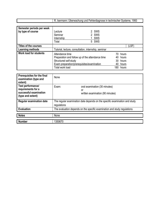| 1993<br>echnischer<br>Svsteme.<br>--------<br>l Fehlerdiagnose<br>ın<br>Jberwachung<br>∵uno.<br>тес<br>mann |
|-------------------------------------------------------------------------------------------------------------|
|                                                                                                             |

| Semester periods per week     |                                                      |       |          |
|-------------------------------|------------------------------------------------------|-------|----------|
| by type of course             | 2 SWS<br>Lecture                                     |       |          |
|                               | 2 SWS<br>Seminar                                     |       |          |
|                               | SWS<br>Internship                                    |       |          |
|                               | 5 SWS<br>Total                                       |       |          |
| Titles of the courses         |                                                      |       | (LSF)    |
| Learning methods              | Tutorial, lecture, consultation, internship, seminar |       |          |
| <b>Work load for students</b> | Attendance time                                      |       | 70 hours |
|                               | Preparation and follow up of the attendance time     |       | 40 hours |
|                               | Structured self-study                                |       | 30 hours |
|                               | Exam preparation/prerequisites/examination           |       | 40 hours |
|                               | Total work load                                      | 180 - | hours    |

| Prerequisites for the final<br>examination (type and<br>extent)                        | None                                                                                      |                                                                         |
|----------------------------------------------------------------------------------------|-------------------------------------------------------------------------------------------|-------------------------------------------------------------------------|
| Test performance/<br>requirements for a<br>successful examination<br>(type and extent) | Exam:                                                                                     | oral examination (30 minutes)<br>or<br>written examination (90 minutes) |
| <b>Regular examination date</b>                                                        | The regular examination date depends on the specific examination and study<br>regulations |                                                                         |
| <b>Evaluation</b>                                                                      | The evaluation depends on the specific examination and study regulations                  |                                                                         |
| <b>Notes</b>                                                                           | None                                                                                      |                                                                         |
| <b>Number</b>                                                                          | 1350670                                                                                   |                                                                         |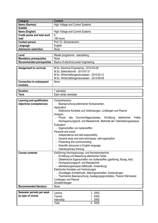| <b>Category</b>                     | <b>Content</b>                                                                                    |  |  |  |
|-------------------------------------|---------------------------------------------------------------------------------------------------|--|--|--|
| Name (German)                       | <b>High Voltage and Current Systems</b>                                                           |  |  |  |
| <b>Subtitle</b>                     |                                                                                                   |  |  |  |
| Name (English)                      | <b>High Voltage and Current Systems</b>                                                           |  |  |  |
| <b>Credit points and total work</b> | 6                                                                                                 |  |  |  |
| load                                | 180 hours                                                                                         |  |  |  |
| <b>Contact person</b>               | Prof. Dr. Schoenemann                                                                             |  |  |  |
| Language                            | English                                                                                           |  |  |  |
| <b>Admission restriction</b>        | None                                                                                              |  |  |  |
| Level                               | Master programme - spezialising                                                                   |  |  |  |
| <b>Mandatory prerequisites</b>      | None                                                                                              |  |  |  |
| <b>Recommended prerequisites</b>    | Basics of electrical power engineering                                                            |  |  |  |
|                                     |                                                                                                   |  |  |  |
| <b>Assignment to curricula</b>      | M.Sc. Electrical Engineering - 2015-03-09                                                         |  |  |  |
|                                     | M.Sc. Elektrotechnik - 2013-07-31                                                                 |  |  |  |
|                                     | M.Sc. Wirtschaftsingenieurwesen - 2015-05-12                                                      |  |  |  |
|                                     | M.Sc. Wirtschaftsingenieurwesen - 2013-09-09                                                      |  |  |  |
| <b>Connection to subsequent</b>     | None                                                                                              |  |  |  |
| modules                             |                                                                                                   |  |  |  |
| <b>Duration</b>                     | 1 semester                                                                                        |  |  |  |
| <b>Term</b>                         | Each winter semester                                                                              |  |  |  |
|                                     |                                                                                                   |  |  |  |
| Learning and qualification          | Comprehension:                                                                                    |  |  |  |
| objectives (competences)            | - Beanspruchung elektrischer Komponenten,                                                         |  |  |  |
|                                     | Application:                                                                                      |  |  |  |
|                                     | Elektrische Kontakte und Verbindungen, Lichtbogen und Plasma                                      |  |  |  |
|                                     | Analysis:<br>Felder,                                                                              |  |  |  |
|                                     | Durchschlagprozesses,<br>- Physik des<br>Ermittlung<br>elektrischer                               |  |  |  |
|                                     | Hochspannungsprüf- und Messtechnik, Methodik der Teilentladungsanalyse<br>Evaluation:             |  |  |  |
|                                     | Eigenschaften von Isolierstoffen                                                                  |  |  |  |
|                                     | Personal and social:                                                                              |  |  |  |
|                                     | Independence and self-responsibility<br>$\sim$                                                    |  |  |  |
|                                     | General study and work techniques, self-organisation                                              |  |  |  |
|                                     | Presenting and communicating                                                                      |  |  |  |
|                                     | Scientific discourse in English language                                                          |  |  |  |
|                                     | Interdisciplinary thinking                                                                        |  |  |  |
| <b>Course contents</b>              | Einführung Hochspannungs- und Hochstromtechnik                                                    |  |  |  |
|                                     | Ermittlung und Bewertung elektrischer Felder                                                      |  |  |  |
|                                     | Dielektrische Eigenschaften von Isolierstoffen (gasförmig, flüssig, fest)                         |  |  |  |
|                                     | Hochspannungsprüf- und Messtechnik                                                                |  |  |  |
|                                     | eilentladungsanalyse (Methodik, Anwendung)                                                        |  |  |  |
|                                     | Elektrische Kontakte und Verbindungen                                                             |  |  |  |
|                                     | Grundlagen Kontakthysik, Alterungsverhalten, Anwendungen                                          |  |  |  |
|                                     | Thermische Beanspruchung, Auslegungsgrundsätze, Theorie Wärmenetz<br>$\qquad \qquad \blacksquare$ |  |  |  |
|                                     | Lichtbogen und Plasma<br>Schaltlichtbogen                                                         |  |  |  |
| <b>Recommended literature</b>       | None                                                                                              |  |  |  |
|                                     |                                                                                                   |  |  |  |
| Semester periods per week           | 3 SWS<br>Lecture                                                                                  |  |  |  |
| by type of course                   | SWS<br>Tutorial                                                                                   |  |  |  |
|                                     | SWS<br>Internship                                                                                 |  |  |  |
|                                     | 5 SWS<br>Total                                                                                    |  |  |  |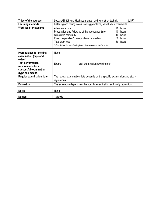| Titles of the courses         | Lecture/Einführung Hochspannungs- und Hochstromtechnik<br>(LSF)       |  |           |  |
|-------------------------------|-----------------------------------------------------------------------|--|-----------|--|
| Learning methods              | Listening and taking notes, solving problems, self-study, experiments |  |           |  |
| <b>Work load for students</b> | Attendance time                                                       |  | 70 hours  |  |
|                               | Preparation and follow up of the attendance time                      |  | 40 hours  |  |
|                               | Structured self-study                                                 |  | 10 hours  |  |
|                               | Exam preparation/prerequisites/examination                            |  | 60 hours  |  |
|                               | Total work load                                                       |  | 180 hours |  |
|                               | * If no further information is given, please account for the notes.   |  |           |  |

| Prerequisites for the final<br>examination (type and<br>extent)                        | None                                                                                      |
|----------------------------------------------------------------------------------------|-------------------------------------------------------------------------------------------|
| Test performance/<br>requirements for a<br>successful examination<br>(type and extent) | Exam:<br>oral examination (30 minutes)                                                    |
| <b>Regular examination date</b>                                                        | The regular examination date depends on the specific examination and study<br>regulations |
| <b>Evaluation</b>                                                                      | The evaluation depends on the specific examination and study regulations                  |
| <b>Notes</b>                                                                           | None                                                                                      |
| <b>Number</b>                                                                          | 1350980                                                                                   |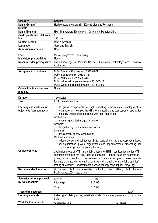| <b>Category</b>                            | <b>Content</b>                                                                                                                             |
|--------------------------------------------|--------------------------------------------------------------------------------------------------------------------------------------------|
| Name (German)                              | Hochtemperaturelektronik - Konstruktion und Fertigung                                                                                      |
| <b>Subtitle</b>                            |                                                                                                                                            |
| Name (English)                             | High Temperature Electronics - Design and Manufacturing                                                                                    |
| <b>Credit points and total work</b>        | 6                                                                                                                                          |
| load                                       | 180 hours                                                                                                                                  |
| <b>Contact person</b>                      | Prof. Nowottnick                                                                                                                           |
| Language                                   | German / English                                                                                                                           |
| <b>Admission restriction</b>               | None                                                                                                                                       |
| Level                                      | Master programme – continuing                                                                                                              |
| <b>Mandatory prerequisites</b>             | None                                                                                                                                       |
| <b>Recommended prerequisites</b>           | basic knowledge of Material Science, Electronic Technology and Electronic                                                                  |
|                                            | Appliances                                                                                                                                 |
|                                            |                                                                                                                                            |
| <b>Assignment to curricula</b>             | M.Sc. Electrical Engineering - 2015-03-09                                                                                                  |
|                                            | M.Sc. Elektrotechnik - 2013-07-31                                                                                                          |
|                                            | M.Sc. Mathematik - 2015-03-20                                                                                                              |
|                                            | M.Sc. Wirtschaftsingenieurwesen - 2015-05-12                                                                                               |
|                                            | M.Sc. Wirtschaftsingenieurwesen - 2013-09-09                                                                                               |
| <b>Connection to subsequent</b><br>modules | None                                                                                                                                       |
|                                            |                                                                                                                                            |
| <b>Duration</b>                            | 1 semester                                                                                                                                 |
| <b>Term</b>                                | Each summer semester                                                                                                                       |
|                                            |                                                                                                                                            |
| Learning and qualification                 | design of components for high operating temperatures, development of                                                                       |
| objectives (competences)                   | alternative technologies, handling of measuring and test systems, application<br>of quality criteria and compliance with legal regulations |
|                                            | Application:                                                                                                                               |
|                                            | - measuring and testing, quality control                                                                                                   |
|                                            | Analysis:                                                                                                                                  |
|                                            | - design for high temperature electronics                                                                                                  |
|                                            | Synthesis:                                                                                                                                 |
|                                            | development of new technologies                                                                                                            |
|                                            | Personal and social:                                                                                                                       |
|                                            | independence and self-responsibility, general learning and work techniques,                                                                |
|                                            | self-organization, project organization and implementation, presenting and                                                                 |
|                                            | communicating, interdisciplinary thinking                                                                                                  |
| <b>Course contents</b>                     | application areas of HTE - material selection for HTE - semiconductors for HTE -                                                           |
|                                            | substrate materials for HTE, cooling concepts - design rules for assemblies -                                                              |
|                                            | joining technologies for HTE - particularity of manufacturing - processes (master                                                          |
|                                            | forming, shaping, joining, cutting, coating and changing of material properties) -                                                         |
|                                            | testing of reliability – environmental aspects (energy consumption, recycling)                                                             |
| <b>Recommended literature</b>              | W. Scheel: Electronics Assembly Technology, 2nd Edition, Electrochemical                                                                   |
|                                            | Publications, 2004; lecture notes                                                                                                          |
| Semester periods per week                  | 2 SWS<br>Lecture                                                                                                                           |
| by type of course                          | Internship<br>SWS                                                                                                                          |
|                                            |                                                                                                                                            |
|                                            | 3 SWS<br>Total                                                                                                                             |
| <b>Titles of the courses</b>               | (LSF)                                                                                                                                      |
| <b>Learning methods</b>                    | Listening and taking notes, self-study, study of literature, presentation, discussion,<br>trials                                           |
| <b>Work load for students</b>              | Attendance time<br>42 hours                                                                                                                |
|                                            |                                                                                                                                            |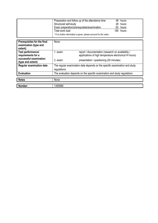| Preparation and follow up of the attendance time                    | 48 hours  |
|---------------------------------------------------------------------|-----------|
| Structured self-study                                               | 28 hours  |
| Exam preparation/prerequisites/examination                          | 62 hours  |
| Total work load                                                     | 180 hours |
| * If no further information is given, please account for the notes. |           |

| Prerequisites for the final<br>examination (type and<br>extent) | None        |                                                                                                              |
|-----------------------------------------------------------------|-------------|--------------------------------------------------------------------------------------------------------------|
| Test performance/<br>requirements for a                         | 1. exam:    | report / documentation (research on availability /<br>applications of high temperature electronics/14 hours) |
| successful examination<br>(type and extent)                     | $2.$ exam:  | presentation / questioning (20 minutes)                                                                      |
| <b>Regular examination date</b>                                 | regulations | The regular examination date depends on the specific examination and study                                   |
| <b>Evaluation</b>                                               |             | The evaluation depends on the specific examination and study regulations                                     |
| <b>Notes</b>                                                    | None        |                                                                                                              |
| <b>Number</b>                                                   | 1350990     |                                                                                                              |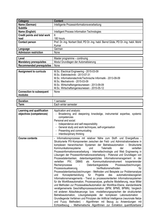| <b>Category</b>                     | <b>Content</b>                                                                        |  |  |
|-------------------------------------|---------------------------------------------------------------------------------------|--|--|
| Name (German)                       | Intelligente Prozessinformationsverarbeitung                                          |  |  |
| <b>Subtitle</b>                     |                                                                                       |  |  |
| Name (English)                      | Intelligent Process Information Technologies                                          |  |  |
| <b>Credit points and total work</b> | 6                                                                                     |  |  |
| load                                | 180 hours                                                                             |  |  |
| <b>Contact person</b>               | Prof. Dr.-Ing. Norbert Stoll, PD Dr.-Ing. habil. Bernd Göde, PD Dr.-Ing. habil. Mohit |  |  |
|                                     | Kumar                                                                                 |  |  |
| Language                            | German                                                                                |  |  |
| <b>Admission restriction</b>        | None                                                                                  |  |  |
|                                     |                                                                                       |  |  |
| Level                               | Master programme - continuing                                                         |  |  |
| <b>Mandatory prerequisites</b>      | Modul Grundlagen der Automatisierung                                                  |  |  |
| <b>Recommended prerequisites</b>    | None                                                                                  |  |  |
|                                     |                                                                                       |  |  |
| <b>Assignment to curricula</b>      | M.Sc. Electrical Engineering - 2015-03-09                                             |  |  |
|                                     | M.Sc. Elektrotechnik - 2013-07-31                                                     |  |  |
|                                     | M.Sc. Informationstechnik/Technische Informatik - 2013-09-09                          |  |  |
|                                     | M.Sc. Mechatronik - 2015-03-09                                                        |  |  |
|                                     | M.Sc. Wirtschaftsingenieurwesen - 2013-09-09                                          |  |  |
|                                     | M.Sc. Wirtschaftsingenieurwesen - 2015-05-12                                          |  |  |
| <b>Connection to subsequent</b>     | None                                                                                  |  |  |
| modules                             |                                                                                       |  |  |
| <b>Duration</b>                     | 1 semester                                                                            |  |  |
| <b>Term</b>                         | Each winter semester                                                                  |  |  |
|                                     |                                                                                       |  |  |
| Learning and qualification          | Application and analysis:                                                             |  |  |
| objectives (competences)            | Broadening and deepening knwoledge, instrumental expertise, systemic                  |  |  |
|                                     | competencies                                                                          |  |  |
|                                     | Personal and social:                                                                  |  |  |
|                                     | Independence and self-responsibility                                                  |  |  |
|                                     | General study and work techniques, self-organisation                                  |  |  |
|                                     | Presenting and communicating<br>$\sim$                                                |  |  |
|                                     | Interdisciplinary thinking                                                            |  |  |
| <b>Course contents</b>              | Informationsprozesse mit relativer Nähe zum Stoff- und Energiefluss -                 |  |  |
|                                     | Strukturierte PIV-Komponenten zwischen der Feld- und Administrationsebene in          |  |  |
|                                     | komplexen hierarchischen Systemen der Betriebsautomation - Strukturierte              |  |  |
|                                     | Kommunikationssysteme<br><b>Telematik</b><br>verteilten<br>und<br>der                 |  |  |
|                                     | Prozessinformationsverarbeitung - Internettechnologie und Web Engineering in          |  |  |
|                                     | Lösungen der Prozessinformationsverarbeitung - Potenzial und Grundlagen von           |  |  |
|                                     | Prozessdatenbanken, datenbankgestütztes Informationsmanagement in der                 |  |  |
|                                     | verteilten PIV,<br><b>DBMS</b><br>als Kommunikationsinstrument<br>kooperierender      |  |  |
|                                     | Rechenprozesse<br>Datenbankgestützte<br>Prozessaufzeichnungen,                        |  |  |
|                                     | Verifikationsmethoden<br>Prozessvisualisierung,<br>für                                |  |  |
|                                     | Prozessdatenbankaufzeichnungen - Methoden und Beispiele zur Problemanalyse            |  |  |
|                                     | des<br>Konzeptentwicklung<br>für<br>Projekte<br>automationsbezogenen<br>und           |  |  |
|                                     | Informationsmanagements - Trend zu prozessorientierten Informationssystemen           |  |  |
|                                     | für die Workflowautomation, Prozessanalyse, grafische Modellierung, neue Mittel       |  |  |
|                                     | und Methoden zur Prozessablaufautomation der Workflow-Ebene, standardisierte          |  |  |
|                                     | verallgemeinerte Geschäftsprozessautomation (BPM, BPMS, BPMN), Vergleich              |  |  |
|                                     | mit anderen Ablaufsteuerungs- bzw. -modellierungssprachen der strukturierten          |  |  |
|                                     | Betriebsautomation, Lösungsbeispiele der komplexen Laborautomation -                  |  |  |
|                                     | Grundlegende Verfahren und Prinzipien der Artificial Intelligence (neuronale Netze    |  |  |
|                                     | und Fuzzy Methoden) - Algorithmen mit Bezug zu Anwendungen mit                        |  |  |
|                                     | Echtzeitbezug - Mathematische Algorithmen zur Extraktion quantifizierbarer            |  |  |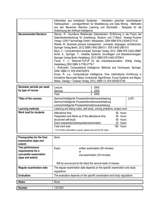|                               | Information aus komplexen Systemen - Interaktion zwischen verschiedenen<br>Teildisziplinen - Lernalgorithmen für Modellierung und Data Mining - Methoden<br>aus den Bereichen Machine Learning und Stochastik - Beispiele für die<br>Anwendung der Artificial Intelligence |
|-------------------------------|----------------------------------------------------------------------------------------------------------------------------------------------------------------------------------------------------------------------------------------------------------------------------|
|                               |                                                                                                                                                                                                                                                                            |
| <b>Recommended literature</b> | Steiner, R.: Grundkurs Relationale Datenbanken: Einführung in die Praxis der                                                                                                                                                                                               |
|                               | Datenbankentwicklung für Ausbildung, Studium und IT-Beruf. Vieweg+Teubner                                                                                                                                                                                                  |
|                               | Verlag / GWV Fachverlage GmbH, Wiesbaden, 2009 ISBN 978-3-8348-0710-6                                                                                                                                                                                                      |
|                               | Weske, M.: Business process management : concepts, languages, architectures.                                                                                                                                                                                               |
|                               | Springer Verlag Berlin, 2012 ISBN 3-642-28615-1, 978-3-642-28615-5                                                                                                                                                                                                         |
|                               | Baun, C.: Computernetze kompakt. Springer Verlag, 2012. ISBN 978-3-642-28987                                                                                                                                                                                               |
|                               | Schill, A., Springer, T.: Verteilte Systeme: Grundlagen und Basistechnologien.                                                                                                                                                                                             |
|                               |                                                                                                                                                                                                                                                                            |
|                               | Springer Verlag Berlin Heidelberg, 2012 ISBN 978-3-642-25796-4                                                                                                                                                                                                             |
|                               | Furrer, F. J.: Ethernet-TCP-IP für die Industrieautomation. Hüthig Verlag,                                                                                                                                                                                                 |
|                               | Heidelberg 2000 ISBN 3-7785-2779-7                                                                                                                                                                                                                                         |
|                               | L. Rutkowski: Computational Intelligence: Methods and Techniques. Springer,                                                                                                                                                                                                |
|                               | 2008. ISBN-13: 978-3540762874                                                                                                                                                                                                                                              |
|                               |                                                                                                                                                                                                                                                                            |
|                               | Kruse, R. u.a.: Computational Intelligence: Eine methodische Einführung in                                                                                                                                                                                                 |
|                               | Künstliche Neuronale Netze, Evolutionär Algorithmen, Fuzzy-Systeme und Bayes-                                                                                                                                                                                              |
|                               | Netze. Vieweg + Teubner Verlag, 2012, ISBN-13: 978-3834812759                                                                                                                                                                                                              |

| Semester periods per week<br>by type of course | Lecture<br>Seminar<br>Total                                                                                                                                                                                                          | 2 SWS<br>2 SWS<br>4 SWS |                                                    |
|------------------------------------------------|--------------------------------------------------------------------------------------------------------------------------------------------------------------------------------------------------------------------------------------|-------------------------|----------------------------------------------------|
| Titles of the courses                          | Seminar/Intelligente Prozessinformationsverarbeitung<br>Seminar/Intelligente Prozessinformationsverarbeitung<br>Lecture/Intelligente Prozessinformationsverarbeitung                                                                 |                         | (LSF)                                              |
| <b>Learning methods</b>                        | Listening and taking notes, self-study, solving problems, project work                                                                                                                                                               |                         |                                                    |
| <b>Work load for students</b>                  | Attendance time<br>Preparation and follow up of the attendance time<br>structured self-study<br>Exam preparation/prerequisites/examination<br>Total work load<br>* If no further information is given, please account for the notes. | 48<br>180               | 56 hours<br>56 hours<br>hours<br>20 hours<br>hours |

| Prerequisites for the final<br>examination (type and<br>extent)                        | None                                                                                      |  |
|----------------------------------------------------------------------------------------|-------------------------------------------------------------------------------------------|--|
| Test performance/<br>requirements for a<br>successful examination<br>(type and extent) | Exam:<br>written examination (90 minutes)<br>or<br>oral examination (30 minutes)          |  |
|                                                                                        | Will be announced at the latest the second week of classes.                               |  |
| <b>Regular examination date</b>                                                        | The regular examination date depends on the specific examination and study<br>regulations |  |
| <b>Evaluation</b>                                                                      | The evaluation depends on the specific examination and study regulations                  |  |
| <b>Notes</b>                                                                           | None                                                                                      |  |
| <b>Number</b>                                                                          | 1351000                                                                                   |  |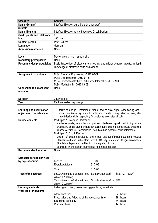| Category                     | <b>Content</b>                                      |
|------------------------------|-----------------------------------------------------|
| Name (German)                | Interface-Elektronik und Schaltkreisentwurf         |
| <b>Subtitle</b>              |                                                     |
| Name (English)               | Interface-Electronics and Integrated Circuit Design |
| Credit points and total work | 6                                                   |
| load                         | 180 hours                                           |
| <b>Contact person</b>        | Prof. Beikirch                                      |
| Language                     | German                                              |
| <b>Admission restriction</b> | None                                                |

| Level                            | Master programme - specialising                                                  |
|----------------------------------|----------------------------------------------------------------------------------|
| <b>Mandatory prerequisites</b>   | None                                                                             |
| <b>Recommended prerequisites</b> | Basic knowledge of electrical engineering and microelectronic circuits, in-depth |
|                                  | knowledge of electronic parts and circuits                                       |
|                                  |                                                                                  |
| <b>Assignment to curricula</b>   | M.Sc. Electrical Engineering - 2015-03-09                                        |
|                                  | M.Sc. Elektrotechnik - 2013-07-31                                                |
|                                  | M.Co. Informationate eleminizizzation la Informatily 0012.00.00                  |

|                                            | M.Sc. Informationstechnik/Technische Informatik - 2013-09-09<br>M.Sc. Mechatronik - 2015-03-09 |
|--------------------------------------------|------------------------------------------------------------------------------------------------|
| <b>Connection to subsequent</b><br>modules | None                                                                                           |

| -<br>- - - - - - |                                                                             |
|------------------|-----------------------------------------------------------------------------|
| -<br>$  -$<br>ыш | ----------<br>----<br>יי<br>neste<br>ser<br>71.<br>ш<br>ىدىن<br>71 J<br>. . |

| Learning and qualification    | - ability to design / implement robust and reliable signal conditioning and -                                                                                                                                                                                                  |
|-------------------------------|--------------------------------------------------------------------------------------------------------------------------------------------------------------------------------------------------------------------------------------------------------------------------------|
| objectives (competences)      | acquisition (sub-) systems for interface circuits - acquisition of integrated                                                                                                                                                                                                  |
|                               | circuit design skills, especially for analogue integrated circuits                                                                                                                                                                                                             |
| <b>Course contents</b>        | Modul part 1: Interface Electronics                                                                                                                                                                                                                                            |
|                               | interface-circuits, terms, history, process interfaces: signal conditioning, signal<br>processing chain, signal acquisition techniques, bus interfaces: basic principles,<br>transceiver circuits, transmission lines, field bus systems, serial interfaces                    |
|                               | Modul part 2: Circuit Design                                                                                                                                                                                                                                                   |
|                               | Design of custom analogue and mixed analogue/digital integrated circuits,<br>Standard-cell and full-custom layout, CAD-systems and design automation,<br>Simulation, layout und verifikation of integrated circuits,<br>Exercises on the design of analogue and mixed designs, |
| <b>Recommended literature</b> | None                                                                                                                                                                                                                                                                           |

| Semester periods per week<br>by type of course | Lecture<br>Exercises/tutorial<br>Total                                                                          | 3 SWS<br>3 SWS<br>6 SWS                                               |  |
|------------------------------------------------|-----------------------------------------------------------------------------------------------------------------|-----------------------------------------------------------------------|--|
| <b>Titles of the courses</b>                   | winter, 1 summer)<br>Tutorial/Interface-Elektronik und Schaltkreisentwurf - SKE (1<br>winter, 2 summer)         | Lecture/Interface-Elektronik und Schaltkreisentwurf - SKE (2<br>(LSF) |  |
| <b>Learning methods</b>                        | Listening and taking notes, solving problems, self-study                                                        |                                                                       |  |
| <b>Work load for students</b>                  | Attendance time<br>Preparation and follow up of the attendance time<br>Structured self-study<br>Practical phase | 84 hours<br>28 hours<br>34 hours<br>hours<br>14                       |  |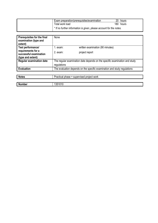| Exam preparation/prerequisites/examination                          | 20 hours  |
|---------------------------------------------------------------------|-----------|
| Total work load                                                     | 180 hours |
| * If no further information is given, please account for the notes. |           |

| Prerequisites for the final<br>examination (type and<br>extent)   | None                                      |                                                                            |
|-------------------------------------------------------------------|-------------------------------------------|----------------------------------------------------------------------------|
| Test performance/                                                 | . exam:                                   | written examination (90 minutes)                                           |
| requirements for a<br>successful examination<br>(type and extent) | $2.$ exam:                                | project report                                                             |
| <b>Regular examination date</b>                                   | regulations                               | The regular examination date depends on the specific examination and study |
| <b>Evaluation</b>                                                 |                                           | The evaluation depends on the specific examination and study regulations   |
|                                                                   |                                           |                                                                            |
| <b>Notes</b>                                                      | Practical phase = supervised project work |                                                                            |
|                                                                   |                                           |                                                                            |

| <b>Number</b> | .<br>-<br>טו טו ככו |
|---------------|---------------------|
|               |                     |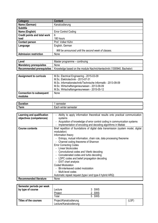| Category                            | <b>Content</b>                                      |
|-------------------------------------|-----------------------------------------------------|
| Name (German)                       | Kanalcodierung                                      |
| <b>Subtitle</b>                     |                                                     |
| Name (English)                      | <b>Error Control Coding</b>                         |
| <b>Credit points and total work</b> | 6                                                   |
| load                                | 180 hours                                           |
| <b>Contact person</b>               | Prof. Volker Kühn                                   |
| Language                            | English, German                                     |
|                                     | Will be announced until the second week of classes. |
| <b>Admission restriction</b>        | None                                                |

| Level                          | Master programme – continuing                                                                    |
|--------------------------------|--------------------------------------------------------------------------------------------------|
| <b>Mandatory prerequisites</b> | None                                                                                             |
|                                | Recommended prerequisites   Knowledge based on the module Nachrichtentechnik (1300940, Bachelor) |

| <b>Assignment to curricula</b>  | M.Sc. Electrical Engineering - 2015-03-09                    |
|---------------------------------|--------------------------------------------------------------|
|                                 |                                                              |
|                                 | M.Sc. Elektrotechnik - 2013-07-31                            |
|                                 | M.Sc. Informationstechnik/Technische Informatik - 2013-09-09 |
|                                 | M.Sc. Wirtschaftsingenieurwesen - 2013-09-09                 |
|                                 | M.Sc. Wirtschaftsingenieurwesen - 2015-05-12                 |
| <b>Connection to subsequent</b> | None                                                         |
| modules                         |                                                              |

| -<br>.<br>чи. | semester                       |
|---------------|--------------------------------|
| 'erm          | -<br>winter<br>Each<br>semeste |

| Learning and qualification    | Ability to apply information theoretical results onto practical communication       |
|-------------------------------|-------------------------------------------------------------------------------------|
| objectives (competences)      | systems                                                                             |
|                               | - Acquisition of knowledge of error control coding in communication systems         |
|                               | Implementation of encoding and decoding algorithms in Matlab                        |
| <b>Course contents</b>        | Brief repetition of foundations of digital data transmission (system model, digital |
|                               | modulation)                                                                         |
|                               | Information theory                                                                  |
|                               | - Entropy, mutual information, chain rule, data processing theoreme                 |
|                               | - Channel coding theoreme of Shannon                                                |
|                               | <b>Error Correcting Codes</b>                                                       |
|                               | - Linear blockcodes                                                                 |
|                               | - Convolutional codes and Viterbi decoding                                          |
|                               | - Concatenated codes and turbo decoding                                             |
|                               | - LDPC codes and belief propagation decoding                                        |
|                               | - EXIT chart analysis                                                               |
|                               | <b>Coded Modulation</b>                                                             |
|                               | - Bit-interleaved coded modulation                                                  |
|                               | - Multi-level codes                                                                 |
|                               | Automatic repeat request (type-I and type-II hybrid ARQ)                            |
| <b>Recommended literature</b> | None                                                                                |

| Semester periods per week<br>by type of course | Lecture<br>Project<br>Total                      | 3 SWS<br>2 SWS<br>5 SWS |       |
|------------------------------------------------|--------------------------------------------------|-------------------------|-------|
| <b>Titles of the courses</b>                   | Project/Kanalcodierung<br>Lecture/Kanalcodierung |                         | (LSF) |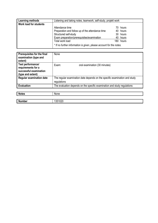| <b>Learning methods</b>       | Listening and taking notes, teamwork, self-study, projekt work      |           |  |
|-------------------------------|---------------------------------------------------------------------|-----------|--|
| <b>Work load for students</b> |                                                                     |           |  |
|                               | Attendance time                                                     | 70 hours  |  |
|                               | Preparation and follow up of the attendance time                    | 40 hours  |  |
|                               | Structured self-study                                               | 30 hours  |  |
|                               | Exam preparation/prerequisites/examination                          | 40 hours  |  |
|                               | Total work load                                                     | 180 hours |  |
|                               | * If no further information is given, please account for the notes. |           |  |

| Prerequisites for the final<br>examination (type and<br>extent)                        | None                                                                                      |
|----------------------------------------------------------------------------------------|-------------------------------------------------------------------------------------------|
| Test performance/<br>requirements for a<br>successful examination<br>(type and extent) | oral examination (30 minutes)<br>Exam:                                                    |
| <b>Regular examination date</b>                                                        | The regular examination date depends on the specific examination and study<br>regulations |
| <b>Evaluation</b>                                                                      | The evaluation depends on the specific examination and study regulations                  |

| <b>Notes</b>  | None                 |
|---------------|----------------------|
|               |                      |
| <b>Number</b> | 251020<br>ູບປ<br>∪∠∪ |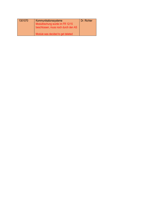| 1301070 | Kommunikationssysteme<br>Modullöschung wurde im FR 12/15<br>beschlossen, muss noch durch den AS | Dr. Richter |
|---------|-------------------------------------------------------------------------------------------------|-------------|
|         | Module was decided to get deleted                                                               |             |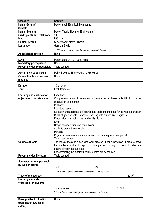| <b>Category</b>                     | <b>Content</b>                                                                     |
|-------------------------------------|------------------------------------------------------------------------------------|
| Name (German)                       | <b>Masterarbeit Electrical Engineering</b>                                         |
| <b>Subtitle</b>                     |                                                                                    |
| Name (English)                      | <b>Master Thesis Electrical Engineering</b>                                        |
| <b>Credit points and total work</b> | 30                                                                                 |
| load                                | 900 hours                                                                          |
| <b>Contact person</b>               | <b>Supervisor of Master Thesis</b>                                                 |
| Language                            | German/English                                                                     |
|                                     | Will be announced until the second week of classes.                                |
| <b>Admission restriction</b>        | None                                                                               |
|                                     |                                                                                    |
| Level                               | Master programme – continuing                                                      |
| <b>Mandatory prerequisites</b>      | None                                                                               |
| <b>Recommended prerequisites</b>    | Topic centred                                                                      |
|                                     |                                                                                    |
| <b>Assignment to curricula</b>      | M.Sc. Electrical Engineering - 2015-03-09                                          |
| <b>Connection to subsequent</b>     | None                                                                               |
| modules                             |                                                                                    |
| <b>Duration</b>                     | 1 Semester                                                                         |
| <b>Term</b>                         | Each Semester                                                                      |
|                                     |                                                                                    |
| Learning and qualification          | Expertise:                                                                         |
| objectives (competences)            | Comprehensive and independent processing of a chosen scientific topic under        |
|                                     | supervision of a mentor                                                            |
|                                     | Methods:                                                                           |
|                                     | Literature research                                                                |
|                                     | Selection and application of appropriate tools and methods for solving the problem |
|                                     | Rules of good scientific practise, handling with citation and plagiarism           |
|                                     | Preparation of a topic in oral and written form                                    |
|                                     | Social:                                                                            |
|                                     | Usage of supervision and consultation                                              |
|                                     | Ability to present own results<br>Personal:                                        |
|                                     | Organisation of an independent scientific work in a predefined period              |
|                                     | Time management                                                                    |
| <b>Course contents</b>              | The master thesis is a scientific work created under supervision. It aims to prove |
|                                     | the students ability to apply knowledge for solving problems in electrical         |
|                                     | engineering on the due date.                                                       |
|                                     | For completing the master thesis 6 months are scheduled.                           |
| <b>Recommended literature</b>       | Topic centred                                                                      |
|                                     |                                                                                    |
| Semester periods per week           |                                                                                    |
| by type of course                   | 0 SWS<br>Total                                                                     |
|                                     |                                                                                    |
|                                     | * If no further information is given, please account for the notes.                |
| <b>Titles of the courses</b>        | (LSF)                                                                              |
| <b>Learning methods</b>             |                                                                                    |
| <b>Work load for students</b>       |                                                                                    |
|                                     | 0 Std.<br>Total work load                                                          |
|                                     | * If no further information is given, please account for the notes.                |
|                                     |                                                                                    |
| Prerequisites for the final         | None                                                                               |
|                                     |                                                                                    |

**examination (type and** 

**extent)**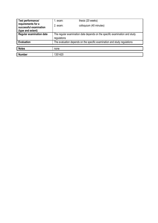| Test performance/                                                 | 1. exam:    | thesis (20 weeks)                                                          |
|-------------------------------------------------------------------|-------------|----------------------------------------------------------------------------|
| requirements for a<br>successful examination<br>(type and extent) | 2. exam:    | colloquium (40 minutes)                                                    |
| <b>Regular examination date</b>                                   | regulations | The regular examination date depends on the specific examination and study |
| <b>Evaluation</b>                                                 |             | The evaluation depends on the specific examination and study regulations   |
|                                                                   |             |                                                                            |
| <b>Notes</b>                                                      | none        |                                                                            |
|                                                                   |             |                                                                            |
| <b>Number</b>                                                     | 1351420     |                                                                            |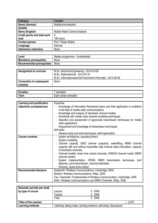| Category                            | <b>Content</b>                     |
|-------------------------------------|------------------------------------|
| Name (German)                       | Mobilkommunikation                 |
| <b>Subtitle</b>                     |                                    |
| Name (English)                      | <b>Mobile Radio Communications</b> |
| <b>Credit points and total work</b> | 6                                  |
| load                                | 180 hours                          |
| <b>Contact person</b>               | Prof. Tobias Weber                 |
| Language                            | German                             |
| <b>Admission restriction</b>        | None                               |

| Level                          | Master programme – fundamental |
|--------------------------------|--------------------------------|
| <b>Mandatory prerequisites</b> | None                           |
| Recommended prerequisites      | None                           |

| <b>Assignment to curricula</b>             | M.Sc. Electrical Engineering - 2015-03-09<br>M.Sc. Elektrotechnik - 2013-07-31<br>M.Sc. Informationstechnik/Technische Informatik - 2013-09-09 |
|--------------------------------------------|------------------------------------------------------------------------------------------------------------------------------------------------|
| <b>Connection to subsequent</b><br>modules | None                                                                                                                                           |

| -               | $\sim$ $\sim$ $\sim$ $\sim$ $\sim$ |
|-----------------|------------------------------------|
| --------        | nester                             |
| rauon           | 5UI.                               |
| -               | winter                             |
| orm             | Each                               |
| 1 <b>61 111</b> | semester                           |

| Learning and qualification    | Expertise:                                                                                                                                                                                                                                                                        |
|-------------------------------|-----------------------------------------------------------------------------------------------------------------------------------------------------------------------------------------------------------------------------------------------------------------------------------|
| objectives (competences)      | Knowledge of information theoretical basics and their application to problems<br>in the field of mobile radio communications<br>Knowledge and analysis of stochastic channel models<br>- Familiarity with mobile radio channel modelling techniques                               |
|                               | - Selection and assessment of approriate transmission techniques for mobile                                                                                                                                                                                                       |
|                               | radio applications                                                                                                                                                                                                                                                                |
|                               | - Assessment and knowledge of transmission techniques                                                                                                                                                                                                                             |
|                               | Soft skills:                                                                                                                                                                                                                                                                      |
|                               | General study and work techniques, self-organization                                                                                                                                                                                                                              |
| <b>Course contents</b>        | - system architecture, queueing theory<br>- System modelling                                                                                                                                                                                                                      |
|                               | - Channel capacity: SISO channel cpapacity, waterfilling, MIMO channel<br>capacity with and without transmitter side channel state information, capacity<br>of stochastic channels<br>- Channel models: linear time variant channels, WSSUS channel model, MIMO<br>channel models |
|                               | - System implementation: OFDM, MIMO transmission techniques, joint<br>detection, joint transmission, channel estimation                                                                                                                                                           |
|                               | Diversity, space-time-coding                                                                                                                                                                                                                                                      |
| <b>Recommended literature</b> | Goldsmith: Wireless Communications, Cambridge, 2005.                                                                                                                                                                                                                              |
|                               | Molisch: Wireless Communications, Wiley, 2005.                                                                                                                                                                                                                                    |
|                               | Tse, Viswanath: Fundamentals of Wireless Communication, Cambridge, 2005<br>Kühn: Wireless Communications over MIMO Channels, Wiley, 2006                                                                                                                                          |

| Semester periods per week<br>by type of course | -ecture<br><b>utorial</b><br>Total | 3 SWS<br>2 SWS<br>5 SWS                                            |       |
|------------------------------------------------|------------------------------------|--------------------------------------------------------------------|-------|
| Titles of the courses                          |                                    |                                                                    | (LSF) |
| Learning methods                               |                                    | Listening, taking notes, solving problems, self-study, discussions |       |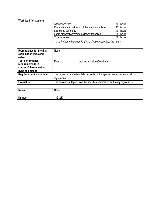| <b>Work load for students</b> |                                                                     |  |           |  |
|-------------------------------|---------------------------------------------------------------------|--|-----------|--|
|                               | Attendance time                                                     |  | 70 hours  |  |
|                               | Preparation and follow up of the attendance time                    |  | 45 hours  |  |
|                               | Structured self-study                                               |  | 40 hours  |  |
|                               | Exam preparation/prerequisites/examination                          |  | 25 hours  |  |
|                               | Total work load                                                     |  | 180 hours |  |
|                               | * If no further information is given, please account for the notes. |  |           |  |

| Prerequisites for the final<br>examination (type and<br>extent)                        | None                                                                                      |
|----------------------------------------------------------------------------------------|-------------------------------------------------------------------------------------------|
| Test performance/<br>requirements for a<br>successful examination<br>(type and extent) | Exam:<br>oral examination (30 minutes)                                                    |
| <b>Regular examination date</b>                                                        | The regular examination date depends on the specific examination and study<br>regulations |
| <b>Evaluation</b>                                                                      | The evaluation depends on the specific examination and study regulations                  |

| Notes<br>. | .<br>IΜ<br>эне. |
|------------|-----------------|
|            |                 |

|               | 1230 |
|---------------|------|
| <b>Number</b> | .35  |
|               |      |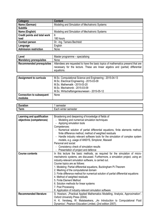| Category                            | <b>Content</b>                                 |  |  |
|-------------------------------------|------------------------------------------------|--|--|
| Name (German)                       | Modeling and Simulation of Mechatronic Systems |  |  |
| <b>Subtitle</b>                     |                                                |  |  |
| Name (English)                      | Modeling and Simulation of Mechatronic Systems |  |  |
| <b>Credit points and total work</b> | 6                                              |  |  |
| load                                | 180 hours                                      |  |  |
| <b>Contact person</b>               | Dr. - Ing. Tamara Bechtold                     |  |  |
| Language                            | English                                        |  |  |
| Admission restriction               | None                                           |  |  |

| Level                          | Master programme – specialising                                                                                                                                                                              |  |  |  |
|--------------------------------|--------------------------------------------------------------------------------------------------------------------------------------------------------------------------------------------------------------|--|--|--|
| <b>Mandatory prerequisites</b> | None                                                                                                                                                                                                         |  |  |  |
|                                | Recommended prerequisites   Attendees are requested to have the basic topics of mathematics presend that are<br>necessary for the lecture. These are linear algebra and (partial) differential<br>equations. |  |  |  |
|                                |                                                                                                                                                                                                              |  |  |  |

| <b>Assignment to curricula</b>  | M.Sc. Computational Science and Engineering - 2015-04-13 |  |  |  |
|---------------------------------|----------------------------------------------------------|--|--|--|
|                                 | M.Sc. Electrical Engineering - 2015-03-09                |  |  |  |
|                                 | M.Sc. Mathematik - 2015-03-20                            |  |  |  |
|                                 | M.Sc. Mechatronik - 2015-03-09                           |  |  |  |
|                                 | M.Sc. Wirtschaftsingenieurwesen - 2015-05-12             |  |  |  |
| <b>Connection to subsequent</b> | None                                                     |  |  |  |
| modules                         |                                                          |  |  |  |

| R<br>. <b>.</b><br>ILIUI | .                               |
|--------------------------|---------------------------------|
| -<br>Term                | -<br>winter<br>semester<br>cacn |

| Learning and qualification    | Broadening and deepening of knowledge of fields of                                   |  |  |  |
|-------------------------------|--------------------------------------------------------------------------------------|--|--|--|
| objectives (competences)      | Modeling and numerical simulation techniques                                         |  |  |  |
|                               | Applying simulation tools                                                            |  |  |  |
|                               | Competences:                                                                         |  |  |  |
|                               | Numerical solution of partial differential equations, finite elements method,        |  |  |  |
|                               | finite difference method, method of weighted residuals                               |  |  |  |
|                               | Handle industry relevant software tools for the simulation of complex system         |  |  |  |
|                               | models, e.g. usage of ANSYS, Simplorer, Maxwell                                      |  |  |  |
|                               | Personal and social:                                                                 |  |  |  |
|                               | Consistency check of simulation results<br>۰                                         |  |  |  |
|                               | Presentation of project and defence                                                  |  |  |  |
| <b>Course contents</b>        | In this lecture the basic methods, as required for the simulation of micro-          |  |  |  |
|                               | mechatronic systems, are discussed. Furthermore, a simulation project, using an      |  |  |  |
|                               | industry-relevant simulation software, is carried out.                               |  |  |  |
|                               | Course topics are as follows:                                                        |  |  |  |
|                               | 1. Modeling: Partial differential equations, Buckingham Pi-Theorem                   |  |  |  |
|                               | 2. Meshing of the computational domain                                               |  |  |  |
|                               | 3. Finite difference method for numerical solution of partial differential equations |  |  |  |
|                               | 4. Method of weighted residuals                                                      |  |  |  |
|                               | 5. Finite Element Method                                                             |  |  |  |
|                               | 6. Solution methods for linear systems                                               |  |  |  |
|                               | 7. Post Processing                                                                   |  |  |  |
|                               | 8. Application of industry-relevant simulation software                              |  |  |  |
| <b>Recommended literature</b> | S. Howison, "Practical Applied Mathematics Modelling, Analysis, Approximation",      |  |  |  |
|                               | Oxford University Press (2004).                                                      |  |  |  |
|                               | H. K. Versteeg, W. Malalasekera, "An Introduction to Computational Fluid             |  |  |  |
|                               | Dynamics", Pearson Education Limited, (2nd edition 2007).                            |  |  |  |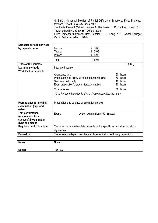| G. Smith, Numerical Solution of Partial Differential Equations: Finite Diference |
|----------------------------------------------------------------------------------|
| Methods, Oxford University Press, 1985.                                          |
| The Finite Element Method, Volume 1: The Basis, O. C. Zienkiewicz and R. L.      |
| Taylor, edited by McGraw-Hill, Oxford (2000).                                    |
| Finite Elements Analysis for Heat Transfer, H. C. Huang, A. S. Usmani, Springer  |
| Verlag Berlin Heidelberg (1994)                                                  |

| Semester periods per week<br>by type of course | Lecture<br>Tutorial<br>Project                   | 2 SWS<br>SWS<br>SWS                                                 |     |           |
|------------------------------------------------|--------------------------------------------------|---------------------------------------------------------------------|-----|-----------|
|                                                | Total                                            | 4 SWS                                                               |     |           |
| Titles of the courses                          |                                                  |                                                                     |     | (LSF)     |
| Learning methods                               | Integrated course                                |                                                                     |     |           |
| Work load for students                         |                                                  |                                                                     |     |           |
|                                                | Attendance time                                  |                                                                     | 60. | hours     |
|                                                | Preparation and follow up of the attendance time |                                                                     |     | 60 hours  |
|                                                | Structured self-study                            |                                                                     |     | 40 hours  |
|                                                | Exam preparation/prerequisites/examination       |                                                                     | 20  | hours     |
|                                                | Total work load                                  | * If no further information is given, please account for the notes. |     | 180 hours |

| Prerequisites for the final<br>examination (type and<br>extent)                        | Preparation and defence of simulation projects                                            |
|----------------------------------------------------------------------------------------|-------------------------------------------------------------------------------------------|
| Test performance/<br>requirements for a<br>successful examination<br>(type and extent) | Exam:<br>written examination (150 minutes)                                                |
| <b>Regular examination date</b>                                                        | The regular examination date depends on the specific examination and study<br>regulations |
| <b>Evaluation</b>                                                                      | The evaluation depends on the specific examination and study regulations                  |

| <b>Notes</b>  | None   |
|---------------|--------|
|               |        |
| <b>Number</b> | 351320 |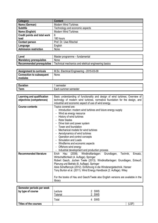| Category                     | <b>Content</b>                  |
|------------------------------|---------------------------------|
| Name (German)                | <b>Modern Wind Turbines</b>     |
| <b>Subtitle</b>              | Technology and economic aspects |
| Name (English)               | <b>Modern Wind Turbines</b>     |
| Credit points and total work | 6                               |
| load                         | 180 hours                       |
| <b>Contact person</b>        | Prof. Dr. Uwe Ritschel          |
| Language                     | English                         |
| <b>Admission restriction</b> | None                            |

| Level                            | Master programme – fundamental                       |
|----------------------------------|------------------------------------------------------|
| <b>Mandatory prerequisites</b>   | <b>None</b>                                          |
| <b>Recommended prerequisites</b> | Technical mechanics and eletrical engineering basics |

| Assignment to curricula         | M.Sc. Electrical Engineering - 2015-03-09 |
|---------------------------------|-------------------------------------------|
| <b>Connection to subsequent</b> | None                                      |
| modules                         |                                           |

|         | maxmax                                 |
|---------|----------------------------------------|
| ------- | ser                                    |
| . וטו   | nester                                 |
| erm.    | semester<br>.or<br>sur<br>nmer<br>⊏au⊦ |

| Learning and qualification    | Basic understanding of functionality and design of wind turbines; Overview of   |  |
|-------------------------------|---------------------------------------------------------------------------------|--|
| objectives (competences)      | technolgy of modern wind turbines, normative foundation for the design, and     |  |
|                               | industrial and economic aspect of use of wind energy.                           |  |
| <b>Course contents</b>        | Topics covered are:                                                             |  |
|                               | Introduction: modern wind turbines and future energy supply                     |  |
|                               | Wind as energy resource                                                         |  |
|                               | History of wind turbines                                                        |  |
|                               | - Rotor blades                                                                  |  |
|                               | - Drive train and power system                                                  |  |
|                               | - Tower and foundation                                                          |  |
|                               | - Mechanical models for wind turbines                                           |  |
|                               | Aerodynamics of wind turbines                                                   |  |
|                               | Operation and control concepts                                                  |  |
|                               | - Simulation and Loads                                                          |  |
|                               | - Windfarms and economic aspects                                                |  |
|                               | - Offshore wind energy                                                          |  |
|                               | Industrial development and production process                                   |  |
| <b>Recommended literature</b> | (2008). Windkraftanlagen: Grundlagen,<br>Technik,<br>Erich<br>Hau<br>Einsatz,   |  |
|                               | Wirtschaftlichkeit (4. Auflage). Springer                                       |  |
|                               | Robert Gasch, Jochen Twele (2013). Windkraftanlagen: Grundlagen, Entwurf,       |  |
|                               | Planung und Betrieb (8. Auflage). Springer                                      |  |
|                               | Alois Schaffarczyk (2012). Einführung in die Windenergietechnik. Hanser         |  |
|                               | Tony Burton et al. (2011). Wind Energy Handbook (2. Auflage). Wiley             |  |
|                               |                                                                                 |  |
|                               | For the books of Hau and Gasch/Twele also English versions are available in the |  |
|                               | library                                                                         |  |

| Semester periods per week<br>by type of course | Lecture<br><b>Tutorial</b><br>Total | 2 SWS<br>2 SWS<br>4 SWS |      |
|------------------------------------------------|-------------------------------------|-------------------------|------|
|                                                |                                     |                         |      |
| Titles of the courses                          |                                     |                         | (LSF |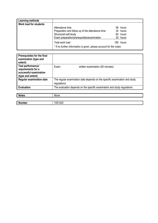| Learning methods       |                                                                     |           |
|------------------------|---------------------------------------------------------------------|-----------|
| Work load for students |                                                                     |           |
|                        | Attendance time                                                     | 56 hours  |
|                        | Preparation and follow up of the attendance time                    | 34 hours  |
|                        | Structured self-study                                               | 60 hours  |
|                        | Exam preparation/prerequisites/examination                          | 30 hours  |
|                        | Total work load                                                     | 180 hours |
|                        | * If no further information is given, please account for the notes. |           |

| Prerequisites for the final<br>examination (type and<br>extent)                        |                                                                                           |
|----------------------------------------------------------------------------------------|-------------------------------------------------------------------------------------------|
| Test performance/<br>requirements for a<br>successful examination<br>(type and extent) | written examination (90 minutes)<br>Exam:                                                 |
| <b>Regular examination date</b>                                                        | The regular examination date depends on the specific examination and study<br>regulations |
| <b>Evaluation</b>                                                                      | The evaluation depends on the specific examination and study regulations                  |

| <b>Notes</b>  | None    |
|---------------|---------|
|               |         |
| <b>Number</b> | 1551420 |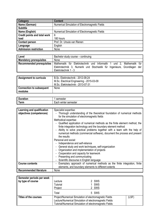| Category                            | <b>Content</b>                                 |
|-------------------------------------|------------------------------------------------|
| Name (German)                       | Numerical Simulation of Electromagnetic Fields |
| <b>Subtitle</b>                     |                                                |
| Name (English)                      | Numerical Simulation of Electromagnetic Fields |
| <b>Credit points and total work</b> | 6                                              |
| load                                | 180 hours                                      |
| <b>Contact person</b>               | Prof. Dr. Ursula van Rienen                    |
| Language                            | English                                        |
| <b>Admission restriction</b>        | None                                           |

| Level                            | Bachelor study course – continuing                                                              |  |
|----------------------------------|-------------------------------------------------------------------------------------------------|--|
| <b>Mandatory prerequisites</b>   | None                                                                                            |  |
| <b>Recommended prerequisites</b> | und 2, Mathematik für<br>Mathematik für Elektrotechnik und Informatik 1                         |  |
|                                  | Elektrotechnik 3, Numerik und Stochastik für Ingenieure, Grundlagen der<br>Elektrotechnik 1 - 3 |  |

| <b>Assignment to curricula</b>             | B.Sc. Elektrotechnik - 2012-09-24<br>M.Sc. Electrical Engineering - 2015-03-09<br>M.Sc. Elektrotechnik - 2013-07-31 |
|--------------------------------------------|---------------------------------------------------------------------------------------------------------------------|
| <b>Connection to subsequent</b><br>modules | None                                                                                                                |

| -                        | semester                   |
|--------------------------|----------------------------|
| <b>Arm</b><br><b>AUL</b> | winter<br>semester<br>⊨ach |

| Learning and qualification<br>objectives (competences) | Specialist expertise:<br>Thorough understanding of the theoretical foundation of numerical methods                                                     |  |
|--------------------------------------------------------|--------------------------------------------------------------------------------------------------------------------------------------------------------|--|
|                                                        | for the simulation of electromagnetic fields                                                                                                           |  |
|                                                        | Methodical expertise:                                                                                                                                  |  |
|                                                        | - Qualified application of numerical methods as the finite element method, the<br>finite integration technology and the boundary element method        |  |
|                                                        | Ability to solve practical problems together with a team with the help of<br>numerical methods (commercial software), document the process and present |  |
|                                                        | the results                                                                                                                                            |  |
|                                                        | Personal and social:                                                                                                                                   |  |
|                                                        | Independence and self-reliance                                                                                                                         |  |
|                                                        | General study and work techniques, self-organization<br>۰                                                                                              |  |
|                                                        | Organization and implementation of projects                                                                                                            |  |
|                                                        | Cooperation and capacity for teamwork                                                                                                                  |  |
|                                                        | Presenting and communicating<br>$\blacksquare$                                                                                                         |  |
|                                                        | Scientific discourse in English language                                                                                                               |  |
| <b>Course contents</b>                                 | Exemplary approach of numerical methods as the finite integration, finite<br>$\overline{\phantom{a}}$                                                  |  |
|                                                        | elements, and boundary elements to different extents                                                                                                   |  |
| <b>Recommended literature</b>                          | None                                                                                                                                                   |  |

| Semester periods per week<br>by type of course | Lecture<br><b>Tutorial</b><br>Project                                                                                                                                       | 2 SWS<br>1 SWS<br>2 SWS |       |
|------------------------------------------------|-----------------------------------------------------------------------------------------------------------------------------------------------------------------------------|-------------------------|-------|
|                                                | Total                                                                                                                                                                       | 5 SWS                   |       |
| <b>Titles of the courses</b>                   | Project/Numerical Simulation of electromagnetic Fields<br>Lecture/Numerical Simulation of electromagnetic Fields<br>Tutorial/Numerical Simulation of electromagnetic Fields |                         | (LSF) |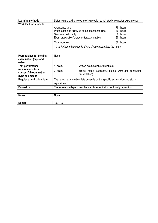| Learning methods              | Listening and taking notes, solving problems, self-study, computer experiments |  |           |
|-------------------------------|--------------------------------------------------------------------------------|--|-----------|
| <b>Work load for students</b> |                                                                                |  |           |
|                               | Attendance time                                                                |  | 75 hours  |
|                               | Preparation and follow up of the attendance time                               |  | 40 hours  |
|                               | Structured self-study                                                          |  | 30 hours  |
|                               | Exam preparation/prerequisites/examination                                     |  | 35 hours  |
|                               | Total work load                                                                |  | 180 hours |
|                               | * If no further information is given, please account for the notes.            |  |           |

| Prerequisites for the final<br>examination (type and<br>extent)   | None                                                                       |                                                                         |
|-------------------------------------------------------------------|----------------------------------------------------------------------------|-------------------------------------------------------------------------|
| Test performance/                                                 | 1. exam:                                                                   | written examination (60 minutes)                                        |
| requirements for a<br>successful examination<br>(type and extent) | $2.$ exam:                                                                 | project report (successful project work and concluding<br>presentation) |
| <b>Regular examination date</b>                                   | The regular examination date depends on the specific examination and study |                                                                         |
|                                                                   | regulations                                                                |                                                                         |
| <b>Evaluation</b>                                                 | The evaluation depends on the specific examination and study regulations   |                                                                         |

| <b>Notes</b>  | None                                |
|---------------|-------------------------------------|
|               |                                     |
| <b>Number</b> | 1301100<br>$\overline{\phantom{a}}$ |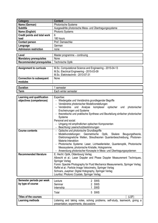| <b>Category</b>                     | <b>Content</b>                                                                             |  |
|-------------------------------------|--------------------------------------------------------------------------------------------|--|
| Name (German)                       | <b>Photonische Systeme</b>                                                                 |  |
| <b>Subtitle</b>                     | Ausgewählte photonische Mess- und Übertragungssysteme                                      |  |
| Name (English)                      | <b>Photonic Systems</b>                                                                    |  |
| <b>Credit points and total work</b> | 6                                                                                          |  |
| load                                | 180 hours                                                                                  |  |
| <b>Contact person</b>               | Prof. Damaschke                                                                            |  |
| Language                            | German                                                                                     |  |
| <b>Admission restriction</b>        | none                                                                                       |  |
|                                     |                                                                                            |  |
| Level                               | Master programme - continuing                                                              |  |
| <b>Mandatory prerequisites</b>      | None                                                                                       |  |
| <b>Recommended prerequisites</b>    | <b>Technische Optik</b>                                                                    |  |
| <b>Assignment to curricula</b>      | M.Sc. Computational Science and Engineering - 2015-04-13                                   |  |
|                                     | M.Sc. Electrical Engineering - 2015-03-09                                                  |  |
|                                     | M.Sc. Elektrotechnik - 2013-07-31                                                          |  |
| <b>Connection to subsequent</b>     | None                                                                                       |  |
| modules                             |                                                                                            |  |
|                                     |                                                                                            |  |
| <b>Duration</b>                     | 1 semester                                                                                 |  |
| <b>Term</b>                         | Each winter semester                                                                       |  |
| Learning and qualification          | Expertise:                                                                                 |  |
| objectives (competences)            | - Wiedergabe und Verständnis grundlegender Begriffe                                        |  |
|                                     | - Verständnis photonischer Modellvorstellungen                                             |  |
|                                     | - Verständnis und Analyse<br>komplexer optischer<br>photonischer<br>und                    |  |
|                                     | Erscheinungen und Systeme                                                                  |  |
|                                     | theoretische und praktische Synthese und Beurteilung einfacher photonischer                |  |
|                                     | Systeme                                                                                    |  |
|                                     | Personal and social:                                                                       |  |
|                                     | Umgang mit empfindlichen optischen Komponenten                                             |  |
|                                     | - Beachtung Laserschutzbestimmungen                                                        |  |
| <b>Course contents</b>              | Optische und photonische Grundbegriffe<br>$\sim$                                           |  |
|                                     | - Modellvorstellungen: Geometrische Optik, Skalare<br>Beugungstheorie,                     |  |
|                                     | Elektromagnetiche Wellen, Streutheorien Quantenbeschreibung, Photonen-                     |  |
|                                     | Materie-Interaktion                                                                        |  |
|                                     | Photonische Systeme: Laser, Lichtwellenleiter, Quantenoptik, Photonische<br>$\blacksquare$ |  |
|                                     | Messsysteme, photonische Kristalle, Hologramme                                             |  |
|                                     | Anwendung photonischer Konzepte in Mess- und Übertragungssystemen                          |  |
| <b>Recommended literature</b>       | E. Hecht: Optik, Oldenbourg Verlag                                                         |  |
|                                     | Albrecht et al.: Laser Doppler and Phase Doppler Measurement Techniques,                   |  |
|                                     | Springer Verlag                                                                            |  |
|                                     | Fomin: Speckle Photography for Fluid Mechanics Measurements, Springer Verlag               |  |
|                                     | Raffel et al.: Particle Image Velocimetry, Springer Verlag                                 |  |
|                                     | Schnars, Jueptner: Digital Holography, Springer Verlag                                     |  |
|                                     | Lourtioz: Photonic Crystals, Springer Verlag                                               |  |
| Semester periods per week           |                                                                                            |  |
| by type of course                   | 2 SWS<br>Lecture                                                                           |  |
|                                     | 2 SWS<br>Seminar                                                                           |  |
|                                     | <u>1 SWS</u><br>Internship                                                                 |  |
|                                     | 5 SWS<br>Total                                                                             |  |
| <b>Titles of the courses</b>        | (LSF)                                                                                      |  |
|                                     |                                                                                            |  |
| <b>Learning methods</b>             | Listening and taking notes, solving problems, self-study, teamwork, giving a               |  |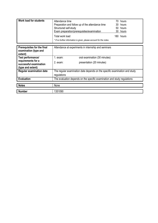| <b>Work load for students</b>                                     | Attendance time<br>hours<br>70.<br>Preparation and follow up of the attendance time<br>30<br>hours<br>Structured self-study<br>50 hours<br>Exam preparation/prerequisites/examination<br>30 hours<br>Total work load<br>180 hours<br>* If no further information is given, please account for the notes. |
|-------------------------------------------------------------------|----------------------------------------------------------------------------------------------------------------------------------------------------------------------------------------------------------------------------------------------------------------------------------------------------------|
| <b>Prerequisites for the final</b>                                | Attendance at experiments in internship and seminars                                                                                                                                                                                                                                                     |
| examination (type and<br>extent)                                  |                                                                                                                                                                                                                                                                                                          |
| <b>Test performance/</b>                                          | $1.$ exam:<br>oral examination (30 minutes)                                                                                                                                                                                                                                                              |
| requirements for a<br>successful examination<br>(type and extent) | presentation (20 minutes)<br>2. exam:                                                                                                                                                                                                                                                                    |
| <b>Regular examination date</b>                                   | The regular examination date depends on the specific examination and study                                                                                                                                                                                                                               |
|                                                                   | regulations                                                                                                                                                                                                                                                                                              |
| <b>Evaluation</b>                                                 | The evaluation depends on the specific examination and study regulations                                                                                                                                                                                                                                 |
| <b>Notes</b>                                                      |                                                                                                                                                                                                                                                                                                          |
|                                                                   | None                                                                                                                                                                                                                                                                                                     |
| <b>Number</b>                                                     | 1351090                                                                                                                                                                                                                                                                                                  |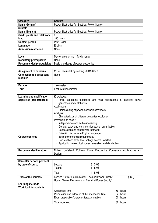| Category                     | <b>Content</b>                                       |
|------------------------------|------------------------------------------------------|
| Name (German)                | <b>Power Electronics for Electrical Power Supply</b> |
| <b>Subtitle</b>              |                                                      |
| Name (English)               | <b>Power Electronics for Electrical Power Supply</b> |
| Credit points and total work | 6                                                    |
| load                         | 180 hours                                            |
| <b>Contact person</b>        | Prof. Eckel                                          |
| Language                     | English                                              |
| <b>Admission restriction</b> | None                                                 |

| Level                          | Master programme – fundamental       |
|--------------------------------|--------------------------------------|
| <b>Mandatory prerequisites</b> | None                                 |
| Recommended prerequisites      | Basic knowledge of power electronics |

| <b>Assignment to curricula</b>  | M.Sc. Electrical Engineering - 2015-03-09 |
|---------------------------------|-------------------------------------------|
| <b>Connection to subsequent</b> | None                                      |
| modules                         |                                           |

| -<br>יוטוי.         | nesiei<br>55                    |
|---------------------|---------------------------------|
| ----<br><b>PULL</b> | winter<br>acı<br>nester<br>ser: |

| Learning and qualification    | Knowledge:                                                                                               |  |  |  |  |
|-------------------------------|----------------------------------------------------------------------------------------------------------|--|--|--|--|
| objectives (competences)      | - Power electronic topologies and their applications in electrical power<br>generation and distribution. |  |  |  |  |
|                               | Application:                                                                                             |  |  |  |  |
|                               | - Dimensioning of power electronic converters                                                            |  |  |  |  |
|                               | Analysis:                                                                                                |  |  |  |  |
|                               | - Characteristics of different converter topologies                                                      |  |  |  |  |
|                               | Personal and social:                                                                                     |  |  |  |  |
|                               | - Independence and self-responsibility                                                                   |  |  |  |  |
|                               | General study and work techniques, self-organisation                                                     |  |  |  |  |
|                               | - Cooperation and capacity for teamwork                                                                  |  |  |  |  |
|                               | Scientific discourse in English language                                                                 |  |  |  |  |
| <b>Course contents</b>        | Basic power electronic topologies                                                                        |  |  |  |  |
|                               | Two level and three level voltage source inverters                                                       |  |  |  |  |
|                               | Application in electrical power generation and distribution                                              |  |  |  |  |
|                               |                                                                                                          |  |  |  |  |
| <b>Recommended literature</b> | Mohan, Undeland, Robbins: Power Electronics: Converters, Applications and                                |  |  |  |  |
|                               | Design                                                                                                   |  |  |  |  |

| Semester periods per week<br>by type of course | Lecture<br><b>Tutorial</b>                                                                                                           | 3 SWS<br>SWS                                     |  |
|------------------------------------------------|--------------------------------------------------------------------------------------------------------------------------------------|--------------------------------------------------|--|
|                                                | Total                                                                                                                                | 4 SWS                                            |  |
| Titles of the courses                          | (LSF)<br>Lecture "Power Electronics for Electrical Power Supply"<br><b>Übung "Power Electronics for Electrical Power Supply"</b>     |                                                  |  |
| Learning methods                               |                                                                                                                                      |                                                  |  |
| <b>Work load for students</b>                  | Attendance time<br>Preparation and follow up of the attendance time<br>Exam preparation/prerequisites/examination<br>Total work load | 56 hours<br>64 hours<br>60 hours<br>180<br>hours |  |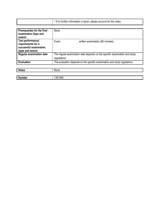| * If no further information is given, please account for the notes. |
|---------------------------------------------------------------------|
|                                                                     |

| Prerequisites for the final<br>examination (type and<br>extent)                        | None                                                                                      |  |  |
|----------------------------------------------------------------------------------------|-------------------------------------------------------------------------------------------|--|--|
| Test performance/<br>requirements for a<br>successful examination<br>(type and extent) | Exam:<br>written examination (90 minutes)                                                 |  |  |
| <b>Regular examination date</b>                                                        | The regular examination date depends on the specific examination and study<br>regulations |  |  |
| <b>Evaluation</b>                                                                      | The evaluation depends on the specific examination and study regulations                  |  |  |
| <b>Notes</b>                                                                           | None                                                                                      |  |  |
| <b>Number</b>                                                                          | 1351400                                                                                   |  |  |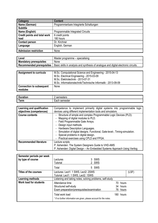| Category                            | <b>Content</b>                          |
|-------------------------------------|-----------------------------------------|
| Name (German)                       | Programmierbare Integrierte Schaltungen |
| <b>Subtitle</b>                     |                                         |
| Name (English)                      | Programmable Integrated Circuits        |
| <b>Credit points and total work</b> | 6 credit points                         |
| load                                | 180 hours                               |
| <b>Contact person</b>               | Dr. Kirchner                            |
| Language                            | English, German                         |
| <b>Admission restriction</b>        | None                                    |

| Level                            | Master programme – specialising                                                     |  |  |
|----------------------------------|-------------------------------------------------------------------------------------|--|--|
| <b>Mandatory prerequisites</b>   | None                                                                                |  |  |
| <b>Recommended prerequisites</b> | Basic skills in analysis and synthesis of analogue and digital electronic circuits. |  |  |

| <b>Assignment to curricula</b>             | M.Sc. Computational Science and Engineering - 2015-04-13<br>M.Sc. Electrical Engineering - 2015-03-09<br>M.Sc. Elektrotechnik - 2013-07-31<br>M.Sc. Informationstechnik/Technische Informatik - 2013-09-09 |
|--------------------------------------------|------------------------------------------------------------------------------------------------------------------------------------------------------------------------------------------------------------|
| <b>Connection to subsequent</b><br>modules | None                                                                                                                                                                                                       |

| -                  | nesters                                                                            |
|--------------------|------------------------------------------------------------------------------------|
| auon.              | <u>.</u>                                                                           |
| -<br>orm<br>ווויסי | . <b>.</b><br>nester<br>יהי<br>, semeste,<br>–dül '<br>and the control of the con- |

| Learning and qualification    | Competence to implement primarily digital systems into programmable logic    |  |  |  |
|-------------------------------|------------------------------------------------------------------------------|--|--|--|
| objectives (competences)      | devices using different implementation tools and simulators.                 |  |  |  |
| <b>Course contents</b>        | - Structure of simple and complex Programmable Logic Devices (PLD).          |  |  |  |
|                               | Mapping of digital modules to PLD.                                           |  |  |  |
|                               | - Field Programmable Gate Arrays.                                            |  |  |  |
|                               | - Design input methods.                                                      |  |  |  |
|                               | - Hardware Description Languages.                                            |  |  |  |
|                               | - Simulation of digital designs. Functional, Gate-level-, Timing-simulation. |  |  |  |
|                               | - Special problems in digital design.                                        |  |  |  |
|                               | - Practical exercises using CPLD and FPGA.                                   |  |  |  |
| <b>Recommended literature</b> | Lecture scripts                                                              |  |  |  |
|                               | P. Ashenden: The System Designers Guide to VHD-AMS                           |  |  |  |
|                               | P. Ashenden: Digital Design - An Embedded Systems Approach Using Verilog     |  |  |  |

| Semester periods per week<br>by type of course | Lectures<br><b>Tutorial</b>                                                             | 3 SWS<br>2 SWS |       |
|------------------------------------------------|-----------------------------------------------------------------------------------------|----------------|-------|
|                                                | Total                                                                                   | 5 SWS          |       |
| Titles of the courses                          | Lectures: Lect1: 1 SWS, Lect2: 2SWS<br>(LSF)                                            |                |       |
|                                                | Tutorial: Lect1: 1 SWS, Lect2: 1SWS                                                     |                |       |
| Learning methods                               | Listening and taking notes, solving problems, self-study                                |                |       |
| <b>Work load for students</b>                  | Attendance time                                                                         | 70 hours       |       |
|                                                | Structured self-study                                                                   | 34 hours       |       |
|                                                | Exam preparation/prerequisites/examination                                              | 76 -           | hours |
|                                                | Total work load<br>* If no further information are given, please account for the notes. | 180 hours      |       |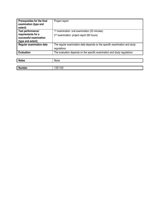| <b>Prerequisites for the final</b><br>examination (type and<br>extent) | Project report                                                             |
|------------------------------------------------------------------------|----------------------------------------------------------------------------|
| Test performance/                                                      | 1 <sup>st</sup> examination: oral examination (20 minutes)                 |
| requirements for a                                                     | 2 <sup>nd</sup> examination: project report (60 hours)                     |
| successful examination                                                 |                                                                            |
| (type and extent)                                                      |                                                                            |
| <b>Regular examination date</b>                                        | The regular examination date depends on the specific examination and study |
|                                                                        | regulations                                                                |
| <b>Evaluation</b>                                                      | The evaluation depends on the specific examination and study regulations   |
|                                                                        |                                                                            |

| <b>Notes</b>  | None    |
|---------------|---------|
|               |         |
| <b>Number</b> | 1351100 |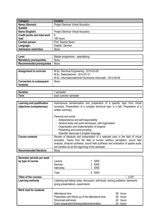| Category                            | <b>Content</b>                           |  |  |
|-------------------------------------|------------------------------------------|--|--|
| Name (German)                       | <b>Project Seminar Virtual Acoustics</b> |  |  |
| <b>Subtitle</b>                     |                                          |  |  |
| Name (English)                      | <b>Project Seminar Virtual Acoustics</b> |  |  |
| <b>Credit points and total work</b> | 6                                        |  |  |
| load                                | 180 hours                                |  |  |
| <b>Contact person</b>               | Prof. Sascha Spors                       |  |  |
| Language                            | English, German                          |  |  |
| Admission restriction               | None                                     |  |  |

| Level                          | Master programme – specialising |  |  |
|--------------------------------|---------------------------------|--|--|
| <b>Mandatory prerequisites</b> | None                            |  |  |
| Recommended prerequisites      | None                            |  |  |

| <b>Assignment to curricula</b>             | M.Sc. Electrical Engineering - 2015-03-09<br>M.Sc. Elektrotechnik - 2013-07-31<br>M.Sc. Informationstechnik/Technische Informatik - 2013-09-09 |
|--------------------------------------------|------------------------------------------------------------------------------------------------------------------------------------------------|
| <b>Connection to subsequent</b><br>modules | None                                                                                                                                           |

| $\overline{\phantom{a}}$<br>.<br>auon. | semester<br>ser            |
|----------------------------------------|----------------------------|
| orm<br><b>GUIL</b>                     | semester<br>summer<br>each |

| Learning and qualification<br>objectives (competences) | Autonomous familiarisation and preperation of a specific topic from virtual<br>acoustics. Presentation of a complex technical topic in a talk. Preperation of a<br>written summary.                                                                                                                        |
|--------------------------------------------------------|------------------------------------------------------------------------------------------------------------------------------------------------------------------------------------------------------------------------------------------------------------------------------------------------------------|
|                                                        | Personal and social:<br>Independence and self-responsibility<br>- General study and work techniques, self-organisation<br>- Organisation and implementation of projects<br>- Presenting and communicating<br>- Scientific discourse in English language                                                    |
| <b>Course contents</b>                                 | Review of literature and presentation of a selected topic in the field of virtual<br>acoustics. Topics from the field of human auditory perception, sound field<br>analysis, binaural synthesis, sound field synthesis and evaluation of spatial audio<br>are handed out at the beginning of the semester. |
| <b>Recommended literature</b>                          | None                                                                                                                                                                                                                                                                                                       |

| Semester periods per week<br>by type of course | Lecture<br>Seminar<br>Internship                                                                                     | <b>SWS</b><br>2 SWS<br>SWS |       |
|------------------------------------------------|----------------------------------------------------------------------------------------------------------------------|----------------------------|-------|
|                                                | Total                                                                                                                | 4 SWS                      |       |
| <b>Titles of the courses</b>                   |                                                                                                                      |                            | (LSF) |
| Learning methods                               | Listening and taking notes, discussion, self-study, solving problems, teamwork,<br>giving presentations, experiments |                            |       |
| <b>Work load for students</b>                  |                                                                                                                      |                            |       |
|                                                | Attendance time                                                                                                      | 56.<br>hours               |       |
|                                                | Preparation and follow up of the attendance time                                                                     | 60 hours                   |       |
|                                                | Structured self-study                                                                                                | 40<br>hours                |       |
|                                                | Exam preparation/prerequisites/examination                                                                           | 24 hours                   |       |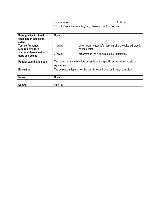| Total work load                                                     | 180 hours |
|---------------------------------------------------------------------|-----------|
| * If no further information is given, please account for the notes. |           |

| <b>Prerequisites for the final</b><br>examination (type and<br>extent) | None                                                                                      |                                                                          |
|------------------------------------------------------------------------|-------------------------------------------------------------------------------------------|--------------------------------------------------------------------------|
| Test performance/<br>requirements for a                                | 1. exam:                                                                                  | other exam (successful passing of the evaluated practial<br>experiments) |
| successful examination<br>(type and extent)                            | $2.$ exam:                                                                                | presentation (on a selected topic, 30 minutes)                           |
| <b>Regular examination date</b>                                        | The regular examination date depends on the specific examination and study<br>regulations |                                                                          |
| <b>Evaluation</b>                                                      | The evaluation depends on the specific examination and study regulations                  |                                                                          |
|                                                                        |                                                                                           |                                                                          |
| <b>Notes</b>                                                           | None                                                                                      |                                                                          |
|                                                                        |                                                                                           |                                                                          |
| <b>Number</b>                                                          | 1351110                                                                                   |                                                                          |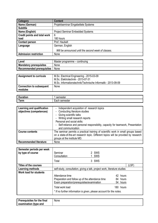| Category                            | <b>Content</b>                                      |
|-------------------------------------|-----------------------------------------------------|
| Name (German)                       | Projektseminar Eingebettete Systeme                 |
| <b>Subtitle</b>                     |                                                     |
| Name (English)                      | <b>Project Seminar Embedded Systems</b>             |
| <b>Credit points and total work</b> | 6                                                   |
| load                                | 180 hours                                           |
| <b>Contact person</b>               | Prof. Haubelt                                       |
| Language                            | German, English                                     |
|                                     | Will be announced until the second week of classes. |
| Admission restriction               | None                                                |

| Level                          | Master programme – continuing |
|--------------------------------|-------------------------------|
| <b>Mandatory prerequisites</b> | None                          |
| Recommended prerequisites      | None                          |

| <b>Assignment to curricula</b>             | M.Sc. Electrical Engineering - 2015-03-09<br>M.Sc. Elektrotechnik - 2013-07-31<br>M.Sc. Informationstechnik/Technische Informatik - 2013-09-09 |
|--------------------------------------------|------------------------------------------------------------------------------------------------------------------------------------------------|
| <b>Connection to subsequent</b><br>modules | None                                                                                                                                           |

| -<br>--------<br>auun.<br>. . | .<br>пеэтег<br>351        |
|-------------------------------|---------------------------|
| -<br>orm<br><u>enn</u>        | –a∪il Semester<br>- - - - |

| Learning and qualification    | Independent acquisition of research topics                                          |
|-------------------------------|-------------------------------------------------------------------------------------|
| objectives (competences)      | - Conducting literature studies                                                     |
|                               | - Giving scientific talks                                                           |
|                               | - Writing small research reports                                                    |
|                               | Personal and social skills:                                                         |
|                               | - Self-reliance and personal responsibility, capacity for teamwork, Presentation    |
|                               | and communication                                                                   |
| <b>Course contents</b>        | The seminar permits a practical training of scientific work in small groups based   |
|                               | on a state-of-the-art research topic. Different topics will be provided by research |
|                               | groups at the institute MD.                                                         |
| <b>Recommended literature</b> | <b>None</b>                                                                         |

| Semester periods per week<br>by type of course | Seminar<br>Consultation<br>Total                                          | 2 SWS<br>1 SWS<br>3 SWS |           |
|------------------------------------------------|---------------------------------------------------------------------------|-------------------------|-----------|
| <b>Titles of the courses</b>                   |                                                                           |                         | (LSF)     |
| Learning methods                               | self-study, consultation, giving a talk, project work, literature studies |                         |           |
| Work load for students                         |                                                                           |                         |           |
|                                                | Attendance time                                                           |                         | 42 hours  |
|                                                | Preparation and follow up of the attendance time                          |                         | 84 hours  |
|                                                | Exam preparation/prerequisites/examination                                |                         | 54 hours  |
|                                                | Total work load                                                           |                         | 180 hours |
|                                                | * If no further information is given, please account for the notes.       |                         |           |

| <b>Prerequisites for the final</b> | None |
|------------------------------------|------|
| examination (type and              |      |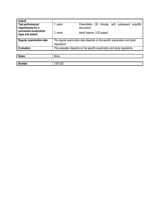| extent)                                     |                                                                            |                                                                          |
|---------------------------------------------|----------------------------------------------------------------------------|--------------------------------------------------------------------------|
| Test performance/<br>requirements for a     | 1. exam:                                                                   | (30 minutes, with subsequent scientific<br>Presentation<br>discussion)   |
| successful examination<br>(type and extent) | $2.$ exam:                                                                 | report (approx. 5-20 pages)                                              |
| <b>Regular examination date</b>             | The regular examination date depends on the specific examination and study |                                                                          |
|                                             | regulations                                                                |                                                                          |
| <b>Evaluation</b>                           |                                                                            | The evaluation depends on the specific examination and study regulations |
|                                             |                                                                            |                                                                          |

| <b>Notes</b>  | None    |
|---------------|---------|
|               |         |
| <b>Number</b> | 1351120 |

 $\blacksquare$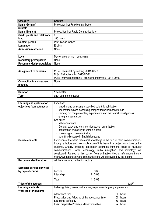| Category                            | <b>Content</b>                              |
|-------------------------------------|---------------------------------------------|
| Name (German)                       | Projektseminar Funkkommunikation            |
| <b>Subtitle</b>                     |                                             |
| Name (English)                      | <b>Project Seminar Radio Communications</b> |
| <b>Credit points and total work</b> | 6                                           |
| load                                | 180 hours                                   |
| <b>Contact person</b>               | Prof. Tobias Weber                          |
| Language                            | English                                     |
| Admission restriction               | None                                        |

| Level                          | Master programme – continuing |
|--------------------------------|-------------------------------|
| <b>Mandatory prerequisites</b> | None                          |
| Recommended prerequisites      | None                          |

| <b>Assignment to curricula</b>             | M.Sc. Electrical Engineering - 2015-03-09<br>M.Sc. Elektrotechnik - 2013-07-31<br>M.Sc. Informationstechnik/Technische Informatik - 2013-09-09 |
|--------------------------------------------|------------------------------------------------------------------------------------------------------------------------------------------------|
| <b>Connection to subsequent</b><br>modules | None                                                                                                                                           |

| $\overline{\phantom{a}}$<br>.<br>auon. | semester<br>ser            |
|----------------------------------------|----------------------------|
| orm<br><b>GUIL</b>                     | semester<br>summer<br>each |

| Learning and qualification    | Expertise:                                                                                                                                                                                                                                                                                                                                                                                                                                       |  |  |
|-------------------------------|--------------------------------------------------------------------------------------------------------------------------------------------------------------------------------------------------------------------------------------------------------------------------------------------------------------------------------------------------------------------------------------------------------------------------------------------------|--|--|
| objectives (competences)      | studying and analyzing a specified scientific publication<br>understanding and describing complex technical backgrounds<br>carrying out complementary experimental and theoretical investigations<br>giving a presentation<br>Soft skills:<br>- self-dependence<br>General study and work techniques, self-organization<br>cooperation and ability to work in a team<br>presenting and communicating<br>scientific discourse in English language |  |  |
| <b>Course contents</b>        | Extension of the basic theoretical knowledge in the field of radio communications                                                                                                                                                                                                                                                                                                                                                                |  |  |
|                               | through a lecture and later application of this theory in a project work done by the<br>students. Anually changing application examples from the areas of multiuser<br>communications, radar technology, radio navigation and metrology will<br>considered. Related to this basics from estimation theory, information theory,<br>microwave technology and communications will be covered by the lecture.                                        |  |  |
| <b>Recommended literature</b> | will be announced in the first lecture                                                                                                                                                                                                                                                                                                                                                                                                           |  |  |

| Semester periods per week<br>by type of course | Lecture<br>Internship                                                      | 3 SWS<br>SWS |  |
|------------------------------------------------|----------------------------------------------------------------------------|--------------|--|
|                                                | Total                                                                      | 4 SWS        |  |
| <b>Titles of the courses</b>                   |                                                                            | (LSF)        |  |
| <b>Learning methods</b>                        | Listening, taking notes, self studies, experiements, giving a presentation |              |  |
| <b>Work load for students</b>                  |                                                                            |              |  |
|                                                | Attendance time                                                            | 56 hours     |  |
|                                                | Preparation and follow up of the attendance time<br>50 hours               |              |  |
|                                                | Structured self-study                                                      | 50 hours     |  |
|                                                | Exam preparation/prerequisites/examination                                 | 24 hours     |  |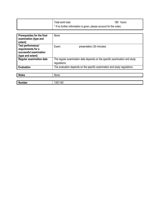| Total work load                                                     | 180 hours |
|---------------------------------------------------------------------|-----------|
| * If no further information is given, please account for the notes. |           |

| Prerequisites for the final<br>examination (type and<br>extent)                        | None                                                                                      |  |  |
|----------------------------------------------------------------------------------------|-------------------------------------------------------------------------------------------|--|--|
| Test performance/<br>requirements for a<br>successful examination<br>(type and extent) | Exam:<br>presentation (30 minutes)                                                        |  |  |
| <b>Regular examination date</b>                                                        | The regular examination date depends on the specific examination and study<br>regulations |  |  |
| <b>Evaluation</b>                                                                      | The evaluation depends on the specific examination and study regulations                  |  |  |
|                                                                                        |                                                                                           |  |  |
| <b>Notes</b>                                                                           | None                                                                                      |  |  |
|                                                                                        |                                                                                           |  |  |
| <b>Number</b>                                                                          | 1351140                                                                                   |  |  |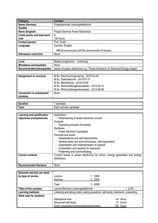| <b>Category</b>                     | <b>Content</b>                                      |
|-------------------------------------|-----------------------------------------------------|
| Name (German)                       | Projektseminar Leistungselektronik                  |
| <b>Subtitle</b>                     |                                                     |
| Name (English)                      | <b>Project Seminar Power Electronics</b>            |
| <b>Credit points and total work</b> | 6                                                   |
| load                                | 180 hours                                           |
| <b>Contact person</b>               | Prof. Eckel                                         |
| Language                            | German, English                                     |
|                                     | Will be announced until the second week of classes. |
| <b>Admission restriction</b>        | None                                                |

| Level                     | Master programme – continuing                                                    |
|---------------------------|----------------------------------------------------------------------------------|
| Mandatory prerequisites   | None                                                                             |
| Recommended prerequisites | basics of power electronics e.g. "Power Electronic for Electrical Energy Supply" |

| <b>Assignment to curricula</b>             | M.Sc. Electrical Engineering - 2015-03-09    |
|--------------------------------------------|----------------------------------------------|
|                                            | M.Sc. Elektrotechnik - 2013-07-31            |
|                                            | M.Sc. Mechatronik - 2015-03-09               |
|                                            | M.Sc. Wirtschaftsingenieurwesen - 2015-05-12 |
|                                            | M.Sc. Wirtschaftsingenieurwesen - 2013-09-09 |
| <b>Connection to subsequent</b><br>modules | None                                         |

| -           | 0.00000000                     |
|-------------|--------------------------------|
| .           | nester                         |
| TIOL.       | əu                             |
| <b>lerm</b> | semester<br>sur<br>acr<br>nmer |

| Learning and qualification<br>objectives (competences) | Application:<br>Dimensioning of power electronic circuits<br>Analysis:<br>- Operating principle of inverters<br>Synthesis:<br>- Power electronic topologies<br>Personal and social:<br>Independence and self-responsibility<br>- General study and work techniques, self-organisation<br>Organisation and implementation of projects<br>Cooperation and capacity for teamwork |
|--------------------------------------------------------|-------------------------------------------------------------------------------------------------------------------------------------------------------------------------------------------------------------------------------------------------------------------------------------------------------------------------------------------------------------------------------|
|                                                        | Presenting and communicating                                                                                                                                                                                                                                                                                                                                                  |
| <b>Course contents</b>                                 | Current issues in power electronics for drives, energy generation and energy<br>distribution.                                                                                                                                                                                                                                                                                 |
| <b>Recommended literature</b>                          | None                                                                                                                                                                                                                                                                                                                                                                          |

| Semester periods per week     |                                                                                |            |  |
|-------------------------------|--------------------------------------------------------------------------------|------------|--|
| by type of course             | Lecture                                                                        | <b>SWS</b> |  |
|                               | Seminar                                                                        | 2 SWS      |  |
|                               | Total                                                                          | 3 SWS      |  |
| <b>Titles of the courses</b>  | Lecture/Seminar Leistungselektronik<br>(LSF)                                   |            |  |
| Learning methods              | Listening and taking notes, asking questions, self-study, teamwork, presenting |            |  |
| <b>Work load for students</b> |                                                                                |            |  |
|                               | Attendance time                                                                | 42 hours   |  |
|                               | Structured self-study                                                          | 10 hours   |  |
|                               | Exam preparation/prerequisites/examination<br>128 hours                        |            |  |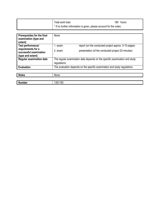| Total work load                                                     | 180 hours |
|---------------------------------------------------------------------|-----------|
| * If no further information is given, please account for the notes. |           |

| <b>Prerequisites for the final</b><br>examination (type and<br>extent) | None                                                                                      |                                                                          |
|------------------------------------------------------------------------|-------------------------------------------------------------------------------------------|--------------------------------------------------------------------------|
| Test performance/                                                      | l. exam:                                                                                  | report (on the conducted project approx. 5-10 pages)                     |
| requirements for a<br>successful examination<br>(type and extent)      | $2.$ exam:                                                                                | presentation (of the conducted project 20 minutes)                       |
| <b>Regular examination date</b>                                        | The regular examination date depends on the specific examination and study<br>regulations |                                                                          |
| <b>Evaluation</b>                                                      |                                                                                           | The evaluation depends on the specific examination and study regulations |
|                                                                        |                                                                                           |                                                                          |
| <b>Notes</b>                                                           | None                                                                                      |                                                                          |
|                                                                        |                                                                                           |                                                                          |
| <b>Number</b>                                                          | 1351150                                                                                   |                                                                          |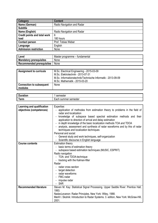| Category                            | <b>Content</b>             |
|-------------------------------------|----------------------------|
| Name (German)                       | Radio Navigation and Radar |
| <b>Subtitle</b>                     |                            |
| Name (English)                      | Radio Navigation and Radar |
| <b>Credit points and total work</b> | 6                          |
| load                                | 180 hours                  |
| <b>Contact person</b>               | Prof. Tobias Weber         |
| Language                            | English                    |
| <b>Admission restriction</b>        | None                       |

| Level                          | Master programme – fundamental |
|--------------------------------|--------------------------------|
| <b>Mandatory prerequisites</b> | None                           |
| Recommended prerequisites      | None                           |

| <b>Assignment to curricula</b>             | M.Sc. Electrical Engineering - 2015-03-09<br>M.Sc. Elektrotechnik - 2013-07-31<br>M.Sc. Informationstechnik/Technische Informatik - 2013-09-09<br>M.Sc. Mathematik - 2015-03-20 |
|--------------------------------------------|---------------------------------------------------------------------------------------------------------------------------------------------------------------------------------|
| <b>Connection to subsequent</b><br>modules | None                                                                                                                                                                            |

| tion.<br>╺   | пеые   |
|--------------|--------|
| $\vert$ Term | hester |
| -            | ser    |
| sur          | nmei   |

| Learning and qualification    | Expertise:                                                                           |  |
|-------------------------------|--------------------------------------------------------------------------------------|--|
| objectives (competences)      | application of methodes from estimation theory to problems in the field of           |  |
|                               | radar and localization                                                               |  |
|                               | knowledge of subspace based spectral estimation methods and their                    |  |
|                               | application to direction of arrival and delay estimation                             |  |
|                               | in depth knowledge of the basic localization methods TOA and TDOA                    |  |
|                               | analysis, assessment and synthesis of radar waveforms and by this of radar           |  |
|                               | techniques and localization techniques                                               |  |
|                               | Personal and social:                                                                 |  |
|                               | General study and work techniques, self-organization                                 |  |
|                               | Scientific discourse in English language                                             |  |
| <b>Course contents</b>        | <b>Estimation theory</b>                                                             |  |
|                               | basic terms of estimation theory                                                     |  |
|                               | - subspace based estimation techniques (MUSIC, ESPRIT)                               |  |
|                               | Radio navigation                                                                     |  |
|                               | - TOA- and TDOA-technique                                                            |  |
|                               | - tracking with the Kalman-filter                                                    |  |
|                               | Radar                                                                                |  |
|                               | - radar cross section                                                                |  |
|                               | target detection                                                                     |  |
|                               | - radar waveforms                                                                    |  |
|                               | - FMC-radar                                                                          |  |
|                               | - impulse radar                                                                      |  |
|                               | <b>SAR</b>                                                                           |  |
| <b>Recommended literature</b> | Steven M. Kay: Statistical Signal Processing. Upper Saddle River: Prentice Hall,     |  |
|                               | 1993.                                                                                |  |
|                               | NadavLevanon: Radar Principles. New York: Wiley, 1988.                               |  |
|                               | Merill I. Skolnik: Introduction to Radar Systems. 3. edition, New York: McGraw-Hill, |  |
|                               | 2001.                                                                                |  |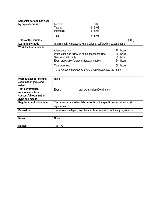| Semester periods per week<br>by type of course | Lecture<br><b>Tutorial</b><br>Internship         | 3 SWS<br>SWS<br>SWS                                                   |          |
|------------------------------------------------|--------------------------------------------------|-----------------------------------------------------------------------|----------|
|                                                | Total                                            | 5 SWS                                                                 |          |
| <b>Titles of the courses</b>                   |                                                  |                                                                       | (LSF)    |
| Learning methods                               |                                                  | listening, taking notes, solving problems, self studies, experiements |          |
| Work load for students                         |                                                  |                                                                       |          |
|                                                | Attendance time                                  | 70.                                                                   | hours    |
|                                                | Preparation and follow up of the attendance time |                                                                       | 36 hours |
|                                                | Structured self-study                            |                                                                       | 50 hours |
|                                                | Exam preparation/prerequisites/examination       |                                                                       | 24 hours |
|                                                | Total work load                                  | 180                                                                   | hours    |
|                                                |                                                  | * If no further information is given, please account for the notes.   |          |

| <b>Prerequisites for the final</b><br>examination (type and<br>extent)                 | None                                                                                      |  |
|----------------------------------------------------------------------------------------|-------------------------------------------------------------------------------------------|--|
| Test performance/<br>requirements for a<br>successful examination<br>(type and extent) | oral examination (30 minutes)<br>Exam:                                                    |  |
| <b>Regular examination date</b>                                                        | The regular examination date depends on the specific examination and study<br>regulations |  |
| <b>Evaluation</b>                                                                      | The evaluation depends on the specific examination and study regulations                  |  |
|                                                                                        |                                                                                           |  |
| <b>Notes</b>                                                                           | None                                                                                      |  |
|                                                                                        |                                                                                           |  |
| <b>Number</b>                                                                          | 1351170                                                                                   |  |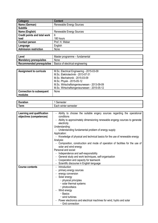| Category                            | <b>Content</b>           |
|-------------------------------------|--------------------------|
| Name (German)                       | Renewable Energy Sources |
| <b>Subtitle</b>                     |                          |
| Name (English)                      | Renewable Energy Sources |
| <b>Credit points and total work</b> | 6                        |
| load                                | 180 hours                |
| <b>Contact person</b>               | Prof. H. Weber           |
| Language                            | English                  |
| <b>Admission restriction</b>        | None                     |

| Level                            | Master programme – fundamental   |
|----------------------------------|----------------------------------|
| <b>Mandatory prerequisites</b>   | None                             |
| <b>Recommended prerequisites</b> | Basics of electrical engineering |

| <b>Assignment to curricula</b>  | M.Sc. Electrical Engineering - 2015-03-09    |
|---------------------------------|----------------------------------------------|
|                                 | M.Sc. Elektrotechnik - 2013-07-31            |
|                                 | M.Sc. Mechatronik - 2015-03-09               |
|                                 | M.Sc. Physik - 2015-05-12                    |
|                                 | M.Sc. Wirtschaftsingenieurwesen - 2013-09-09 |
|                                 | M.Sc. Wirtschaftsingenieurwesen - 2015-05-12 |
| <b>Connection to subsequent</b> | None                                         |
| modules                         |                                              |

| $\overline{\phantom{a}}$<br>Duration | .nester<br>~~<br>эeг     |
|--------------------------------------|--------------------------|
| erm                                  | ⊧winter semester<br>∟ach |

| Learning and qualification | - Ability to choose the suitable engery sources regarding the operational                |  |  |
|----------------------------|------------------------------------------------------------------------------------------|--|--|
| objectives (competences)   | conditions                                                                               |  |  |
|                            | - Ability to approximately dimensioning renewable engergy sources to generate            |  |  |
|                            | electricity                                                                              |  |  |
|                            | Understanding:                                                                           |  |  |
|                            | - Understanding fundamental problem of energy supply                                     |  |  |
|                            | Application:                                                                             |  |  |
|                            | - Knowledge of physical and technical basics for the use of renewable energy             |  |  |
|                            | Analysis:                                                                                |  |  |
|                            | Composition, construction and mode of operation of facilities for the use of             |  |  |
|                            | solar and wind energy                                                                    |  |  |
|                            | Personal and social:                                                                     |  |  |
|                            | Independence and self-responsibility                                                     |  |  |
|                            | General study and work techniques, self-organisation                                     |  |  |
|                            | Cooperation and capacity for teamwork                                                    |  |  |
|                            | Scientific discourse in English language                                                 |  |  |
| <b>Course contents</b>     | Introduction                                                                             |  |  |
|                            | primary energy sources                                                                   |  |  |
|                            | energy conversion                                                                        |  |  |
|                            | - Solar energy                                                                           |  |  |
|                            | • physical principles                                                                    |  |  |
|                            | · solar thermal systems                                                                  |  |  |
|                            | · photovoltaics                                                                          |  |  |
|                            | - Wind energy                                                                            |  |  |
|                            | · Basics                                                                                 |  |  |
|                            | • wind turbines                                                                          |  |  |
|                            | Power electronics and electrical machines for wind, hydro and solar<br>• Grid connection |  |  |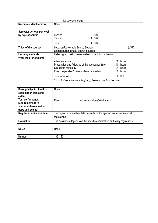|                                    | Storage 1<br>technology |
|------------------------------------|-------------------------|
| .<br><b>Recommended literature</b> | None                    |

| Semester periods per week<br>by type of course | Lecture<br><b>Tutorial</b><br>Total                                            | 3 SWS<br>SWS<br>SWS<br>4 |          |       |
|------------------------------------------------|--------------------------------------------------------------------------------|--------------------------|----------|-------|
| <b>Titles of the courses</b>                   | Lectures/Renewable Energy Sources<br><b>Exercises/Renewable Energy Sources</b> |                          |          | (LSF) |
| Learning methods                               | Listening and taking notes, self-study, solving problems                       |                          |          |       |
| <b>Work load for students</b>                  |                                                                                |                          |          |       |
|                                                | Attendance time                                                                |                          | 56 hours |       |
|                                                | Preparation and follow up of the attendance time                               |                          | 40 hours |       |
|                                                | Structured self-study                                                          |                          | 24 hours |       |
|                                                | Exam preparation/prerequisites/examination                                     |                          | 60 hours |       |
|                                                | Total work load                                                                |                          | 180 Std. |       |
|                                                | * If no further information is given, please account for the notes.            |                          |          |       |

| Prerequisites for the final<br>examination (type and<br>extent)                        | None                                                                                      |
|----------------------------------------------------------------------------------------|-------------------------------------------------------------------------------------------|
| Test performance/<br>requirements for a<br>successful examination<br>(type and extent) | oral examination (30 minutes)<br>Exam:                                                    |
| <b>Regular examination date</b>                                                        | The regular examination date depends on the specific examination and study<br>regulations |
| <b>Evaluation</b>                                                                      | The evaluation depends on the specific examination and study regulations                  |

| <b>Notes</b>  | None    |
|---------------|---------|
|               |         |
| <b>Number</b> | 1351180 |

Π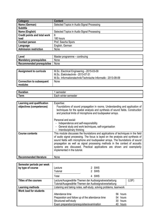| Category                            | <b>Content</b>                             |
|-------------------------------------|--------------------------------------------|
| Name (German)                       | Selected Topics in Audio Signal Processing |
| <b>Subtitle</b>                     |                                            |
| Name (English)                      | Selected Topics in Audio Signal Processing |
| <b>Credit points and total work</b> | 6                                          |
| load                                | 180 hours                                  |
| <b>Contact person</b>               | Prof. Sascha Spors                         |
| Language                            | English, German                            |
| <b>Admission restriction</b>        | None                                       |

| Level                          | Master programme – continuing |
|--------------------------------|-------------------------------|
| <b>Mandatory prerequisites</b> | None                          |
| Recommended prerequisites      | None                          |

| <b>Assignment to curricula</b>             | M.Sc. Electrical Engineering - 2015-03-09<br>M.Sc. Elektrotechnik - 2013-07-31<br>M.Sc. Informationstechnik/Technische Informatik - 2013-09-09 |
|--------------------------------------------|------------------------------------------------------------------------------------------------------------------------------------------------|
| <b>Connection to subsequent</b><br>modules | None                                                                                                                                           |

| $\overline{\phantom{a}}$ | $ -$     |
|--------------------------|----------|
| auor.                    | 1estel   |
| --                       | winter   |
| orm                      | semester |
| . GIIII                  | eacr.    |

| Learning and qualification<br>objectives (competences) | Expertise:<br>Foundations of sound propagation in rooms. Understanding and application of<br>techniques for the spatial analysis and synthesis of sound fields. Construction<br>and practical limits of microphone and loudspeaker arrays.                                                                                                                                                                                                      |  |  |  |  |
|--------------------------------------------------------|-------------------------------------------------------------------------------------------------------------------------------------------------------------------------------------------------------------------------------------------------------------------------------------------------------------------------------------------------------------------------------------------------------------------------------------------------|--|--|--|--|
|                                                        | Personal and social:                                                                                                                                                                                                                                                                                                                                                                                                                            |  |  |  |  |
|                                                        | Independence and self-responsibility<br>$\blacksquare$                                                                                                                                                                                                                                                                                                                                                                                          |  |  |  |  |
|                                                        | General study and work techniques, self-organisation                                                                                                                                                                                                                                                                                                                                                                                            |  |  |  |  |
|                                                        | Interdisciplinary thinking<br>$\blacksquare$                                                                                                                                                                                                                                                                                                                                                                                                    |  |  |  |  |
| <b>Course contents</b>                                 | This module discusses the foundations and applications of techniques in the field<br>of audio signal processing. The focus is layed on the analysis and synthesis of<br>sound fields with microphone and loudspeaker arrays. The foundations of sound<br>propagation as well as signal processing methods in the context of acoustic<br>systems are discussed. Practical applications are shown and exemplarily<br>implemented in the tutorial. |  |  |  |  |
| <b>Recommended literature</b>                          | None                                                                                                                                                                                                                                                                                                                                                                                                                                            |  |  |  |  |

| Semester periods per week<br>by type of course | Lecture<br><b>Tutorial</b>                                                                                                                                                                 | 2 SWS<br>2 SWS |  |
|------------------------------------------------|--------------------------------------------------------------------------------------------------------------------------------------------------------------------------------------------|----------------|--|
|                                                | Total                                                                                                                                                                                      | 4 SWS          |  |
| Titles of the courses                          | Lecture/Ausgewählte Themen der Audiosignalverarbeitung<br>(LSF)<br>Tutorial/Ausgewählte Themen der Audiosignalverarbeitung                                                                 |                |  |
| Learning methods                               | Listening and taking notes, self-study, solving problems, teamwork                                                                                                                         |                |  |
| <b>Work load for students</b>                  | Attendance time<br>56 hours<br>Preparation and follow up of the attendance time<br>54 hours<br>Structured self-study<br>30 hours<br>Exam preparation/prerequisites/examination<br>40 hours |                |  |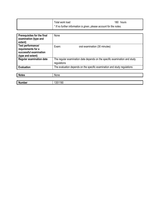| Total work load                                                         | 180 hours |
|-------------------------------------------------------------------------|-----------|
| $+$ * If no further information is given, please account for the notes. |           |

| Prerequisites for the final<br>examination (type and<br>extent)                        | None                                                                                      |  |
|----------------------------------------------------------------------------------------|-------------------------------------------------------------------------------------------|--|
| Test performance/<br>requirements for a<br>successful examination<br>(type and extent) | Exam:<br>oral examination (30 minutes)                                                    |  |
| <b>Regular examination date</b>                                                        | The regular examination date depends on the specific examination and study<br>regulations |  |
| <b>Evaluation</b>                                                                      | The evaluation depends on the specific examination and study regulations                  |  |
|                                                                                        |                                                                                           |  |
| <b>Notes</b>                                                                           | None                                                                                      |  |
|                                                                                        |                                                                                           |  |
| <b>Number</b>                                                                          | 1351190                                                                                   |  |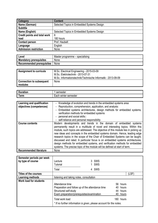| Category                            | <b>Content</b>                             |
|-------------------------------------|--------------------------------------------|
| Name (German)                       | Selected Topics in Embedded Systems Design |
| <b>Subtitle</b>                     |                                            |
| Name (English)                      | Selected Topics in Embedded Systems Design |
| <b>Credit points and total work</b> | 6                                          |
| load                                | 180 hours                                  |
| <b>Contact person</b>               | Prof. Haubelt                              |
| Language                            | English                                    |
| Admission restriction               | None                                       |

| Level                          | Master programme – specialising |
|--------------------------------|---------------------------------|
| <b>Mandatory prerequisites</b> | None                            |
| Recommended prerequisites      | None                            |

| <b>Assignment to curricula</b>             | M.Sc. Electrical Engineering - 2015-03-09<br>M.Sc. Elektrotechnik - 2013-07-31<br>M.Sc. Informationstechnik/Technische Informatik - 2013-09-09 |
|--------------------------------------------|------------------------------------------------------------------------------------------------------------------------------------------------|
| <b>Connection to subsequent</b><br>modules | None                                                                                                                                           |

| -<br>auon.         | nester<br>ser              |
|--------------------|----------------------------|
| --<br>orm<br>1 GHT | winter<br>Each<br>semester |

| Learning and qualification    | Knowledge of evolution and trends in the embedded systems area                     |  |
|-------------------------------|------------------------------------------------------------------------------------|--|
| objectives (competences)      | Reproduction, comprehension, application, and analysis:                            |  |
|                               | Embedded systems architectures, design methods for embedded systems,               |  |
|                               | verification methods for embedded systems                                          |  |
|                               | personal and social skills::                                                       |  |
|                               | self-reliance and personal responsibility                                          |  |
| <b>Course contents</b>        | Modern developments and trends in the domain of embedded systems                   |  |
|                               | permanently result in a multitude of novel and interesting topics. Within this     |  |
|                               | module, such topics are addressed. The objective of this module lies in picking up |  |
|                               | new ideas and concepts in the embedded systems domain. Hence, leading edge         |  |
|                               | research topics in the scope of the Chair of Embedded Systems can be taught,       |  |
|                               | discussed and rated. A particular focus is on embedded systems architectures,      |  |
|                               | design methods for embedded systems, and verification methods for embedded         |  |
|                               | systems. The precise topic of the module will be defined at start of term.         |  |
| <b>Recommended literature</b> | None                                                                               |  |

| Semester periods per week<br>by type of course | Lecture<br><b>Tutorial</b>                                          | 3 SWS<br>SWS |      |          |
|------------------------------------------------|---------------------------------------------------------------------|--------------|------|----------|
|                                                | Total                                                               | 4 SWS        |      |          |
| <b>Titles of the courses</b>                   |                                                                     |              |      | (LSF)    |
| Learning methods                               | listening and taking notes, consultation                            |              |      |          |
| <b>Work load for students</b>                  |                                                                     |              |      |          |
|                                                | Attendance time                                                     |              |      | 56 hours |
|                                                | Preparation and follow up of the attendance time                    |              | 40   | hours    |
|                                                | Structured self-study                                               |              |      | 44 hours |
|                                                | Exam preparation/prerequisites/examination                          |              |      | 40 hours |
|                                                | Total work load                                                     |              | 180. | hours    |
|                                                | * If no further information is given, please account for the notes. |              |      |          |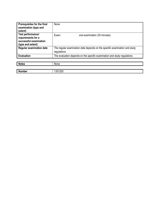| Prerequisites for the final<br>examination (type and<br>extent)                        | None                                                                                      |
|----------------------------------------------------------------------------------------|-------------------------------------------------------------------------------------------|
| Test performance/<br>requirements for a<br>successful examination<br>(type and extent) | oral examination (30 minutes)<br>Exam:                                                    |
| <b>Regular examination date</b>                                                        | The regular examination date depends on the specific examination and study<br>regulations |
| <b>Evaluation</b>                                                                      | The evaluation depends on the specific examination and study regulations                  |
|                                                                                        |                                                                                           |
| <b>Notes</b>                                                                           | None                                                                                      |

| <b>N</b><br>- - -<br>ander . | 20C<br>. . |
|------------------------------|------------|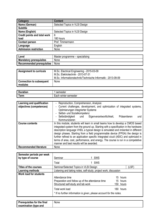| Category                            | <b>Content</b>                 |
|-------------------------------------|--------------------------------|
| Name (German)                       | Selected Topics in VLSI Design |
| <b>Subtitle</b>                     |                                |
| Name (English)                      | Selected Topics in VLSI Design |
| <b>Credit points and total work</b> | 6                              |
| load                                | 180 hours                      |
| <b>Contact person</b>               | Prof. Timmermann               |
| Language                            | English                        |
| <b>Admission restriction</b>        | None                           |

| Level                          | Master programme – specialising |
|--------------------------------|---------------------------------|
| <b>Mandatory prerequisites</b> | None                            |
| Recommended prerequisites      | None                            |

| <b>Assignment to curricula</b>             | M.Sc. Electrical Engineering - 2015-03-09<br>M.Sc. Elektrotechnik - 2013-07-31<br>M.Sc. Informationstechnik/Technische Informatik - 2013-09-09 |
|--------------------------------------------|------------------------------------------------------------------------------------------------------------------------------------------------|
| <b>Connection to subsequent</b><br>modules | None                                                                                                                                           |

| -            | nester                     |
|--------------|----------------------------|
| orm<br>1 GHT | winter<br>Each<br>semester |

| Learning and qualification    | - Reproduction, Comprehension, Analysis:                                             |  |  |  |
|-------------------------------|--------------------------------------------------------------------------------------|--|--|--|
| objectives (competences)      | - Current challenges, development, and optimization of integrated systems,           |  |  |  |
|                               | Optimierungen integrierter Systeme                                                   |  |  |  |
|                               | - Selbst- und Sozialkompetenz                                                        |  |  |  |
|                               | Präsentieren<br>- Selbständigkeit<br>Eigenverantwortlichkeit,<br>und<br>und          |  |  |  |
|                               | Kommunizieren                                                                        |  |  |  |
| <b>Course contents</b>        | In this module, students will learn in small teams how to develop a CMOS based       |  |  |  |
|                               | integrated system from the ground up. Starting with a specification in the hardware  |  |  |  |
|                               | description language VHDL a typical design is simulated and imöented in different    |  |  |  |
|                               | design phases. Starting from a field programmable device (FPGA) the design is        |  |  |  |
|                               | further refined to an application specific integrated cicuit (ASIC) and optimized in |  |  |  |
|                               | terms of area, cost, performance, and energy. The course is run in a competetive     |  |  |  |
|                               | manner and best results will be awarded.                                             |  |  |  |
| <b>Recommended literature</b> | None                                                                                 |  |  |  |

| Semester periods per week<br>by type of course | Seminar                                                                                | SWS       |  |
|------------------------------------------------|----------------------------------------------------------------------------------------|-----------|--|
|                                                | Total                                                                                  | SWS       |  |
| <b>Titles of the courses</b>                   | Seminar/Selected Topics in VLSI Design                                                 | (LSF)     |  |
| Learning methods                               | Listening and taking notes, self-study, project work, discussion                       |           |  |
| <b>Work load for students</b>                  |                                                                                        |           |  |
|                                                | Attendance time                                                                        | 15 hours  |  |
|                                                | Preparation and follow up of the attendance time                                       | 15 hours  |  |
|                                                | Structured self-study and lab work                                                     | 150 hours |  |
|                                                | Total work load<br>* If no further information is given, please account for the notes. | 180 hours |  |

| Prerequisites for the final | None |
|-----------------------------|------|
| examination (type and       |      |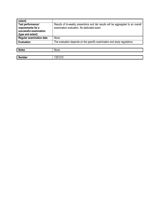| extent)                                                                                |                                                                                                                                 |
|----------------------------------------------------------------------------------------|---------------------------------------------------------------------------------------------------------------------------------|
| Test performance/<br>requirements for a<br>successful examination<br>(type and extent) | Results of bi-weekly presentions and lab results will be aggregated to an overall<br>examination evaluation. No dedicated exam. |
| <b>Regular examination date</b>                                                        | None                                                                                                                            |
| <b>Evaluation</b>                                                                      | The evaluation depends on the specific examination and study regulations                                                        |
|                                                                                        |                                                                                                                                 |
| <b>Notes</b>                                                                           | None                                                                                                                            |

| <b>Number</b> | 1251910<br>ഄഄ |
|---------------|---------------|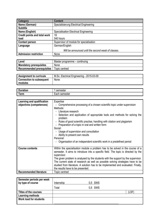| <b>Category</b>                     | <b>Content</b>                                      |
|-------------------------------------|-----------------------------------------------------|
| Name (German)                       | Spezialisierung Electrical Engineering              |
| <b>Subtitle</b>                     |                                                     |
| Name (English)                      | <b>Specialisation Electrical Engineering</b>        |
| <b>Credit points and total work</b> | 18                                                  |
| load                                | 540 hours                                           |
| <b>Contact person</b>               | Supervisor of module for specialisation             |
| Language                            | German/English                                      |
|                                     | Will be announced until the second week of classes. |
| <b>Admission restriction</b>        | None                                                |

| Level                          | Master programme – continuing |
|--------------------------------|-------------------------------|
| <b>Mandatory prerequisites</b> | None                          |
| Recommended prerequisites      | Topic centred                 |

| Assignment to curricula         | M.Sc. Electrical Engineering - 2015-03-09 |
|---------------------------------|-------------------------------------------|
| <b>Connection to subsequent</b> | None                                      |
| modules                         |                                           |

| -                          | <b>********</b>                            |
|----------------------------|--------------------------------------------|
| ---                        | . .                                        |
| ____                       | ושוטשו                                     |
| -<br><b>AMAGE</b><br>~'''' | .<br>$\mathbf{r}$<br>пеэтег<br>SUL<br>–a∪⊡ |

| Learning and qualification<br>objectives (competences) | Expertise<br>- Comprehensive processing of a chosen scientific topic under supervision<br>Methods:<br>- Literature research<br>- Selection and application of appropriate tools and methods for solving the<br>problem<br>- Rules of good scientific practise, handling with citation and plagiarism<br>- Preparation of a topic in oral and written form<br>Social:<br>- Usage of supervision and consultation<br>- Ability to present own results<br>Personal:<br>- Organisation of an independent scientific work in a predefined period |
|--------------------------------------------------------|---------------------------------------------------------------------------------------------------------------------------------------------------------------------------------------------------------------------------------------------------------------------------------------------------------------------------------------------------------------------------------------------------------------------------------------------------------------------------------------------------------------------------------------------|
| <b>Course contents</b>                                 | Within the specialisation module a problem has to be solved in the course of a<br>semester. It aims to introduce into a specific field. The topic is directed by the<br>supervisor.<br>The given problem is analysed by the students with the support by the supervisor.<br>The current state of research as well as possible solving strategies have to be<br>studied from literature. A solution has to be implemented and evaluated. Finally,<br>the results have to be presented.                                                       |
| <b>Recommended literature</b>                          | Topic centred                                                                                                                                                                                                                                                                                                                                                                                                                                                                                                                               |

| Semester periods per week     |            |           |      |
|-------------------------------|------------|-----------|------|
| by type of course             | Internship | $0.5$ SWS |      |
|                               | Total      | 0,5 SWS   |      |
| Titles of the courses         |            |           | (LSF |
| Learning methods              |            |           |      |
| <b>Work load for students</b> |            |           |      |
|                               |            |           |      |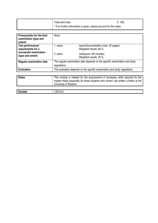| Total work load                                                                | 0 Std. |
|--------------------------------------------------------------------------------|--------|
| <sup>*</sup> If no further information is given, please account for the notes. |        |

| <b>Prerequisites for the final</b><br>examination (type and<br>extent) | None                                                                                      |                                                                                                                                                                        |
|------------------------------------------------------------------------|-------------------------------------------------------------------------------------------|------------------------------------------------------------------------------------------------------------------------------------------------------------------------|
| Test performance/<br>requirements for a                                | $1.$ exam:                                                                                | report/documentation (max. 20 pages)<br>Weighted results: 80 %                                                                                                         |
| successful examination<br>(type and extent)                            | $2.$ exam:                                                                                | colloquium (40 minutes)<br>Weighted results: 20 %                                                                                                                      |
| <b>Regular examination date</b>                                        | The regular examination date depends on the specific examination and study<br>regulations |                                                                                                                                                                        |
| <b>Evaluation</b>                                                      | The evaluation depends on the specific examination and study regulations                  |                                                                                                                                                                        |
|                                                                        |                                                                                           |                                                                                                                                                                        |
| <b>Notes</b>                                                           | University of Rostock.                                                                    | This module is inteded for the acquirement of necessary skills required for the<br>master thesis especially for those students who haven't yet written a thesis at the |
|                                                                        |                                                                                           |                                                                                                                                                                        |
| <b>Number</b>                                                          | 1351410                                                                                   |                                                                                                                                                                        |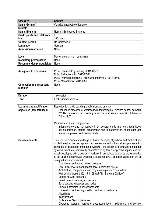| Category                            | <b>Content</b>                  |
|-------------------------------------|---------------------------------|
| Name (German)                       | Verteilte eingebettete Systeme  |
| <b>Subtitle</b>                     |                                 |
| Name (English)                      | <b>Network Embedded Systems</b> |
| <b>Credit points and total work</b> | 6                               |
| load                                | 180 hours                       |
| <b>Contact person</b>               | Dr. Golatowski                  |
| Language                            | German                          |
| <b>Admission restriction</b>        | None                            |

| Level                          | Master<br>r programme – continuing |
|--------------------------------|------------------------------------|
| <b>Mandatory prerequisites</b> | None                               |
| Recommended prerequisites      | None                               |

| <b>Assignment to curricula</b>             | M.Sc. Electrical Engineering - 2015-03-09<br>M.Sc. Elektrotechnik - 2013-07-31<br>M.Sc. Informationstechnik/Technische Informatik - 2013-09-09<br>M.Sc. Mechatronik - 2015-03-09 |
|--------------------------------------------|----------------------------------------------------------------------------------------------------------------------------------------------------------------------------------|
| <b>Connection to subsequent</b><br>modules | None                                                                                                                                                                             |

| <b>Duration</b>                                        |                                                                                                                                                                                                                                                                                                                                                                                                                                                                                                                                                                                                                                                                                                                                                                                                                                                                                                                                                                                                                                                                                                                                  |  |
|--------------------------------------------------------|----------------------------------------------------------------------------------------------------------------------------------------------------------------------------------------------------------------------------------------------------------------------------------------------------------------------------------------------------------------------------------------------------------------------------------------------------------------------------------------------------------------------------------------------------------------------------------------------------------------------------------------------------------------------------------------------------------------------------------------------------------------------------------------------------------------------------------------------------------------------------------------------------------------------------------------------------------------------------------------------------------------------------------------------------------------------------------------------------------------------------------|--|
|                                                        | semester                                                                                                                                                                                                                                                                                                                                                                                                                                                                                                                                                                                                                                                                                                                                                                                                                                                                                                                                                                                                                                                                                                                         |  |
| <b>Term</b>                                            | Each summer semester                                                                                                                                                                                                                                                                                                                                                                                                                                                                                                                                                                                                                                                                                                                                                                                                                                                                                                                                                                                                                                                                                                             |  |
|                                                        |                                                                                                                                                                                                                                                                                                                                                                                                                                                                                                                                                                                                                                                                                                                                                                                                                                                                                                                                                                                                                                                                                                                                  |  |
| Learning and qualification<br>objectives (competences) | Reproduction, understanding, application and analysis:<br>Embedded processors, wireless radio technologies, wireless sensor networks<br>(WSN), localization and routing in ad hoc and sensor networks, Internet of<br>Things (IoT)<br>Personal and social competence :                                                                                                                                                                                                                                                                                                                                                                                                                                                                                                                                                                                                                                                                                                                                                                                                                                                           |  |
|                                                        | Independence and self-responsibility, general study and work techniques,<br>self-organization, project organization and implementation, cooperation and<br>teamwork, present and Communicate                                                                                                                                                                                                                                                                                                                                                                                                                                                                                                                                                                                                                                                                                                                                                                                                                                                                                                                                     |  |
| <b>Course contents</b>                                 | This course provides knowledge of basic concepts, algorithms and architectures<br>of distributed embedded systems and sensor networks. It considers programming<br>concepts of distributed embedded systems, the design of distributed embedded<br>systems, which are particularly characterized by low energy consumption and are<br>usually equipped with a wireless interface. In associated exercises the knowledge<br>of the design of distributed systems is deepened and a complex application will be<br>designed and implemented.<br>- Overview of embedded mircoprocessors.<br>Low Power MCUs, performance MCUs, Wireless MCUs<br>- Architecture, components, and programming of microcontrollers<br>Wireless Networks (802.15.4, 6LoWPAN, Bluetoth, ZigBee)<br>Sensor network platforms<br>Development systems, architecture<br>٠<br>Base stations, gateways and nodes<br>Selected problems in sensor networks<br>Localization and routing in ad hoc and sensor networks<br>Algorithms<br>classifications<br>Software for Sensor Networks<br>- Operating systems, hardware abstraction layer, middleware and service- |  |